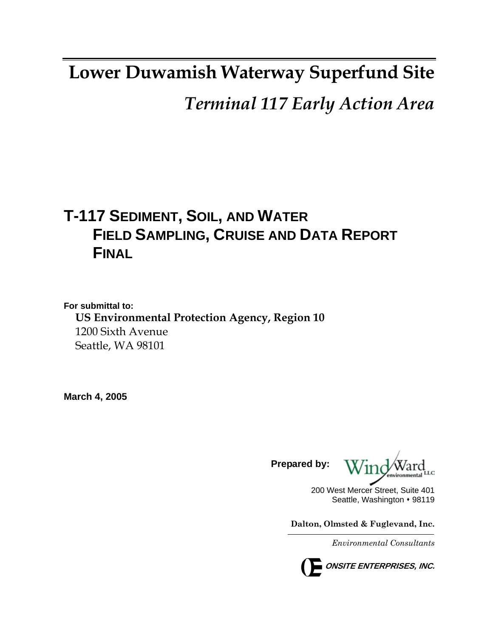# **Lower Duwamish Waterway Superfund Site**

*Terminal 117 Early Action Area*

# **T-117 SEDIMENT, SOIL, AND WATER FIELD SAMPLING, CRUISE AND DATA REPORT FINAL**

**For submittal to: US Environmental Protection Agency, Region 10**  1200 Sixth Avenue Seattle, WA 98101

**March 4, 2005** 

**Prepared by:** 



200 West Mercer Street, Suite 401 Seattle, Washington • 98119

**Dalton, Olmsted & Fuglevand, Inc.** 

*Environmental Consultants*

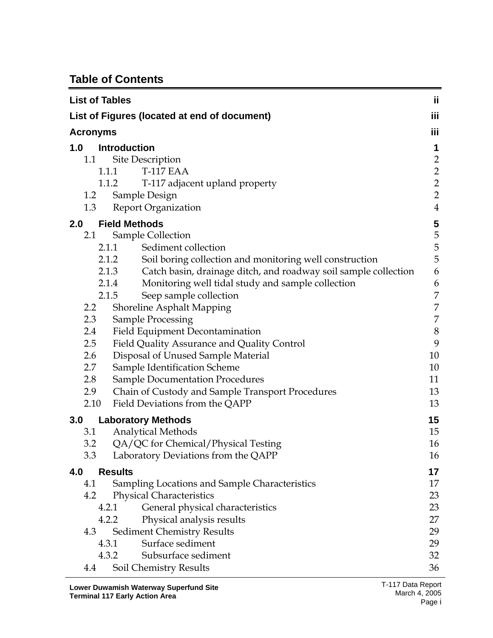## **Table of Contents**

| <b>List of Tables</b>                        |                |                                                                 | ij                                         |  |  |
|----------------------------------------------|----------------|-----------------------------------------------------------------|--------------------------------------------|--|--|
| List of Figures (located at end of document) |                |                                                                 |                                            |  |  |
| <b>Acronyms</b>                              |                |                                                                 | iii                                        |  |  |
| 1.0                                          |                | <b>Introduction</b>                                             | 1                                          |  |  |
| 1.1                                          |                | Site Description                                                | $\overline{c}$                             |  |  |
|                                              | 1.1.1          | <b>T-117 EAA</b>                                                |                                            |  |  |
|                                              | 1.1.2          | T-117 adjacent upland property                                  |                                            |  |  |
| 1.2                                          |                | Sample Design                                                   | $\begin{array}{c} 2 \\ 2 \\ 2 \end{array}$ |  |  |
| 1.3                                          |                | <b>Report Organization</b>                                      | $\overline{4}$                             |  |  |
| 2.0                                          |                | <b>Field Methods</b>                                            | 5                                          |  |  |
| 2.1                                          |                | Sample Collection                                               | 5                                          |  |  |
|                                              | 2.1.1          | Sediment collection                                             | 5                                          |  |  |
|                                              | 2.1.2          | Soil boring collection and monitoring well construction         | 5                                          |  |  |
|                                              | 2.1.3          | Catch basin, drainage ditch, and roadway soil sample collection | 6                                          |  |  |
|                                              | 2.1.4          | Monitoring well tidal study and sample collection               | 6                                          |  |  |
|                                              | 2.1.5          | Seep sample collection                                          | 7                                          |  |  |
| $2.2\phantom{0}$                             |                | Shoreline Asphalt Mapping                                       | 7                                          |  |  |
| 2.3                                          |                | <b>Sample Processing</b>                                        | 7                                          |  |  |
| 2.4                                          |                | Field Equipment Decontamination                                 | $\,8\,$                                    |  |  |
| 2.5                                          |                | Field Quality Assurance and Quality Control                     | 9                                          |  |  |
| 2.6                                          |                | Disposal of Unused Sample Material                              | 10                                         |  |  |
| 2.7                                          |                | Sample Identification Scheme                                    | 10                                         |  |  |
| 2.8                                          |                | <b>Sample Documentation Procedures</b>                          | 11                                         |  |  |
| 2.9                                          |                | Chain of Custody and Sample Transport Procedures                | 13                                         |  |  |
| 2.10                                         |                | Field Deviations from the QAPP                                  | 13                                         |  |  |
| 3.0                                          |                | <b>Laboratory Methods</b>                                       | 15                                         |  |  |
| 3.1                                          |                | Analytical Methods                                              | 15                                         |  |  |
| 3.2                                          |                | QA/QC for Chemical/Physical Testing                             | 16                                         |  |  |
| 3.3                                          |                | Laboratory Deviations from the QAPP                             | 16                                         |  |  |
| 4.0                                          | <b>Results</b> |                                                                 | 17                                         |  |  |
| 4.1                                          |                | Sampling Locations and Sample Characteristics                   | 17                                         |  |  |
| 4.2                                          |                | <b>Physical Characteristics</b>                                 | 23                                         |  |  |
|                                              | 4.2.1          | General physical characteristics                                | 23                                         |  |  |
|                                              | 4.2.2          | Physical analysis results                                       | 27                                         |  |  |
| 4.3                                          |                | <b>Sediment Chemistry Results</b>                               | 29                                         |  |  |
|                                              | 4.3.1          | Surface sediment                                                | 29                                         |  |  |
|                                              |                | Subsurface sediment<br>4.3.2                                    | 32                                         |  |  |
| 4.4                                          |                | Soil Chemistry Results                                          | 36                                         |  |  |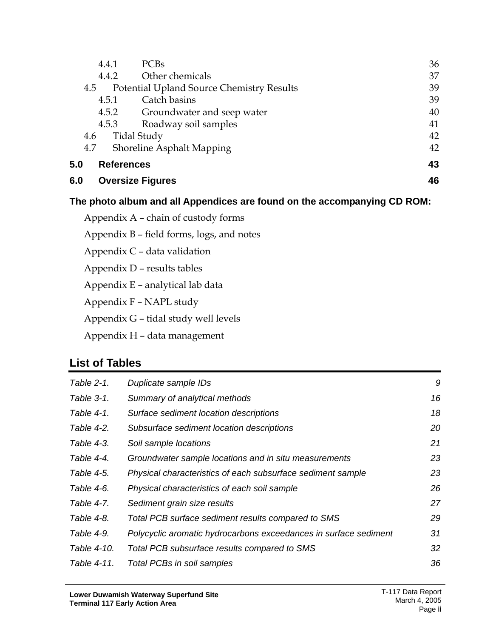| 6.0 |                   | <b>Oversize Figures</b>                          | 46 |
|-----|-------------------|--------------------------------------------------|----|
| 5.0 | <b>References</b> |                                                  | 43 |
| 4.7 |                   | Shoreline Asphalt Mapping                        | 42 |
| 4.6 |                   | Tidal Study                                      | 42 |
|     | 4.5.3             | Roadway soil samples                             | 41 |
|     | 4.5.2             | Groundwater and seep water                       | 40 |
|     | 4.5.1             | Catch basins                                     | 39 |
| 4.5 |                   | <b>Potential Upland Source Chemistry Results</b> | 39 |
|     | 4.4.2             | Other chemicals                                  | 37 |
|     | 4.4.1             | <b>PCBs</b>                                      | 36 |
|     |                   |                                                  |    |

#### **The photo album and all Appendices are found on the accompanying CD ROM:**

- Appendix  $A$  chain of custody forms
- Appendix  $B$  field forms, logs, and notes

Appendix  $C$  – data validation

Appendix  $D$  - results tables

Appendix E - analytical lab data

Appendix F - NAPL study

Appendix  $G$  - tidal study well levels

Appendix H - data management

# <span id="page-2-0"></span>**List of Tables**

| Table 2-1.  | Duplicate sample IDs                                             | 9  |
|-------------|------------------------------------------------------------------|----|
| Table 3-1.  | Summary of analytical methods                                    | 16 |
| Table 4-1.  | Surface sediment location descriptions                           | 18 |
| Table 4-2.  | Subsurface sediment location descriptions                        | 20 |
| Table 4-3.  | Soil sample locations                                            | 21 |
| Table 4-4.  | Groundwater sample locations and in situ measurements            | 23 |
| Table 4-5.  | Physical characteristics of each subsurface sediment sample      | 23 |
| Table 4-6.  | Physical characteristics of each soil sample                     | 26 |
| Table 4-7.  | Sediment grain size results                                      | 27 |
| Table 4-8.  | Total PCB surface sediment results compared to SMS               | 29 |
| Table 4-9.  | Polycyclic aromatic hydrocarbons exceedances in surface sediment | 31 |
| Table 4-10. | Total PCB subsurface results compared to SMS                     | 32 |
| Table 4-11. | Total PCBs in soil samples                                       | 36 |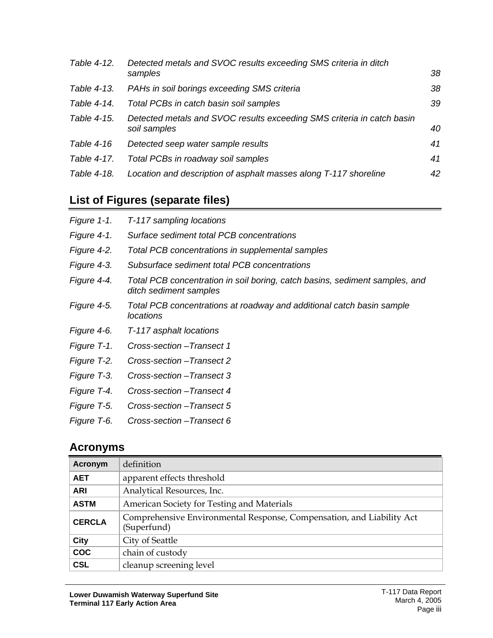| Table 4-12. | Detected metals and SVOC results exceeding SMS criteria in ditch<br>samples            | 38 |
|-------------|----------------------------------------------------------------------------------------|----|
|             |                                                                                        |    |
| Table 4-13. | PAHs in soil borings exceeding SMS criteria                                            | 38 |
| Table 4-14. | Total PCBs in catch basin soil samples                                                 | 39 |
| Table 4-15. | Detected metals and SVOC results exceeding SMS criteria in catch basin<br>soil samples | 40 |
| Table 4-16  | Detected seep water sample results                                                     | 41 |
| Table 4-17. | Total PCBs in roadway soil samples                                                     | 41 |
| Table 4-18. | Location and description of asphalt masses along T-117 shoreline                       | 42 |
|             |                                                                                        |    |

# <span id="page-3-0"></span>**List of Figures (separate files)**

| Figure 1-1. | T-117 sampling locations                                                                              |
|-------------|-------------------------------------------------------------------------------------------------------|
| Figure 4-1. | Surface sediment total PCB concentrations                                                             |
| Figure 4-2. | Total PCB concentrations in supplemental samples                                                      |
| Figure 4-3. | Subsurface sediment total PCB concentrations                                                          |
| Figure 4-4. | Total PCB concentration in soil boring, catch basins, sediment samples, and<br>ditch sediment samples |
| Figure 4-5. | Total PCB concentrations at roadway and additional catch basin sample<br>locations                    |
| Figure 4-6. | T-117 asphalt locations                                                                               |
| Figure T-1. | Cross-section - Transect 1                                                                            |
| Figure T-2. | Cross-section – Transect 2                                                                            |
| Figure T-3. | Cross-section – Transect 3                                                                            |
| Figure T-4. | Cross-section – Transect 4                                                                            |
| Figure T-5. | Cross-section – Transect 5                                                                            |
| Figure T-6. | Cross-section – Transect 6                                                                            |

# <span id="page-3-1"></span>**Acronyms**

| <b>Acronym</b> | definition                                                                           |  |  |  |  |  |
|----------------|--------------------------------------------------------------------------------------|--|--|--|--|--|
| <b>AET</b>     | apparent effects threshold                                                           |  |  |  |  |  |
| <b>ARI</b>     | Analytical Resources, Inc.                                                           |  |  |  |  |  |
| <b>ASTM</b>    | American Society for Testing and Materials                                           |  |  |  |  |  |
| <b>CERCLA</b>  | Comprehensive Environmental Response, Compensation, and Liability Act<br>(Superfund) |  |  |  |  |  |
| <b>City</b>    | City of Seattle                                                                      |  |  |  |  |  |
| <b>COC</b>     | chain of custody                                                                     |  |  |  |  |  |
| <b>CSL</b>     | cleanup screening level                                                              |  |  |  |  |  |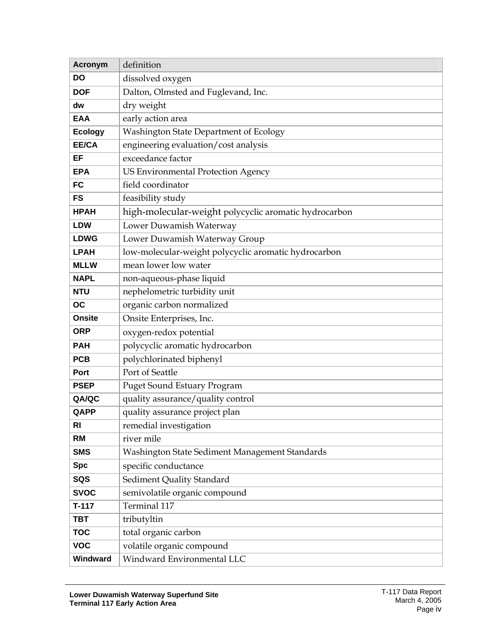| <b>Acronym</b> | definition                                            |
|----------------|-------------------------------------------------------|
| DO             | dissolved oxygen                                      |
| <b>DOF</b>     | Dalton, Olmsted and Fuglevand, Inc.                   |
| dw             | dry weight                                            |
| <b>EAA</b>     | early action area                                     |
| <b>Ecology</b> | Washington State Department of Ecology                |
| EE/CA          | engineering evaluation/cost analysis                  |
| EF             | exceedance factor                                     |
| <b>EPA</b>     | <b>US Environmental Protection Agency</b>             |
| <b>FC</b>      | field coordinator                                     |
| <b>FS</b>      | feasibility study                                     |
| <b>HPAH</b>    | high-molecular-weight polycyclic aromatic hydrocarbon |
| <b>LDW</b>     | Lower Duwamish Waterway                               |
| <b>LDWG</b>    | Lower Duwamish Waterway Group                         |
| <b>LPAH</b>    | low-molecular-weight polycyclic aromatic hydrocarbon  |
| <b>MLLW</b>    | mean lower low water                                  |
| <b>NAPL</b>    | non-aqueous-phase liquid                              |
| <b>NTU</b>     | nephelometric turbidity unit                          |
| <b>OC</b>      | organic carbon normalized                             |
| <b>Onsite</b>  | Onsite Enterprises, Inc.                              |
| <b>ORP</b>     | oxygen-redox potential                                |
| <b>PAH</b>     | polycyclic aromatic hydrocarbon                       |
| <b>PCB</b>     | polychlorinated biphenyl                              |
| Port           | Port of Seattle                                       |
| <b>PSEP</b>    | <b>Puget Sound Estuary Program</b>                    |
| QA/QC          | quality assurance/quality control                     |
| QAPP           | quality assurance project plan                        |
| <b>RI</b>      | remedial investigation                                |
| <b>RM</b>      | river mile                                            |
| <b>SMS</b>     | Washington State Sediment Management Standards        |
| <b>Spc</b>     | specific conductance                                  |
| <b>SQS</b>     | Sediment Quality Standard                             |
| <b>SVOC</b>    | semivolatile organic compound                         |
| $T-117$        | Terminal 117                                          |
| <b>TBT</b>     | tributyltin                                           |
| <b>TOC</b>     | total organic carbon                                  |
| <b>VOC</b>     | volatile organic compound                             |
| Windward       | Windward Environmental LLC                            |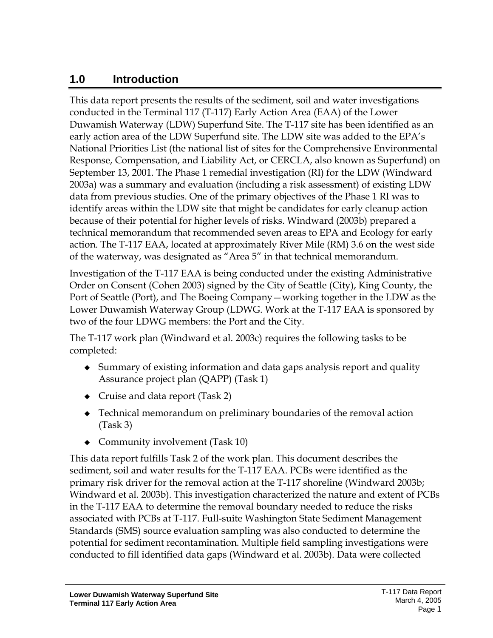# <span id="page-5-0"></span>**1.0 Introduction**

This data report presents the results of the sediment, soil and water investigations conducted in the Terminal 117 (T-117) Early Action Area (EAA) of the Lower Duwamish Waterway (LDW) Superfund Site. The T-117 site has been identified as an early action area of the LDW Superfund site. The LDW site was added to the EPA's National Priorities List (the national list of sites for the Comprehensive Environmental Response, Compensation, and Liability Act, or CERCLA, also known as Superfund) on September 13, 2001. The Phase 1 remedial investigation (RI) for the LDW (Windward 2003a) was a summary and evaluation (including a risk assessment) of existing LDW data from previous studies. One of the primary objectives of the Phase 1 RI was to identify areas within the LDW site that might be candidates for early cleanup action because of their potential for higher levels of risks. Windward (2003b) prepared a technical memorandum that recommended seven areas to EPA and Ecology for early action. The T-117 EAA, located at approximately River Mile (RM) 3.6 on the west side of the waterway, was designated as "Area 5" in that technical memorandum.

Investigation of the T-117 EAA is being conducted under the existing Administrative Order on Consent (Cohen 2003) signed by the City of Seattle (City), King County, the Port of Seattle (Port), and The Boeing Company - working together in the LDW as the Lower Duwamish Waterway Group (LDWG. Work at the T-117 EAA is sponsored by two of the four LDWG members: the Port and the City.

The T-117 work plan (Windward et al. 2003c) requires the following tasks to be completed:

- Summary of existing information and data gaps analysis report and quality Assurance project plan (QAPP) (Task 1)
- $\triangleleft$  Cruise and data report (Task 2)
- $\bullet$  Technical memorandum on preliminary boundaries of the removal action (Task 3)
- $\bullet$  Community involvement (Task 10)

This data report fulfills Task 2 of the work plan. This document describes the sediment, soil and water results for the T-117 EAA. PCBs were identified as the primary risk driver for the removal action at the T-117 shoreline (Windward 2003b; Windward et al. 2003b). This investigation characterized the nature and extent of PCBs in the T-117 EAA to determine the removal boundary needed to reduce the risks associated with PCBs at T-117. Full-suite Washington State Sediment Management Standards (SMS) source evaluation sampling was also conducted to determine the potential for sediment recontamination. Multiple field sampling investigations were conducted to fill identified data gaps (Windward et al. 2003b). Data were collected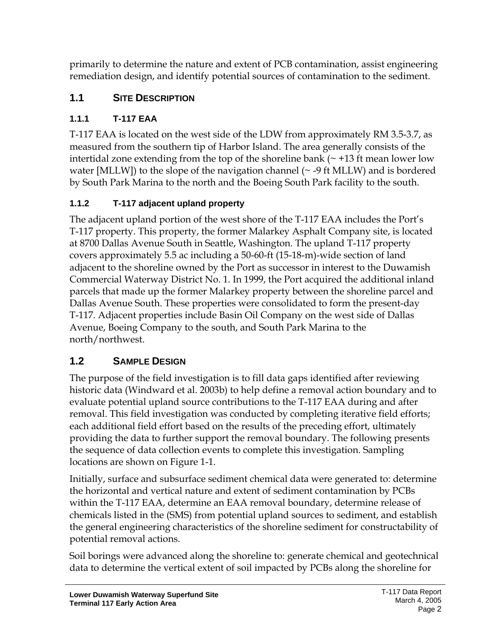primarily to determine the nature and extent of PCB contamination, assist engineering remediation design, and identify potential sources of contamination to the sediment.

## <span id="page-6-0"></span>**1.1 SITE DESCRIPTION**

### <span id="page-6-1"></span>**1.1.1 T-117 EAA**

T-117 EAA is located on the west side of the LDW from approximately RM 3.5-3.7, as measured from the southern tip of Harbor Island. The area generally consists of the intertidal zone extending from the top of the shoreline bank  $(\sim +13$  ft mean lower low water [MLLW]) to the slope of the navigation channel ( $\sim$  -9 ft MLLW) and is bordered by South Park Marina to the north and the Boeing South Park facility to the south.

## <span id="page-6-2"></span>**1.1.2 T-117 adjacent upland property**

The adjacent upland portion of the west shore of the T-117 EAA includes the Port's T-117 property. This property, the former Malarkey Asphalt Company site, is located at 8700 Dallas Avenue South in Seattle, Washington. The upland T-117 property covers approximately 5.5 ac including a 50-60-ft (15-18-m)-wide section of land adjacent to the shoreline owned by the Port as successor in interest to the Duwamish Commercial Waterway District No. 1. In 1999, the Port acquired the additional inland parcels that made up the former Malarkey property between the shoreline parcel and Dallas Avenue South. These properties were consolidated to form the present-day T-117. Adjacent properties include Basin Oil Company on the west side of Dallas Avenue, Boeing Company to the south, and South Park Marina to the north/northwest.

# <span id="page-6-3"></span>**1.2 SAMPLE DESIGN**

The purpose of the field investigation is to fill data gaps identified after reviewing historic data (Windward et al. 2003b) to help define a removal action boundary and to evaluate potential upland source contributions to the T-117 EAA during and after removal. This field investigation was conducted by completing iterative field efforts; each additional field effort based on the results of the preceding effort, ultimately providing the data to further support the removal boundary. The following presents the sequence of data collection events to complete this investigation. Sampling locations are shown on Figure 1-1.

Initially, surface and subsurface sediment chemical data were generated to: determine the horizontal and vertical nature and extent of sediment contamination by PCBs within the T-117 EAA, determine an EAA removal boundary, determine release of chemicals listed in the (SMS) from potential upland sources to sediment, and establish the general engineering characteristics of the shoreline sediment for constructability of potential removal actions.

Soil borings were advanced along the shoreline to: generate chemical and geotechnical data to determine the vertical extent of soil impacted by PCBs along the shoreline for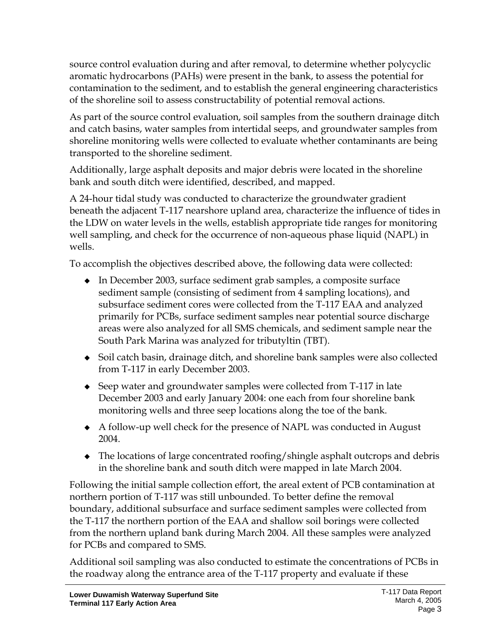source control evaluation during and after removal, to determine whether polycyclic aromatic hydrocarbons (PAHs) were present in the bank, to assess the potential for contamination to the sediment, and to establish the general engineering characteristics of the shoreline soil to assess constructability of potential removal actions.

As part of the source control evaluation, soil samples from the southern drainage ditch and catch basins, water samples from intertidal seeps, and groundwater samples from shoreline monitoring wells were collected to evaluate whether contaminants are being transported to the shoreline sediment.

Additionally, large asphalt deposits and major debris were located in the shoreline bank and south ditch were identified, described, and mapped.

A 24-hour tidal study was conducted to characterize the groundwater gradient beneath the adjacent T-117 nearshore upland area, characterize the influence of tides in the LDW on water levels in the wells, establish appropriate tide ranges for monitoring well sampling, and check for the occurrence of non-aqueous phase liquid (NAPL) in wells.

To accomplish the objectives described above, the following data were collected:

- In December 2003, surface sediment grab samples, a composite surface sediment sample (consisting of sediment from 4 sampling locations), and subsurface sediment cores were collected from the T-117 EAA and analyzed primarily for PCBs, surface sediment samples near potential source discharge areas were also analyzed for all SMS chemicals, and sediment sample near the South Park Marina was analyzed for tributyltin (TBT).
- Soil catch basin, drainage ditch, and shoreline bank samples were also collected from T-117 in early December 2003.
- Seep water and groundwater samples were collected from T-117 in late December 2003 and early January 2004: one each from four shoreline bank monitoring wells and three seep locations along the toe of the bank.
- $\triangle$  A follow-up well check for the presence of NAPL was conducted in August 2004.
- $\bullet$  The locations of large concentrated roofing/shingle asphalt outcrops and debris in the shoreline bank and south ditch were mapped in late March 2004.

Following the initial sample collection effort, the areal extent of PCB contamination at northern portion of T-117 was still unbounded. To better define the removal boundary, additional subsurface and surface sediment samples were collected from the T-117 the northern portion of the EAA and shallow soil borings were collected from the northern upland bank during March 2004. All these samples were analyzed for PCBs and compared to SMS.

Additional soil sampling was also conducted to estimate the concentrations of PCBs in the roadway along the entrance area of the T-117 property and evaluate if these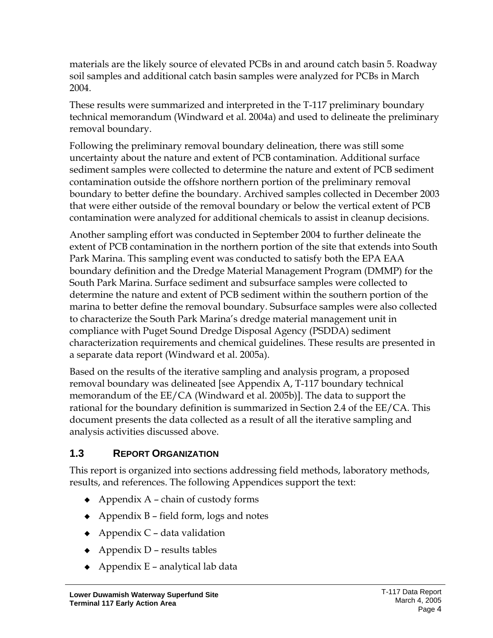materials are the likely source of elevated PCBs in and around catch basin 5. Roadway soil samples and additional catch basin samples were analyzed for PCBs in March 2004.

These results were summarized and interpreted in the T-117 preliminary boundary technical memorandum (Windward et al. 2004a) and used to delineate the preliminary removal boundary.

Following the preliminary removal boundary delineation, there was still some uncertainty about the nature and extent of PCB contamination. Additional surface sediment samples were collected to determine the nature and extent of PCB sediment contamination outside the offshore northern portion of the preliminary removal boundary to better define the boundary. Archived samples collected in December 2003 that were either outside of the removal boundary or below the vertical extent of PCB contamination were analyzed for additional chemicals to assist in cleanup decisions.

Another sampling effort was conducted in September 2004 to further delineate the extent of PCB contamination in the northern portion of the site that extends into South Park Marina. This sampling event was conducted to satisfy both the EPA EAA boundary definition and the Dredge Material Management Program (DMMP) for the South Park Marina. Surface sediment and subsurface samples were collected to determine the nature and extent of PCB sediment within the southern portion of the marina to better define the removal boundary. Subsurface samples were also collected to characterize the South Park Marinaís dredge material management unit in compliance with Puget Sound Dredge Disposal Agency (PSDDA) sediment characterization requirements and chemical guidelines. These results are presented in a separate data report (Windward et al. 2005a).

Based on the results of the iterative sampling and analysis program, a proposed removal boundary was delineated [see Appendix A, T-117 boundary technical memorandum of the EE/CA (Windward et al. 2005b)]. The data to support the rational for the boundary definition is summarized in Section 2.4 of the EE/CA. This document presents the data collected as a result of all the iterative sampling and analysis activities discussed above.

### <span id="page-8-0"></span>**1.3 REPORT ORGANIZATION**

This report is organized into sections addressing field methods, laboratory methods, results, and references. The following Appendices support the text:

- $\triangle$  Appendix A chain of custody forms
- $\leftrightarrow$  Appendix B field form, logs and notes
- $\leftrightarrow$  Appendix C data validation
- $\leftrightarrow$  Appendix D results tables
- $\triangle$  Appendix E analytical lab data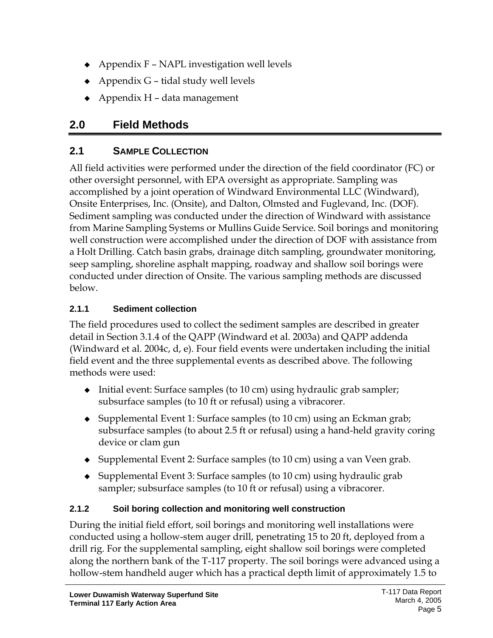- $\leftrightarrow$  Appendix F NAPL investigation well levels
- $\leftrightarrow$  Appendix G tidal study well levels
- $\leftrightarrow$  Appendix H data management

# <span id="page-9-0"></span>**2.0 Field Methods**

# <span id="page-9-1"></span>**2.1 SAMPLE COLLECTION**

All field activities were performed under the direction of the field coordinator (FC) or other oversight personnel, with EPA oversight as appropriate. Sampling was accomplished by a joint operation of Windward Environmental LLC (Windward), Onsite Enterprises, Inc. (Onsite), and Dalton, Olmsted and Fuglevand, Inc. (DOF). Sediment sampling was conducted under the direction of Windward with assistance from Marine Sampling Systems or Mullins Guide Service. Soil borings and monitoring well construction were accomplished under the direction of DOF with assistance from a Holt Drilling. Catch basin grabs, drainage ditch sampling, groundwater monitoring, seep sampling, shoreline asphalt mapping, roadway and shallow soil borings were conducted under direction of Onsite. The various sampling methods are discussed below.

## <span id="page-9-2"></span>**2.1.1 Sediment collection**

The field procedures used to collect the sediment samples are described in greater detail in Section 3.1.4 of the QAPP (Windward et al. 2003a) and QAPP addenda (Windward et al. 2004c, d, e). Four field events were undertaken including the initial field event and the three supplemental events as described above. The following methods were used:

- $\bullet$  Initial event: Surface samples (to 10 cm) using hydraulic grab sampler; subsurface samples (to 10 ft or refusal) using a vibracorer.
- $\bullet$  Supplemental Event 1: Surface samples (to 10 cm) using an Eckman grab; subsurface samples (to about 2.5 ft or refusal) using a hand-held gravity coring device or clam gun
- $\bullet$  Supplemental Event 2: Surface samples (to 10 cm) using a van Veen grab.
- $\bullet$  Supplemental Event 3: Surface samples (to 10 cm) using hydraulic grab sampler; subsurface samples (to 10 ft or refusal) using a vibracorer.

# <span id="page-9-3"></span>**2.1.2 Soil boring collection and monitoring well construction**

During the initial field effort, soil borings and monitoring well installations were conducted using a hollow-stem auger drill, penetrating 15 to 20 ft, deployed from a drill rig. For the supplemental sampling, eight shallow soil borings were completed along the northern bank of the T-117 property. The soil borings were advanced using a hollow-stem handheld auger which has a practical depth limit of approximately 1.5 to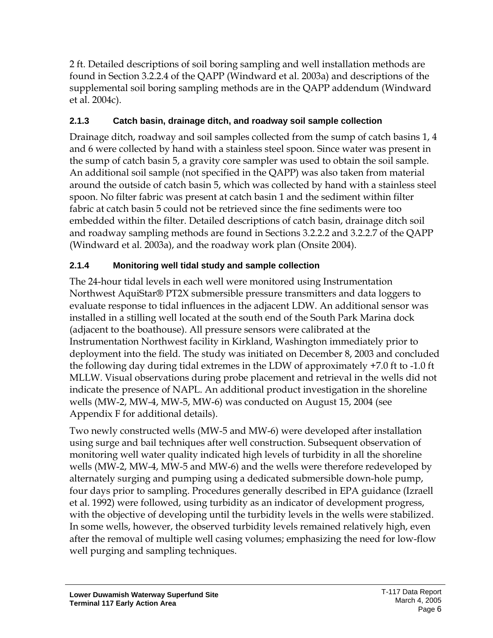2 ft. Detailed descriptions of soil boring sampling and well installation methods are found in Section 3.2.2.4 of the QAPP (Windward et al. 2003a) and descriptions of the supplemental soil boring sampling methods are in the QAPP addendum (Windward et al. 2004c).

### <span id="page-10-0"></span>**2.1.3 Catch basin, drainage ditch, and roadway soil sample collection**

Drainage ditch, roadway and soil samples collected from the sump of catch basins 1, 4 and 6 were collected by hand with a stainless steel spoon. Since water was present in the sump of catch basin 5, a gravity core sampler was used to obtain the soil sample. An additional soil sample (not specified in the QAPP) was also taken from material around the outside of catch basin 5, which was collected by hand with a stainless steel spoon. No filter fabric was present at catch basin 1 and the sediment within filter fabric at catch basin 5 could not be retrieved since the fine sediments were too embedded within the filter. Detailed descriptions of catch basin, drainage ditch soil and roadway sampling methods are found in Sections 3.2.2.2 and 3.2.2.7 of the QAPP (Windward et al. 2003a), and the roadway work plan (Onsite 2004).

# <span id="page-10-1"></span>**2.1.4 Monitoring well tidal study and sample collection**

The 24-hour tidal levels in each well were monitored using Instrumentation Northwest AquiStar® PT2X submersible pressure transmitters and data loggers to evaluate response to tidal influences in the adjacent LDW. An additional sensor was installed in a stilling well located at the south end of the South Park Marina dock (adjacent to the boathouse). All pressure sensors were calibrated at the Instrumentation Northwest facility in Kirkland, Washington immediately prior to deployment into the field. The study was initiated on December 8, 2003 and concluded the following day during tidal extremes in the LDW of approximately +7.0 ft to -1.0 ft MLLW. Visual observations during probe placement and retrieval in the wells did not indicate the presence of NAPL. An additional product investigation in the shoreline wells (MW-2, MW-4, MW-5, MW-6) was conducted on August 15, 2004 (see Appendix F for additional details).

Two newly constructed wells (MW-5 and MW-6) were developed after installation using surge and bail techniques after well construction. Subsequent observation of monitoring well water quality indicated high levels of turbidity in all the shoreline wells (MW-2, MW-4, MW-5 and MW-6) and the wells were therefore redeveloped by alternately surging and pumping using a dedicated submersible down-hole pump, four days prior to sampling. Procedures generally described in EPA guidance (Izraell et al. 1992) were followed, using turbidity as an indicator of development progress, with the objective of developing until the turbidity levels in the wells were stabilized. In some wells, however, the observed turbidity levels remained relatively high, even after the removal of multiple well casing volumes; emphasizing the need for low-flow well purging and sampling techniques.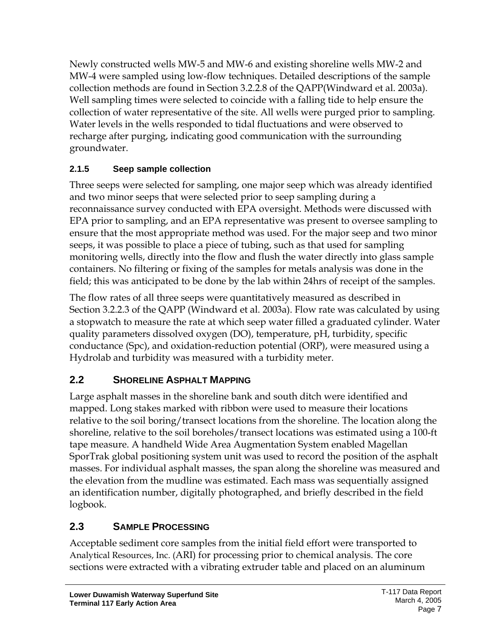Newly constructed wells MW-5 and MW-6 and existing shoreline wells MW-2 and MW-4 were sampled using low-flow techniques. Detailed descriptions of the sample collection methods are found in Section 3.2.2.8 of the QAPP(Windward et al. 2003a). Well sampling times were selected to coincide with a falling tide to help ensure the collection of water representative of the site. All wells were purged prior to sampling. Water levels in the wells responded to tidal fluctuations and were observed to recharge after purging, indicating good communication with the surrounding groundwater.

### <span id="page-11-0"></span>**2.1.5 Seep sample collection**

Three seeps were selected for sampling, one major seep which was already identified and two minor seeps that were selected prior to seep sampling during a reconnaissance survey conducted with EPA oversight. Methods were discussed with EPA prior to sampling, and an EPA representative was present to oversee sampling to ensure that the most appropriate method was used. For the major seep and two minor seeps, it was possible to place a piece of tubing, such as that used for sampling monitoring wells, directly into the flow and flush the water directly into glass sample containers. No filtering or fixing of the samples for metals analysis was done in the field; this was anticipated to be done by the lab within 24hrs of receipt of the samples.

The flow rates of all three seeps were quantitatively measured as described in Section 3.2.2.3 of the QAPP (Windward et al. 2003a). Flow rate was calculated by using a stopwatch to measure the rate at which seep water filled a graduated cylinder. Water quality parameters dissolved oxygen (DO), temperature, pH, turbidity, specific conductance (Spc), and oxidation-reduction potential (ORP), were measured using a Hydrolab and turbidity was measured with a turbidity meter.

### <span id="page-11-1"></span>**2.2 SHORELINE ASPHALT MAPPING**

Large asphalt masses in the shoreline bank and south ditch were identified and mapped. Long stakes marked with ribbon were used to measure their locations relative to the soil boring/transect locations from the shoreline. The location along the shoreline, relative to the soil boreholes/transect locations was estimated using a 100-ft tape measure. A handheld Wide Area Augmentation System enabled Magellan SporTrak global positioning system unit was used to record the position of the asphalt masses. For individual asphalt masses, the span along the shoreline was measured and the elevation from the mudline was estimated. Each mass was sequentially assigned an identification number, digitally photographed, and briefly described in the field logbook.

### <span id="page-11-2"></span>**2.3 SAMPLE PROCESSING**

Acceptable sediment core samples from the initial field effort were transported to Analytical Resources, Inc. (ARI) for processing prior to chemical analysis. The core sections were extracted with a vibrating extruder table and placed on an aluminum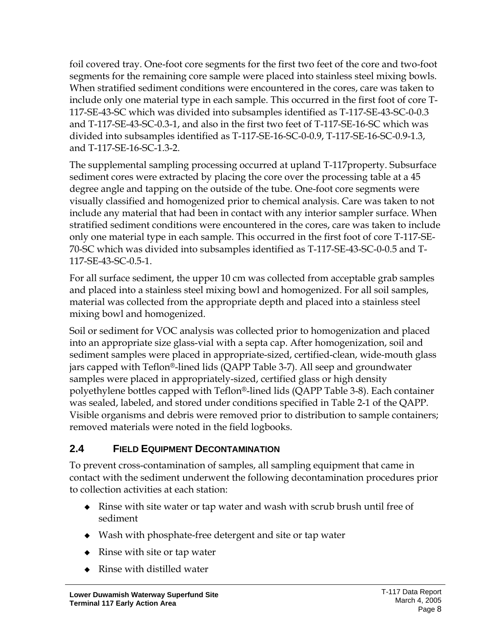foil covered tray. One-foot core segments for the first two feet of the core and two-foot segments for the remaining core sample were placed into stainless steel mixing bowls. When stratified sediment conditions were encountered in the cores, care was taken to include only one material type in each sample. This occurred in the first foot of core T-117-SE-43-SC which was divided into subsamples identified as T-117-SE-43-SC-0-0.3 and T-117-SE-43-SC-0.3-1, and also in the first two feet of T-117-SE-16-SC which was divided into subsamples identified as T-117-SE-16-SC-0-0.9, T-117-SE-16-SC-0.9-1.3, and T-117-SE-16-SC-1.3-2.

The supplemental sampling processing occurred at upland T-117property. Subsurface sediment cores were extracted by placing the core over the processing table at a 45 degree angle and tapping on the outside of the tube. One-foot core segments were visually classified and homogenized prior to chemical analysis. Care was taken to not include any material that had been in contact with any interior sampler surface. When stratified sediment conditions were encountered in the cores, care was taken to include only one material type in each sample. This occurred in the first foot of core T-117-SE-70-SC which was divided into subsamples identified as T-117-SE-43-SC-0-0.5 and T-117-SE-43-SC-0.5-1.

For all surface sediment, the upper 10 cm was collected from acceptable grab samples and placed into a stainless steel mixing bowl and homogenized. For all soil samples, material was collected from the appropriate depth and placed into a stainless steel mixing bowl and homogenized.

Soil or sediment for VOC analysis was collected prior to homogenization and placed into an appropriate size glass-vial with a septa cap. After homogenization, soil and sediment samples were placed in appropriate-sized, certified-clean, wide-mouth glass jars capped with  $\text{Teflon}^{\text{\tiny\textregistered}}\text{-}$ lined lids (QAPP Table 3-7). All seep and groundwater samples were placed in appropriately-sized, certified glass or high density polyethylene bottles capped with Teflon®-lined lids (QAPP Table 3-8). Each container was sealed, labeled, and stored under conditions specified in Table 2-1 of the QAPP. Visible organisms and debris were removed prior to distribution to sample containers; removed materials were noted in the field logbooks.

### <span id="page-12-0"></span>**2.4 FIELD EQUIPMENT DECONTAMINATION**

To prevent cross-contamination of samples, all sampling equipment that came in contact with the sediment underwent the following decontamination procedures prior to collection activities at each station:

- $\bullet$  Rinse with site water or tap water and wash with scrub brush until free of sediment
- Wash with phosphate-free detergent and site or tap water
- $\bullet$  Rinse with site or tap water
- $\bullet$  Rinse with distilled water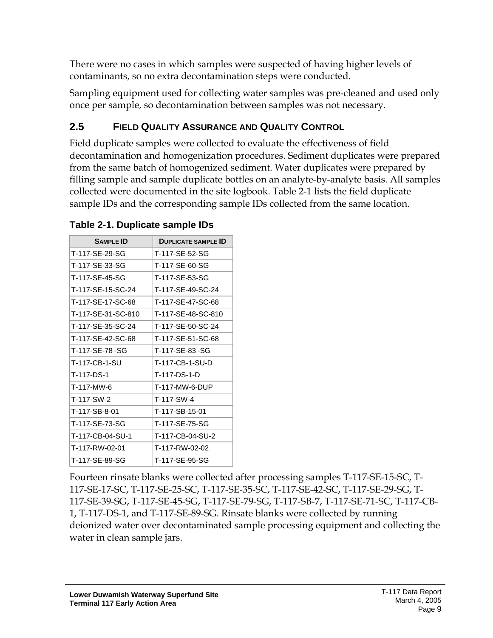There were no cases in which samples were suspected of having higher levels of contaminants, so no extra decontamination steps were conducted.

Sampling equipment used for collecting water samples was pre-cleaned and used only once per sample, so decontamination between samples was not necessary.

# <span id="page-13-0"></span>**2.5 FIELD QUALITY ASSURANCE AND QUALITY CONTROL**

Field duplicate samples were collected to evaluate the effectiveness of field decontamination and homogenization procedures. Sediment duplicates were prepared from the same batch of homogenized sediment. Water duplicates were prepared by filling sample and sample duplicate bottles on an analyte-by-analyte basis. All samples collected were documented in the site logbook. Table 2-1 lists the field duplicate sample IDs and the corresponding sample IDs collected from the same location.

| <b>SAMPLE ID</b>   | <b>DUPLICATE SAMPLE ID</b> |
|--------------------|----------------------------|
| T-117-SE-29-SG     | T-117-SE-52-SG             |
| T-117-SE-33-SG     | T-117-SE-60-SG             |
| T-117-SE-45-SG     | T-117-SE-53-SG             |
| T-117-SE-15-SC-24  | T-117-SE-49-SC-24          |
| T-117-SE-17-SC-68  | T-117-SE-47-SC-68          |
| T-117-SE-31-SC-810 | T-117-SE-48-SC-810         |
| T-117-SE-35-SC-24  | T-117-SE-50-SC-24          |
| T-117-SE-42-SC-68  | T-117-SE-51-SC-68          |
| T-117-SE-78 -SG    | T-117-SE-83-SG             |
| T-117-CB-1-SU      | T-117-CB-1-SU-D            |
| T-117-DS-1         | T-117-DS-1-D               |
| T-117-MW-6         | T-117-MW-6-DUP             |
| T-117-SW-2         | T-117-SW-4                 |
| T-117-SB-8-01      | T-117-SB-15-01             |
| T-117-SE-73-SG     | T-117-SE-75-SG             |
| T-117-CB-04-SU-1   | T-117-CB-04-SU-2           |
| T-117-RW-02-01     | T-117-RW-02-02             |
| T-117-SE-89-SG     | T-117-SE-95-SG             |

### <span id="page-13-1"></span>**Table 2-1. Duplicate sample IDs**

Fourteen rinsate blanks were collected after processing samples T-117-SE-15-SC, T-117-SE-17-SC, T-117-SE-25-SC, T-117-SE-35-SC, T-117-SE-42-SC, T-117-SE-29-SG, T-117-SE-39-SG, T-117-SE-45-SG, T-117-SE-79-SG, T-117-SB-7, T-117-SE-71-SC, T-117-CB-1, T-117-DS-1, and T-117-SE-89-SG. Rinsate blanks were collected by running deionized water over decontaminated sample processing equipment and collecting the water in clean sample jars.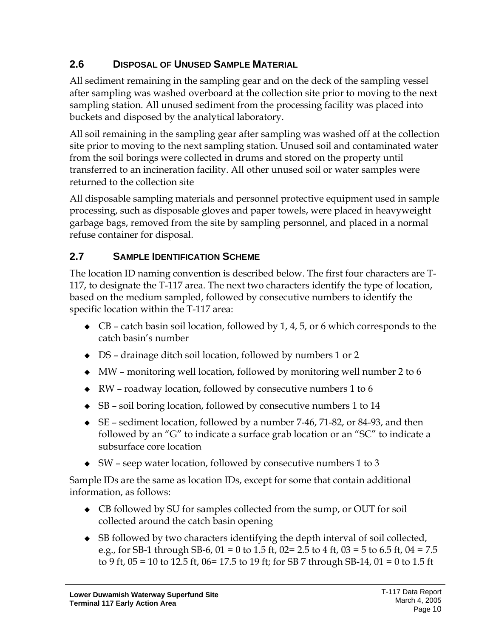## <span id="page-14-0"></span>**2.6 DISPOSAL OF UNUSED SAMPLE MATERIAL**

All sediment remaining in the sampling gear and on the deck of the sampling vessel after sampling was washed overboard at the collection site prior to moving to the next sampling station. All unused sediment from the processing facility was placed into buckets and disposed by the analytical laboratory.

All soil remaining in the sampling gear after sampling was washed off at the collection site prior to moving to the next sampling station. Unused soil and contaminated water from the soil borings were collected in drums and stored on the property until transferred to an incineration facility. All other unused soil or water samples were returned to the collection site

All disposable sampling materials and personnel protective equipment used in sample processing, such as disposable gloves and paper towels, were placed in heavyweight garbage bags, removed from the site by sampling personnel, and placed in a normal refuse container for disposal.

### <span id="page-14-1"></span>**2.7 SAMPLE IDENTIFICATION SCHEME**

The location ID naming convention is described below. The first four characters are T-117, to designate the T-117 area. The next two characters identify the type of location, based on the medium sampled, followed by consecutive numbers to identify the specific location within the T-117 area:

- $\bullet$  CB catch basin soil location, followed by 1, 4, 5, or 6 which corresponds to the catch basinís number
- $\bullet$  DS drainage ditch soil location, followed by numbers 1 or 2
- $\bullet$  MW monitoring well location, followed by monitoring well number 2 to 6
- $\blacklozenge$  RW roadway location, followed by consecutive numbers 1 to 6
- $\bullet$  SB soil boring location, followed by consecutive numbers 1 to 14
- $\bullet$  SE sediment location, followed by a number 7-46, 71-82, or 84-93, and then followed by an " $G$ " to indicate a surface grab location or an " $SC$ " to indicate a subsurface core location
- $\bullet$  SW seep water location, followed by consecutive numbers 1 to 3

Sample IDs are the same as location IDs, except for some that contain additional information, as follows:

- CB followed by SU for samples collected from the sump, or OUT for soil collected around the catch basin opening
- $\bullet$  SB followed by two characters identifying the depth interval of soil collected, e.g., for SB-1 through SB-6,  $01 = 0$  to 1.5 ft,  $02 = 2.5$  to 4 ft,  $03 = 5$  to 6.5 ft,  $04 = 7.5$ to 9 ft, 05 = 10 to 12.5 ft, 06= 17.5 to 19 ft; for SB 7 through SB-14, 01 = 0 to 1.5 ft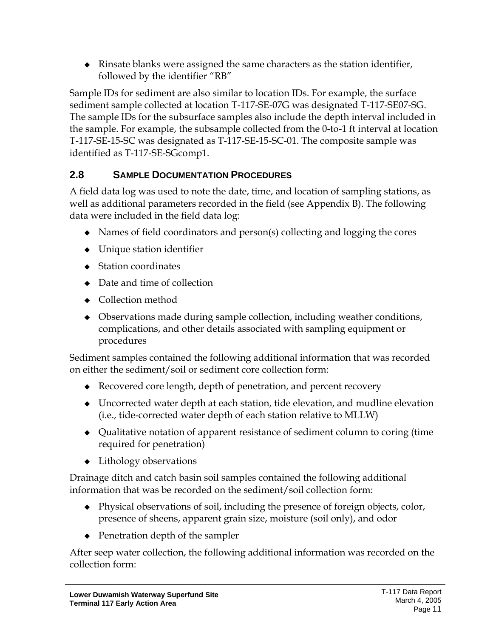$\bullet$  Rinsate blanks were assigned the same characters as the station identifier, followed by the identifier "RB"

Sample IDs for sediment are also similar to location IDs. For example, the surface sediment sample collected at location T-117-SE-07G was designated T-117-SE07-SG. The sample IDs for the subsurface samples also include the depth interval included in the sample. For example, the subsample collected from the 0-to-1 ft interval at location T-117-SE-15-SC was designated as T-117-SE-15-SC-01. The composite sample was identified as T-117-SE-SGcomp1.

### <span id="page-15-0"></span>**2.8 SAMPLE DOCUMENTATION PROCEDURES**

A field data log was used to note the date, time, and location of sampling stations, as well as additional parameters recorded in the field (see Appendix B). The following data were included in the field data log:

- $\blacklozenge$  Names of field coordinators and person(s) collecting and logging the cores
- $\bullet$  Unique station identifier
- $\triangleleft$  Station coordinates
- $\rightarrow$  Date and time of collection
- $\bullet$  Collection method
- Observations made during sample collection, including weather conditions, complications, and other details associated with sampling equipment or procedures

Sediment samples contained the following additional information that was recorded on either the sediment/soil or sediment core collection form:

- $\triangle$  Recovered core length, depth of penetration, and percent recovery
- $\bullet$  Uncorrected water depth at each station, tide elevation, and mudline elevation (i.e., tide-corrected water depth of each station relative to MLLW)
- $\bullet$  Qualitative notation of apparent resistance of sediment column to coring (time required for penetration)
- $\triangleleft$  Lithology observations

Drainage ditch and catch basin soil samples contained the following additional information that was be recorded on the sediment/soil collection form:

- $\bullet$  Physical observations of soil, including the presence of foreign objects, color, presence of sheens, apparent grain size, moisture (soil only), and odor
- $\triangle$  Penetration depth of the sampler

After seep water collection, the following additional information was recorded on the collection form: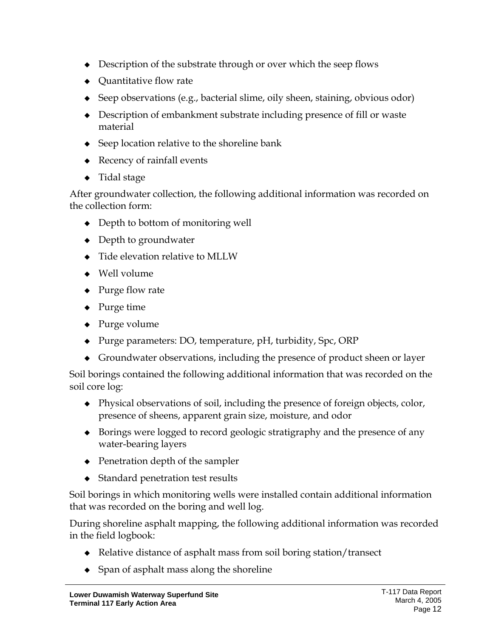- $\bullet$  Description of the substrate through or over which the seep flows
- $\triangleleft$  Ouantitative flow rate
- $\bullet$  Seep observations (e.g., bacterial slime, oily sheen, staining, obvious odor)
- Description of embankment substrate including presence of fill or waste material
- $\triangleleft$  Seep location relative to the shoreline bank
- $\triangleleft$  Recency of rainfall events
- $\bullet$  Tidal stage

After groundwater collection, the following additional information was recorded on the collection form:

- $\bullet$  Depth to bottom of monitoring well
- $\rightarrow$  Depth to groundwater
- $\bullet$  Tide elevation relative to MLLW
- $\leftrightarrow$  Well volume
- $\bullet$  Purge flow rate
- $\bullet$  Purge time
- $\leftarrow$  Purge volume
- Purge parameters: DO, temperature, pH, turbidity, Spc, ORP
- " Groundwater observations, including the presence of product sheen or layer

Soil borings contained the following additional information that was recorded on the soil core log:

- $\bullet$  Physical observations of soil, including the presence of foreign objects, color, presence of sheens, apparent grain size, moisture, and odor
- Borings were logged to record geologic stratigraphy and the presence of any water-bearing layers
- $\triangle$  Penetration depth of the sampler
- Standard penetration test results

Soil borings in which monitoring wells were installed contain additional information that was recorded on the boring and well log.

During shoreline asphalt mapping, the following additional information was recorded in the field logbook:

- Relative distance of asphalt mass from soil boring station/transect
- $\bullet$  Span of asphalt mass along the shoreline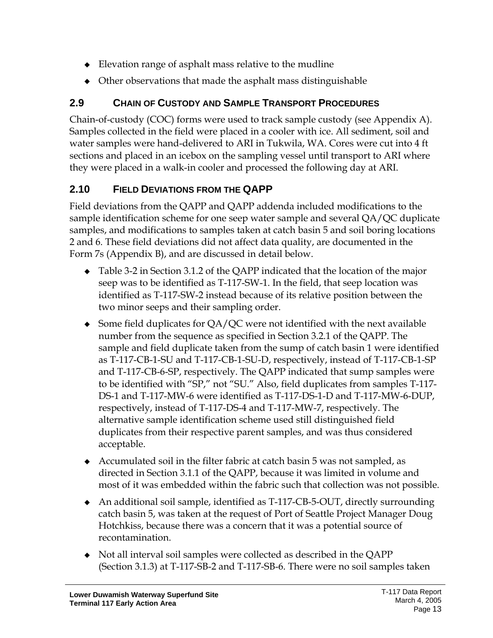- $\triangle$  Elevation range of asphalt mass relative to the mudline
- $\bullet$  Other observations that made the asphalt mass distinguishable

# <span id="page-17-0"></span>**2.9 CHAIN OF CUSTODY AND SAMPLE TRANSPORT PROCEDURES**

Chain-of-custody (COC) forms were used to track sample custody (see Appendix A). Samples collected in the field were placed in a cooler with ice. All sediment, soil and water samples were hand-delivered to ARI in Tukwila, WA. Cores were cut into 4 ft sections and placed in an icebox on the sampling vessel until transport to ARI where they were placed in a walk-in cooler and processed the following day at ARI.

# <span id="page-17-1"></span>**2.10 FIELD DEVIATIONS FROM THE QAPP**

Field deviations from the QAPP and QAPP addenda included modifications to the sample identification scheme for one seep water sample and several QA/QC duplicate samples, and modifications to samples taken at catch basin 5 and soil boring locations 2 and 6. These field deviations did not affect data quality, are documented in the Form 7s (Appendix B), and are discussed in detail below.

- Table 3-2 in Section 3.1.2 of the QAPP indicated that the location of the major seep was to be identified as T-117-SW-1. In the field, that seep location was identified as T-117-SW-2 instead because of its relative position between the two minor seeps and their sampling order.
- $\bullet$  Some field duplicates for QA/QC were not identified with the next available number from the sequence as specified in Section 3.2.1 of the QAPP. The sample and field duplicate taken from the sump of catch basin 1 were identified as T-117-CB-1-SU and T-117-CB-1-SU-D, respectively, instead of T-117-CB-1-SP and T-117-CB-6-SP, respectively. The QAPP indicated that sump samples were to be identified with "SP," not "SU." Also, field duplicates from samples T-117-DS-1 and T-117-MW-6 were identified as T-117-DS-1-D and T-117-MW-6-DUP, respectively, instead of T-117-DS-4 and T-117-MW-7, respectively. The alternative sample identification scheme used still distinguished field duplicates from their respective parent samples, and was thus considered acceptable.
- $\triangle$  Accumulated soil in the filter fabric at catch basin 5 was not sampled, as directed in Section 3.1.1 of the QAPP, because it was limited in volume and most of it was embedded within the fabric such that collection was not possible.
- $\triangle$  An additional soil sample, identified as T-117-CB-5-OUT, directly surrounding catch basin 5, was taken at the request of Port of Seattle Project Manager Doug Hotchkiss, because there was a concern that it was a potential source of recontamination.
- $\bullet$  Not all interval soil samples were collected as described in the QAPP (Section 3.1.3) at T-117-SB-2 and T-117-SB-6. There were no soil samples taken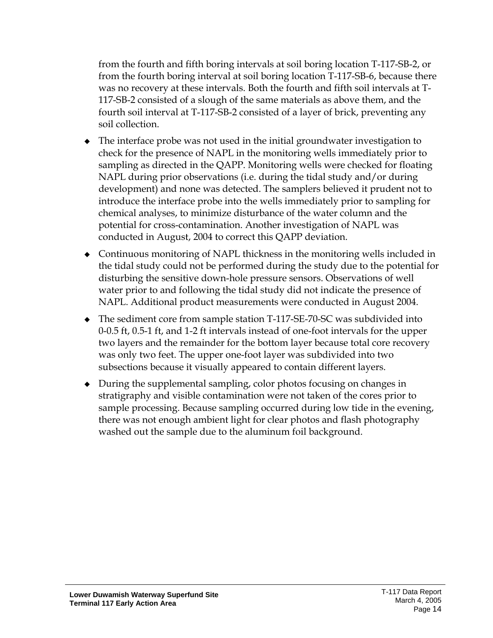from the fourth and fifth boring intervals at soil boring location T-117-SB-2, or from the fourth boring interval at soil boring location T-117-SB-6, because there was no recovery at these intervals. Both the fourth and fifth soil intervals at T-117-SB-2 consisted of a slough of the same materials as above them, and the fourth soil interval at T-117-SB-2 consisted of a layer of brick, preventing any soil collection.

- The interface probe was not used in the initial groundwater investigation to check for the presence of NAPL in the monitoring wells immediately prior to sampling as directed in the QAPP. Monitoring wells were checked for floating NAPL during prior observations (i.e. during the tidal study and/or during development) and none was detected. The samplers believed it prudent not to introduce the interface probe into the wells immediately prior to sampling for chemical analyses, to minimize disturbance of the water column and the potential for cross-contamination. Another investigation of NAPL was conducted in August, 2004 to correct this QAPP deviation.
- Continuous monitoring of NAPL thickness in the monitoring wells included in the tidal study could not be performed during the study due to the potential for disturbing the sensitive down-hole pressure sensors. Observations of well water prior to and following the tidal study did not indicate the presence of NAPL. Additional product measurements were conducted in August 2004.
- The sediment core from sample station T-117-SE-70-SC was subdivided into 0-0.5 ft, 0.5-1 ft, and 1-2 ft intervals instead of one-foot intervals for the upper two layers and the remainder for the bottom layer because total core recovery was only two feet. The upper one-foot layer was subdivided into two subsections because it visually appeared to contain different layers.
- $\bullet$  During the supplemental sampling, color photos focusing on changes in stratigraphy and visible contamination were not taken of the cores prior to sample processing. Because sampling occurred during low tide in the evening, there was not enough ambient light for clear photos and flash photography washed out the sample due to the aluminum foil background.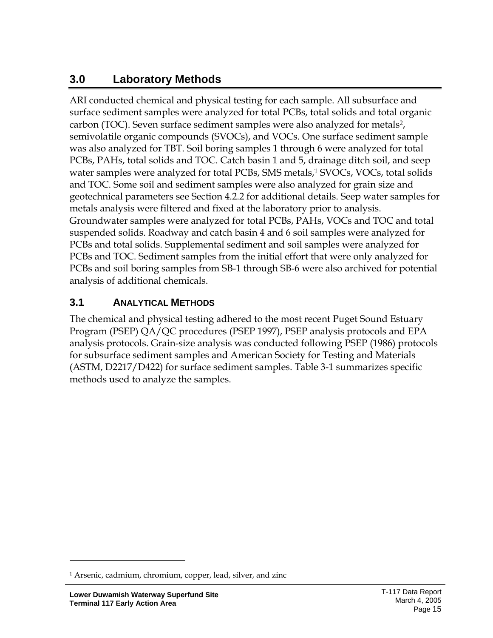# <span id="page-19-0"></span>**3.0 Laboratory Methods**

ARI conducted chemical and physical testing for each sample. All subsurface and surface sediment samples were analyzed for total PCBs, total solids and total organic carbon (TOC). Seven surface sediment samples were also analyzed for metals<sup>2</sup>, semivolatile organic compounds (SVOCs), and VOCs. One surface sediment sample was also analyzed for TBT. Soil boring samples 1 through 6 were analyzed for total PCBs, PAHs, total solids and TOC. Catch basin 1 and 5, drainage ditch soil, and seep water samples were analyzed for total PCBs, SMS metals,<sup>1</sup> SVOCs, VOCs, total solids and TOC. Some soil and sediment samples were also analyzed for grain size and geotechnical parameters see Section 4.2.2 for additional details. Seep water samples for metals analysis were filtered and fixed at the laboratory prior to analysis. Groundwater samples were analyzed for total PCBs, PAHs, VOCs and TOC and total suspended solids. Roadway and catch basin 4 and 6 soil samples were analyzed for PCBs and total solids. Supplemental sediment and soil samples were analyzed for PCBs and TOC. Sediment samples from the initial effort that were only analyzed for PCBs and soil boring samples from SB-1 through SB-6 were also archived for potential analysis of additional chemicals.

### <span id="page-19-1"></span>**3.1 ANALYTICAL METHODS**

The chemical and physical testing adhered to the most recent Puget Sound Estuary Program (PSEP) QA/QC procedures (PSEP 1997), PSEP analysis protocols and EPA analysis protocols. Grain-size analysis was conducted following PSEP (1986) protocols for subsurface sediment samples and American Society for Testing and Materials (ASTM, D2217/D422) for surface sediment samples. Table 3-1 summarizes specific methods used to analyze the samples.

 $\overline{a}$ 

<span id="page-19-2"></span><sup>1</sup> Arsenic, cadmium, chromium, copper, lead, silver, and zinc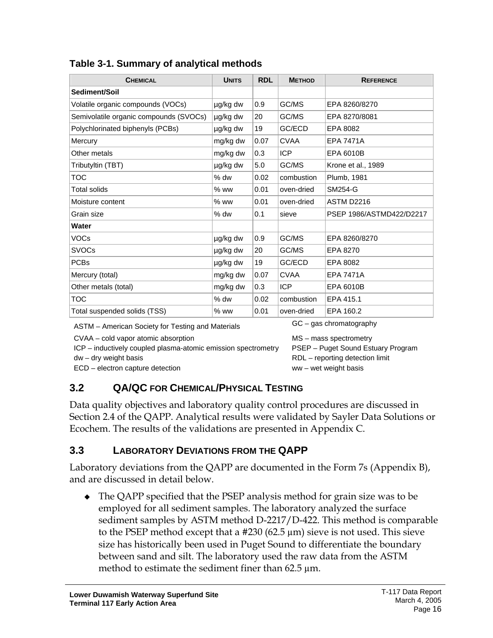| <b>CHEMICAL</b>                                                                | <b>UNITS</b> | <b>RDL</b> | <b>METHOD</b> | <b>REFERENCE</b>         |  |  |
|--------------------------------------------------------------------------------|--------------|------------|---------------|--------------------------|--|--|
| Sediment/Soil                                                                  |              |            |               |                          |  |  |
| Volatile organic compounds (VOCs)                                              | µg/kg dw     | 0.9        | GC/MS         | EPA 8260/8270            |  |  |
| Semivolatile organic compounds (SVOCs)                                         | µg/kg dw     | 20         | GC/MS         | EPA 8270/8081            |  |  |
| Polychlorinated biphenyls (PCBs)                                               | µg/kg dw     | 19         | GC/ECD        | EPA 8082                 |  |  |
| Mercury                                                                        | mg/kg dw     | 0.07       | <b>CVAA</b>   | <b>EPA 7471A</b>         |  |  |
| Other metals                                                                   | mg/kg dw     | 0.3        | <b>ICP</b>    | EPA 6010B                |  |  |
| Tributyltin (TBT)                                                              | µg/kg dw     | 5.0        | GC/MS         | Krone et al., 1989       |  |  |
| <b>TOC</b>                                                                     | $%$ dw       | 0.02       | combustion    | Plumb, 1981              |  |  |
| <b>Total solids</b>                                                            | $%$ ww       | 0.01       | oven-dried    | <b>SM254-G</b>           |  |  |
| Moisture content                                                               | $%$ ww       | 0.01       | oven-dried    | ASTM D2216               |  |  |
| Grain size                                                                     | % dw         | 0.1        | sieve         | PSEP 1986/ASTMD422/D2217 |  |  |
| <b>Water</b>                                                                   |              |            |               |                          |  |  |
| <b>VOCs</b>                                                                    | µg/kg dw     | 0.9        | GC/MS         | EPA 8260/8270            |  |  |
| <b>SVOCs</b>                                                                   | µg/kg dw     | 20         | GC/MS         | EPA 8270                 |  |  |
| <b>PCBs</b>                                                                    | µg/kg dw     | 19         | GC/ECD        | EPA 8082                 |  |  |
| Mercury (total)                                                                | mg/kg dw     | 0.07       | <b>CVAA</b>   | <b>EPA 7471A</b>         |  |  |
| Other metals (total)                                                           | mg/kg dw     | 0.3        | <b>ICP</b>    | <b>EPA 6010B</b>         |  |  |
| TOC                                                                            | % dw         | 0.02       | combustion    | EPA 415.1                |  |  |
| Total suspended solids (TSS)                                                   | $%$ ww       | 0.01       | oven-dried    | EPA 160.2                |  |  |
| $GC - gas$ chromatography<br>ASTM – American Society for Testing and Materials |              |            |               |                          |  |  |

<span id="page-20-2"></span>

|  |  | Table 3-1. Summary of analytical methods |  |  |  |
|--|--|------------------------------------------|--|--|--|
|--|--|------------------------------------------|--|--|--|

CVAA – cold vapor atomic absorption MS – mass spectrometry ICP – inductively coupled plasma-atomic emission spectrometry PSEP – Puget Sound Estuary Program dw – dry weight basis RDL – reporting detection limit ECD – electron capture detection ww – wet weight basis

# <span id="page-20-0"></span>**3.2 QA/QC FOR CHEMICAL/PHYSICAL TESTING**

Data quality objectives and laboratory quality control procedures are discussed in Section 2.4 of the QAPP. Analytical results were validated by Sayler Data Solutions or Ecochem. The results of the validations are presented in Appendix C.

### <span id="page-20-1"></span>**3.3 LABORATORY DEVIATIONS FROM THE QAPP**

Laboratory deviations from the QAPP are documented in the Form 7s (Appendix B), and are discussed in detail below.

• The QAPP specified that the PSEP analysis method for grain size was to be employed for all sediment samples. The laboratory analyzed the surface sediment samples by ASTM method D-2217/D-422. This method is comparable to the PSEP method except that a  $\#230$  (62.5  $\mu$ m) sieve is not used. This sieve size has historically been used in Puget Sound to differentiate the boundary between sand and silt. The laboratory used the raw data from the ASTM method to estimate the sediment finer than  $62.5 \mu m$ .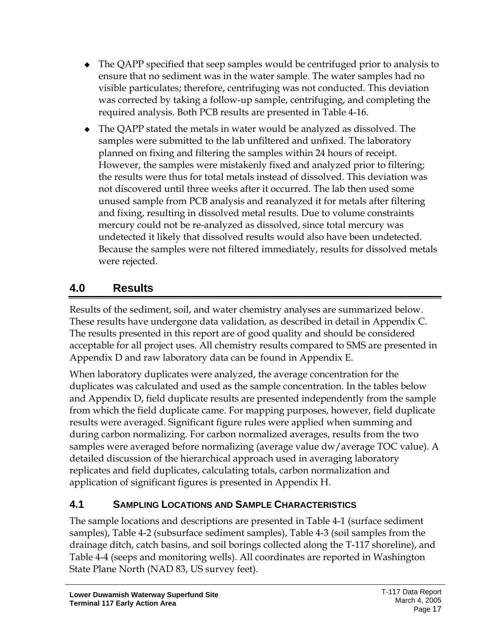- $\bullet$  The QAPP specified that seep samples would be centrifuged prior to analysis to ensure that no sediment was in the water sample. The water samples had no visible particulates; therefore, centrifuging was not conducted. This deviation was corrected by taking a follow-up sample, centrifuging, and completing the required analysis. Both PCB results are presented in Table 4-16.
- $\bullet$  The QAPP stated the metals in water would be analyzed as dissolved. The samples were submitted to the lab unfiltered and unfixed. The laboratory planned on fixing and filtering the samples within 24 hours of receipt. However, the samples were mistakenly fixed and analyzed prior to filtering; the results were thus for total metals instead of dissolved. This deviation was not discovered until three weeks after it occurred. The lab then used some unused sample from PCB analysis and reanalyzed it for metals after filtering and fixing, resulting in dissolved metal results. Due to volume constraints mercury could not be re-analyzed as dissolved, since total mercury was undetected it likely that dissolved results would also have been undetected. Because the samples were not filtered immediately, results for dissolved metals were rejected.

# <span id="page-21-0"></span>**4.0 Results**

Results of the sediment, soil, and water chemistry analyses are summarized below. These results have undergone data validation, as described in detail in Appendix C. The results presented in this report are of good quality and should be considered acceptable for all project uses. All chemistry results compared to SMS are presented in Appendix D and raw laboratory data can be found in Appendix E.

When laboratory duplicates were analyzed, the average concentration for the duplicates was calculated and used as the sample concentration. In the tables below and Appendix D, field duplicate results are presented independently from the sample from which the field duplicate came. For mapping purposes, however, field duplicate results were averaged. Significant figure rules were applied when summing and during carbon normalizing. For carbon normalized averages, results from the two samples were averaged before normalizing (average value dw/average TOC value). A detailed discussion of the hierarchical approach used in averaging laboratory replicates and field duplicates, calculating totals, carbon normalization and application of significant figures is presented in Appendix H.

# <span id="page-21-1"></span>**4.1 SAMPLING LOCATIONS AND SAMPLE CHARACTERISTICS**

The sample locations and descriptions are presented in Table 4-1 (surface sediment samples), Table 4-2 (subsurface sediment samples), Table 4-3 (soil samples from the drainage ditch, catch basins, and soil borings collected along the T-117 shoreline), and Table 4-4 (seeps and monitoring wells). All coordinates are reported in Washington State Plane North (NAD 83, US survey feet).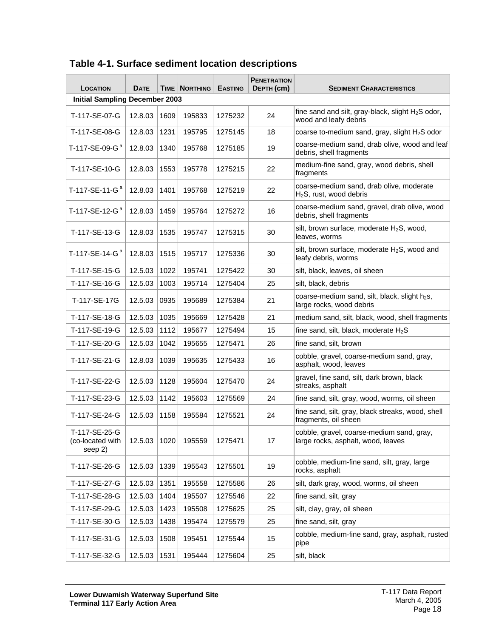| LOCATION                                     | <b>DATE</b> |      | TIME   NORTHING | <b>EASTING</b> | <b>PENETRATION</b><br>DEPTH (cm) | <b>SEDIMENT CHARACTERISTICS</b>                                                        |
|----------------------------------------------|-------------|------|-----------------|----------------|----------------------------------|----------------------------------------------------------------------------------------|
| <b>Initial Sampling December 2003</b>        |             |      |                 |                |                                  |                                                                                        |
| T-117-SE-07-G                                | 12.8.03     | 1609 | 195833          | 1275232        | 24                               | fine sand and silt, gray-black, slight H <sub>2</sub> S odor,<br>wood and leafy debris |
| T-117-SE-08-G                                | 12.8.03     | 1231 | 195795          | 1275145        | 18                               | coarse to-medium sand, gray, slight H <sub>2</sub> S odor                              |
| T-117-SE-09-G <sup>a</sup>                   | 12.8.03     | 1340 | 195768          | 1275185        | 19                               | coarse-medium sand, drab olive, wood and leaf<br>debris, shell fragments               |
| T-117-SE-10-G                                | 12.8.03     | 1553 | 195778          | 1275215        | 22                               | medium-fine sand, gray, wood debris, shell<br>fragments                                |
| T-117-SE-11-G <sup>a</sup>                   | 12.8.03     | 1401 | 195768          | 1275219        | 22                               | coarse-medium sand, drab olive, moderate<br>H <sub>2</sub> S, rust, wood debris        |
| T-117-SE-12-G <sup>a</sup>                   | 12.8.03     | 1459 | 195764          | 1275272        | 16                               | coarse-medium sand, gravel, drab olive, wood<br>debris, shell fragments                |
| T-117-SE-13-G                                | 12.8.03     | 1535 | 195747          | 1275315        | 30                               | silt, brown surface, moderate H <sub>2</sub> S, wood,<br>leaves, worms                 |
| T-117-SE-14-G <sup>a</sup>                   | 12.8.03     | 1515 | 195717          | 1275336        | 30                               | silt, brown surface, moderate $H_2S$ , wood and<br>leafy debris, worms                 |
| T-117-SE-15-G                                | 12.5.03     | 1022 | 195741          | 1275422        | 30                               | silt, black, leaves, oil sheen                                                         |
| T-117-SE-16-G                                | 12.5.03     | 1003 | 195714          | 1275404        | 25                               | silt, black, debris                                                                    |
| T-117-SE-17G                                 | 12.5.03     | 0935 | 195689          | 1275384        | 21                               | coarse-medium sand, silt, black, slight h2s,<br>large rocks, wood debris               |
| T-117-SE-18-G                                | 12.5.03     | 1035 | 195669          | 1275428        | 21                               | medium sand, silt, black, wood, shell fragments                                        |
| T-117-SE-19-G                                | 12.5.03     | 1112 | 195677          | 1275494        | 15                               | fine sand, silt, black, moderate $H_2S$                                                |
| T-117-SE-20-G                                | 12.5.03     | 1042 | 195655          | 1275471        | 26                               | fine sand, silt, brown                                                                 |
| T-117-SE-21-G                                | 12.8.03     | 1039 | 195635          | 1275433        | 16                               | cobble, gravel, coarse-medium sand, gray,<br>asphalt, wood, leaves                     |
| T-117-SE-22-G                                | 12.5.03     | 1128 | 195604          | 1275470        | 24                               | gravel, fine sand, silt, dark brown, black<br>streaks, asphalt                         |
| T-117-SE-23-G                                | 12.5.03     | 1142 | 195603          | 1275569        | 24                               | fine sand, silt, gray, wood, worms, oil sheen                                          |
| T-117-SE-24-G                                | 12.5.03     | 1158 | 195584          | 1275521        | 24                               | fine sand, silt, gray, black streaks, wood, shell<br>fragments, oil sheen              |
| T-117-SE-25-G<br>(co-located with<br>seep 2) | 12.5.03     | 1020 | 195559          | 1275471        | 17                               | cobble, gravel, coarse-medium sand, gray,<br>large rocks, asphalt, wood, leaves        |
| T-117-SE-26-G                                | 12.5.03     | 1339 | 195543          | 1275501        | 19                               | cobble, medium-fine sand, silt, gray, large<br>rocks, asphalt                          |
| T-117-SE-27-G                                | 12.5.03     | 1351 | 195558          | 1275586        | 26                               | silt, dark gray, wood, worms, oil sheen                                                |
| T-117-SE-28-G                                | 12.5.03     | 1404 | 195507          | 1275546        | 22                               | fine sand, silt, gray                                                                  |
| T-117-SE-29-G                                | 12.5.03     | 1423 | 195508          | 1275625        | 25                               | silt, clay, gray, oil sheen                                                            |
| T-117-SE-30-G                                | 12.5.03     | 1438 | 195474          | 1275579        | 25                               | fine sand, silt, gray                                                                  |
| T-117-SE-31-G                                | 12.5.03     | 1508 | 195451          | 1275544        | 15                               | cobble, medium-fine sand, gray, asphalt, rusted<br>pipe                                |
| T-117-SE-32-G                                | 12.5.03     | 1531 | 195444          | 1275604        | 25                               | silt, black                                                                            |

### <span id="page-22-0"></span>**Table 4-1. Surface sediment location descriptions**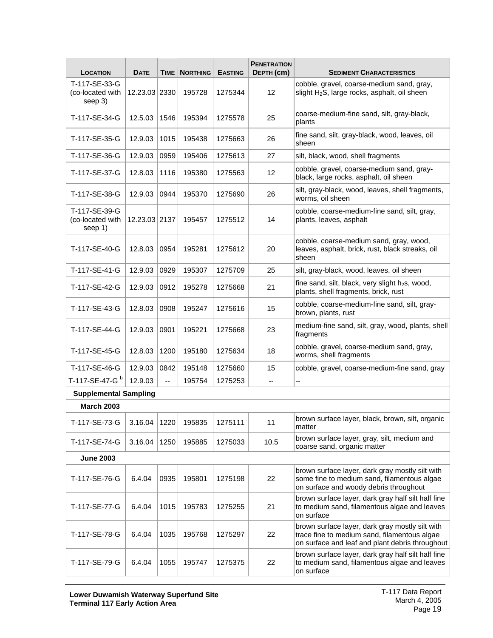| LOCATION                                     | <b>DATE</b>   |      | <b>TIME   NORTHING</b> | <b>EASTING</b> | <b>PENETRATION</b><br>DEPTH (cm) | <b>SEDIMENT CHARACTERISTICS</b>                                                                                                                    |  |
|----------------------------------------------|---------------|------|------------------------|----------------|----------------------------------|----------------------------------------------------------------------------------------------------------------------------------------------------|--|
| T-117-SE-33-G<br>(co-located with<br>seep 3) | 12.23.03 2330 |      | 195728                 | 1275344        | 12                               | cobble, gravel, coarse-medium sand, gray,<br>slight H <sub>2</sub> S, large rocks, asphalt, oil sheen                                              |  |
| T-117-SE-34-G                                | 12.5.03       | 1546 | 195394                 | 1275578        | 25                               | coarse-medium-fine sand, silt, gray-black,<br>plants                                                                                               |  |
| T-117-SE-35-G                                | 12.9.03       | 1015 | 195438                 | 1275663        | 26                               | fine sand, silt, gray-black, wood, leaves, oil<br>sheen                                                                                            |  |
| T-117-SE-36-G                                | 12.9.03       | 0959 | 195406                 | 1275613        | 27                               | silt, black, wood, shell fragments                                                                                                                 |  |
| T-117-SE-37-G                                | 12.8.03       | 1116 | 195380                 | 1275563        | 12                               | cobble, gravel, coarse-medium sand, gray-<br>black, large rocks, asphalt, oil sheen                                                                |  |
| T-117-SE-38-G                                | 12.9.03       | 0944 | 195370                 | 1275690        | 26                               | silt, gray-black, wood, leaves, shell fragments,<br>worms, oil sheen                                                                               |  |
| T-117-SE-39-G<br>(co-located with<br>seep 1) | 12.23.03 2137 |      | 195457                 | 1275512        | 14                               | cobble, coarse-medium-fine sand, silt, gray,<br>plants, leaves, asphalt                                                                            |  |
| T-117-SE-40-G                                | 12.8.03       | 0954 | 195281                 | 1275612        | 20                               | cobble, coarse-medium sand, gray, wood,<br>leaves, asphalt, brick, rust, black streaks, oil<br>sheen                                               |  |
| T-117-SE-41-G                                | 12.9.03       | 0929 | 195307                 | 1275709        | 25                               | silt, gray-black, wood, leaves, oil sheen                                                                                                          |  |
| T-117-SE-42-G                                | 12.9.03       | 0912 | 195278                 | 1275668        | 21                               | fine sand, silt, black, very slight h <sub>2</sub> s, wood,<br>plants, shell fragments, brick, rust                                                |  |
| T-117-SE-43-G                                | 12.8.03       | 0908 | 195247                 | 1275616        | 15                               | cobble, coarse-medium-fine sand, silt, gray-<br>brown, plants, rust                                                                                |  |
| T-117-SE-44-G                                | 12.9.03       | 0901 | 195221                 | 1275668        | 23                               | medium-fine sand, silt, gray, wood, plants, shell<br>fragments                                                                                     |  |
| T-117-SE-45-G                                | 12.8.03       | 1200 | 195180                 | 1275634        | 18                               | cobble, gravel, coarse-medium sand, gray,<br>worms, shell fragments                                                                                |  |
| T-117-SE-46-G                                | 12.9.03       | 0842 | 195148                 | 1275660        | 15                               | cobble, gravel, coarse-medium-fine sand, gray                                                                                                      |  |
| T-117-SE-47-G <sup>b</sup>                   | 12.9.03       | Ξ.   | 195754                 | 1275253        | --                               | --                                                                                                                                                 |  |
| <b>Supplemental Sampling</b>                 |               |      |                        |                |                                  |                                                                                                                                                    |  |
| <b>March 2003</b>                            |               |      |                        |                |                                  |                                                                                                                                                    |  |
| T-117-SE-73-G                                | 3.16.04       | 1220 | 195835                 | 1275111        | 11                               | brown surface layer, black, brown, silt, organic<br>matter                                                                                         |  |
| T-117-SE-74-G                                | 3.16.04       | 1250 | 195885                 | 1275033        | 10.5                             | brown surface layer, gray, silt, medium and<br>coarse sand, organic matter                                                                         |  |
| <b>June 2003</b>                             |               |      |                        |                |                                  |                                                                                                                                                    |  |
| T-117-SE-76-G                                | 6.4.04        | 0935 | 195801                 | 1275198        | 22                               | brown surface layer, dark gray mostly silt with<br>some fine to medium sand, filamentous algae<br>on surface and woody debris throughout           |  |
| T-117-SE-77-G                                | 6.4.04        | 1015 | 195783                 | 1275255        | 21                               | brown surface layer, dark gray half silt half fine<br>to medium sand, filamentous algae and leaves<br>on surface                                   |  |
| T-117-SE-78-G                                | 6.4.04        | 1035 | 195768                 | 1275297        | 22                               | brown surface layer, dark gray mostly silt with<br>trace fine to medium sand, filamentous algae<br>on surface and leaf and plant debris throughout |  |
| T-117-SE-79-G                                | 6.4.04        | 1055 | 195747                 | 1275375        | 22                               | brown surface layer, dark gray half silt half fine<br>to medium sand, filamentous algae and leaves<br>on surface                                   |  |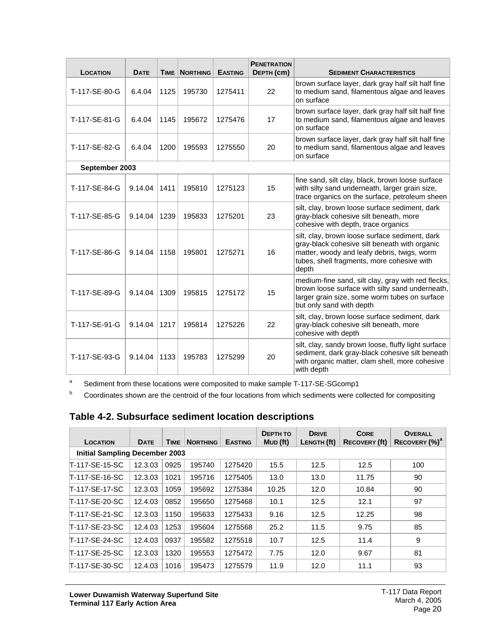| LOCATION       | <b>DATE</b> |      | <b>TIME   NORTHING</b> | <b>EASTING</b> | <b>PENETRATION</b><br>DEPTH (cm)                                                                                                      | <b>SEDIMENT CHARACTERISTICS</b>                                                                                                                                                                       |
|----------------|-------------|------|------------------------|----------------|---------------------------------------------------------------------------------------------------------------------------------------|-------------------------------------------------------------------------------------------------------------------------------------------------------------------------------------------------------|
| T-117-SE-80-G  | 6.4.04      | 1125 | 195730                 | 1275411        | 22                                                                                                                                    | brown surface layer, dark gray half silt half fine<br>to medium sand, filamentous algae and leaves<br>on surface                                                                                      |
| T-117-SE-81-G  | 6.4.04      | 1145 | 195672                 | 1275476        | brown surface layer, dark gray half silt half fine<br>17<br>to medium sand, filamentous algae and leaves<br>on surface                |                                                                                                                                                                                                       |
| T-117-SE-82-G  | 6.4.04      | 1200 | 195593                 | 1275550        | 20                                                                                                                                    | brown surface layer, dark gray half silt half fine<br>to medium sand, filamentous algae and leaves<br>on surface                                                                                      |
| September 2003 |             |      |                        |                |                                                                                                                                       |                                                                                                                                                                                                       |
| T-117-SE-84-G  | 9.14.04     | 1411 | 195810                 | 1275123        | 15                                                                                                                                    | fine sand, silt clay, black, brown loose surface<br>with silty sand underneath, larger grain size,<br>trace organics on the surface, petroleum sheen                                                  |
| T-117-SE-85-G  | 9.14.04     | 1239 | 195833                 | 1275201        | silt, clay, brown loose surface sediment, dark<br>23<br>gray-black cohesive silt beneath, more<br>cohesive with depth, trace organics |                                                                                                                                                                                                       |
| T-117-SE-86-G  | 9.14.04     | 1158 | 195801                 | 1275271        | 16                                                                                                                                    | silt, clay, brown loose surface sediment, dark<br>gray-black cohesive silt beneath with organic<br>matter, woody and leafy debris, twigs, worm<br>tubes, shell fragments, more cohesive with<br>depth |
| T-117-SE-89-G  | 9.14.04     | 1309 | 195815                 | 1275172        | 15                                                                                                                                    | medium-fine sand, silt clay, gray with red flecks,<br>brown loose surface with silty sand underneath,<br>larger grain size, some worm tubes on surface<br>but only sand with depth                    |
| T-117-SE-91-G  | 9.14.04     | 1217 | 195814                 | 1275226        | 22                                                                                                                                    | silt, clay, brown loose surface sediment, dark<br>gray-black cohesive silt beneath, more<br>cohesive with depth                                                                                       |
| T-117-SE-93-G  | 9.14.04     | 1133 | 195783                 | 1275299        | 20                                                                                                                                    | silt, clay, sandy brown loose, fluffy light surface<br>sediment, dark gray-black cohesive silt beneath<br>with organic matter, clam shell, more cohesive<br>with depth                                |

a Sediment from these locations were composited to make sample T-117-SE-SGcomp1

b Coordinates shown are the centroid of the four locations from which sediments were collected for compositing

#### <span id="page-24-0"></span>**Table 4-2. Subsurface sediment location descriptions**

| LOCATION                              | <b>DATE</b> | <b>TIME</b> | <b>NORTHING</b> | <b>EASTING</b> | <b>DEPTH TO</b><br>$MUD$ (ft) | <b>DRIVE</b><br>LENGTH (ft) | <b>CORE</b><br><b>RECOVERY (ft)</b> | <b>OVERALL</b><br>RECOVERY (%) <sup>a</sup> |
|---------------------------------------|-------------|-------------|-----------------|----------------|-------------------------------|-----------------------------|-------------------------------------|---------------------------------------------|
| <b>Initial Sampling December 2003</b> |             |             |                 |                |                               |                             |                                     |                                             |
| IT-117-SE-15-SC                       | 12.3.03     | 0925        | 195740          | 1275420        | 15.5                          | 12.5                        | 12.5                                | 100                                         |
| <b>IT-117-SE-16-SC</b>                | 12.3.03     | 1021        | 195716          | 1275405        | 13.0                          | 13.0                        | 11.75                               | 90                                          |
| <b>IT-117-SE-17-SC</b>                | 12.3.03     | 1059        | 195692          | 1275384        | 10.25                         | 12.0                        | 10.84                               | 90                                          |
| IT-117-SE-20-SC                       | 12.4.03     | 0852        | 195650          | 1275468        | 10.1                          | 12.5                        | 12.1                                | 97                                          |
| <b>IT-117-SE-21-SC</b>                | 12.3.03     | 1150        | 195633          | 1275433        | 9.16                          | 12.5                        | 12.25                               | 98                                          |
| IT-117-SE-23-SC                       | 12.4.03     | 1253        | 195604          | 1275568        | 25.2                          | 11.5                        | 9.75                                | 85                                          |
| IT-117-SE-24-SC                       | 12.4.03     | 0937        | 195582          | 1275518        | 10.7                          | 12.5                        | 11.4                                | 9                                           |
| IT-117-SE-25-SC                       | 12.3.03     | 1320        | 195553          | 1275472        | 7.75                          | 12.0                        | 9.67                                | 81                                          |
| IT-117-SE-30-SC                       | 12.4.03     | 1016        | 195473          | 1275579        | 11.9                          | 12.0                        | 11.1                                | 93                                          |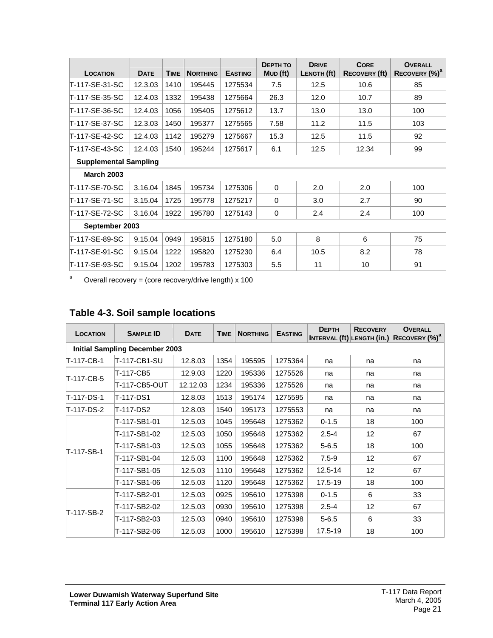| <b>LOCATION</b>       | <b>DATE</b>                  | <b>TIME</b> | <b>NORTHING</b> | <b>EASTING</b> | <b>DEPTH TO</b><br>$MUD$ (ft) | <b>DRIVE</b><br>LENGTH (ft) | <b>CORE</b><br><b>RECOVERY (ft)</b> | <b>OVERALL</b><br>RECOVERY (%) <sup>a</sup> |
|-----------------------|------------------------------|-------------|-----------------|----------------|-------------------------------|-----------------------------|-------------------------------------|---------------------------------------------|
| IT-117-SE-31-SC       | 12.3.03                      | 1410        | 195445          | 1275534        | 7.5                           | 12.5                        | 10.6                                | 85                                          |
| IT-117-SE-35-SC       | 12.4.03                      | 1332        | 195438          | 1275664        | 26.3                          | 12.0                        | 10.7                                | 89                                          |
| IT-117-SE-36-SC       | 12.4.03                      | 1056        | 195405          | 1275612        | 13.7                          | 13.0                        | 13.0                                | 100                                         |
| IT-117-SE-37-SC       | 12.3.03                      | 1450        | 195377          | 1275565        | 7.58                          | 11.2                        | 11.5                                | 103                                         |
| IT-117-SE-42-SC       | 12.4.03                      | 1142        | 195279          | 1275667        | 15.3                          | 12.5                        | 11.5                                | 92                                          |
| IT-117-SE-43-SC       | 12.4.03                      | 1540        | 195244          | 1275617        | 6.1                           | 12.5                        | 12.34                               | 99                                          |
|                       | <b>Supplemental Sampling</b> |             |                 |                |                               |                             |                                     |                                             |
| <b>March 2003</b>     |                              |             |                 |                |                               |                             |                                     |                                             |
| <b>T-117-SE-70-SC</b> | 3.16.04                      | 1845        | 195734          | 1275306        | 0                             | 2.0                         | 2.0                                 | 100                                         |
| IT-117-SE-71-SC       | 3.15.04                      | 1725        | 195778          | 1275217        | $\Omega$                      | 3.0                         | 2.7                                 | 90                                          |
| IT-117-SE-72-SC       | 3.16.04                      | 1922        | 195780          | 1275143        | 0                             | 2.4                         | 2.4                                 | 100                                         |
| September 2003        |                              |             |                 |                |                               |                             |                                     |                                             |
| IT-117-SE-89-SC       | 9.15.04                      | 0949        | 195815          | 1275180        | 5.0                           | 8                           | 6                                   | 75                                          |
| IT-117-SE-91-SC       | 9.15.04                      | 1222        | 195820          | 1275230        | 6.4                           | 10.5                        | 8.2                                 | 78                                          |
| IT-117-SE-93-SC       | 9.15.04                      | 1202        | 195783          | 1275303        | 5.5                           | 11                          | 10                                  | 91                                          |

 $a$  Overall recovery = (core recovery/drive length) x 100

<span id="page-25-0"></span>

| Table 4-3. Soil sample locations |  |  |
|----------------------------------|--|--|
|----------------------------------|--|--|

| LOCATION   | <b>SAMPLE ID</b>                      | <b>DATE</b> | <b>TIME</b> | <b>NORTHING</b> | <b>EASTING</b> | <b>DEPTH</b> | <b>RECOVERY</b> | <b>OVERALL</b><br>INTERVAL (ft) LENGTH (in.) RECOVERY (%) <sup>d</sup> |  |  |
|------------|---------------------------------------|-------------|-------------|-----------------|----------------|--------------|-----------------|------------------------------------------------------------------------|--|--|
|            | <b>Initial Sampling December 2003</b> |             |             |                 |                |              |                 |                                                                        |  |  |
| T-117-CB-1 | T-117-CB1-SU                          | 12.8.03     | 1354        | 195595          | 1275364        | na           | na              | na                                                                     |  |  |
| T-117-CB-5 | T-117-CB5                             | 12.9.03     | 1220        | 195336          | 1275526        | na           | na              | na                                                                     |  |  |
|            | IT-117-CB5-OUT                        | 12.12.03    | 1234        | 195336          | 1275526        | na           | na              | na                                                                     |  |  |
| T-117-DS-1 | T-117-DS1                             | 12.8.03     | 1513        | 195174          | 1275595        | na           | na              | na                                                                     |  |  |
| T-117-DS-2 | T-117-DS2                             | 12.8.03     | 1540        | 195173          | 1275553        | na           | na              | na                                                                     |  |  |
|            | T-117-SB1-01                          | 12.5.03     | 1045        | 195648          | 1275362        | $0 - 1.5$    | 18              | 100                                                                    |  |  |
|            | T-117-SB1-02                          | 12.5.03     | 1050        | 195648          | 1275362        | $2.5 - 4$    | 12              | 67                                                                     |  |  |
| T-117-SB-1 | T-117-SB1-03                          | 12.5.03     | 1055        | 195648          | 1275362        | $5 - 6.5$    | 18              | 100                                                                    |  |  |
|            | T-117-SB1-04                          | 12.5.03     | 1100        | 195648          | 1275362        | $7.5 - 9$    | 12              | 67                                                                     |  |  |
|            | T-117-SB1-05                          | 12.5.03     | 1110        | 195648          | 1275362        | $12.5 - 14$  | 12              | 67                                                                     |  |  |
|            | T-117-SB1-06                          | 12.5.03     | 1120        | 195648          | 1275362        | 17.5-19      | 18              | 100                                                                    |  |  |
|            | T-117-SB2-01                          | 12.5.03     | 0925        | 195610          | 1275398        | $0 - 1.5$    | 6               | 33                                                                     |  |  |
| T-117-SB-2 | T-117-SB2-02                          | 12.5.03     | 0930        | 195610          | 1275398        | $2.5 - 4$    | 12              | 67                                                                     |  |  |
|            | T-117-SB2-03                          | 12.5.03     | 0940        | 195610          | 1275398        | $5 - 6.5$    | 6               | 33                                                                     |  |  |
|            | T-117-SB2-06                          | 12.5.03     | 1000        | 195610          | 1275398        | 17.5-19      | 18              | 100                                                                    |  |  |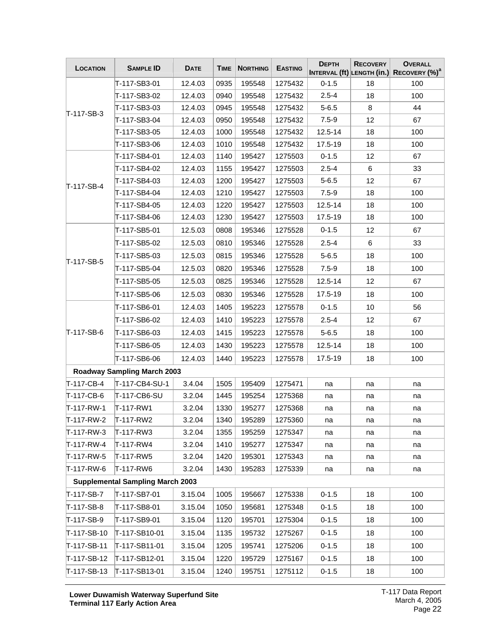| <b>LOCATION</b> | <b>SAMPLE ID</b>                        | <b>DATE</b> | <b>TIME</b> | <b>NORTHING</b> | <b>EASTING</b> | <b>DEPTH</b> | <b>RECOVERY</b> | <b>OVERALL</b><br>INTERVAL (ft) LENGTH (in.) RECOVERY (%) <sup>a</sup> |
|-----------------|-----------------------------------------|-------------|-------------|-----------------|----------------|--------------|-----------------|------------------------------------------------------------------------|
|                 | T-117-SB3-01                            | 12.4.03     | 0935        | 195548          | 1275432        | $0 - 1.5$    | 18              | 100                                                                    |
|                 | T-117-SB3-02                            | 12.4.03     | 0940        | 195548          | 1275432        | $2.5 - 4$    | 18              | 100                                                                    |
| T-117-SB-3      | T-117-SB3-03                            | 12.4.03     | 0945        | 195548          | 1275432        | $5 - 6.5$    | 8               | 44                                                                     |
|                 | T-117-SB3-04                            | 12.4.03     | 0950        | 195548          | 1275432        | $7.5 - 9$    | 12              | 67                                                                     |
|                 | T-117-SB3-05                            | 12.4.03     | 1000        | 195548          | 1275432        | $12.5 - 14$  | 18              | 100                                                                    |
|                 | T-117-SB3-06                            | 12.4.03     | 1010        | 195548          | 1275432        | 17.5-19      | 18              | 100                                                                    |
|                 | T-117-SB4-01                            | 12.4.03     | 1140        | 195427          | 1275503        | $0 - 1.5$    | 12              | 67                                                                     |
|                 | T-117-SB4-02                            | 12.4.03     | 1155        | 195427          | 1275503        | $2.5 - 4$    | 6               | 33                                                                     |
| T-117-SB-4      | T-117-SB4-03                            | 12.4.03     | 1200        | 195427          | 1275503        | $5 - 6.5$    | 12              | 67                                                                     |
|                 | T-117-SB4-04                            | 12.4.03     | 1210        | 195427          | 1275503        | $7.5 - 9$    | 18              | 100                                                                    |
|                 | T-117-SB4-05                            | 12.4.03     | 1220        | 195427          | 1275503        | $12.5 - 14$  | 18              | 100                                                                    |
|                 | T-117-SB4-06                            | 12.4.03     | 1230        | 195427          | 1275503        | 17.5-19      | 18              | 100                                                                    |
|                 | T-117-SB5-01                            | 12.5.03     | 0808        | 195346          | 1275528        | $0 - 1.5$    | 12              | 67                                                                     |
|                 | T-117-SB5-02                            | 12.5.03     | 0810        | 195346          | 1275528        | $2.5 - 4$    | 6               | 33                                                                     |
|                 | T-117-SB5-03                            | 12.5.03     | 0815        | 195346          | 1275528        | $5 - 6.5$    | 18              | 100                                                                    |
| T-117-SB-5      | T-117-SB5-04                            | 12.5.03     | 0820        | 195346          | 1275528        | $7.5 - 9$    | 18              | 100                                                                    |
|                 | T-117-SB5-05                            | 12.5.03     | 0825        | 195346          | 1275528        | $12.5 - 14$  | 12              | 67                                                                     |
|                 | T-117-SB5-06                            | 12.5.03     | 0830        | 195346          | 1275528        | 17.5-19      | 18              | 100                                                                    |
|                 | T-117-SB6-01                            | 12.4.03     | 1405        | 195223          | 1275578        | $0 - 1.5$    | 10              | 56                                                                     |
|                 | T-117-SB6-02                            | 12.4.03     | 1410        | 195223          | 1275578        | $2.5 - 4$    | 12              | 67                                                                     |
| T-117-SB-6      | T-117-SB6-03                            | 12.4.03     | 1415        | 195223          | 1275578        | $5 - 6.5$    | 18              | 100                                                                    |
|                 | T-117-SB6-05                            | 12.4.03     | 1430        | 195223          | 1275578        | 12.5-14      | 18              | 100                                                                    |
|                 | T-117-SB6-06                            | 12.4.03     | 1440        | 195223          | 1275578        | 17.5-19      | 18              | 100                                                                    |
|                 | <b>Roadway Sampling March 2003</b>      |             |             |                 |                |              |                 |                                                                        |
| T-117-CB-4      | T-117-CB4-SU-1                          | 3.4.04      | 1505        | 195409          | 1275471        | na           | na              | na                                                                     |
| T-117-CB-6      | T-117-CB6-SU                            | 3.2.04      | 1445        | 195254          | 1275368        | na           | na              | na                                                                     |
| T-117-RW-1      | T-117-RW1                               | 3.2.04      | 1330        | 195277          | 1275368        | na           | na              | na                                                                     |
| T-117-RW-2      | T-117-RW2                               | 3.2.04      | 1340        | 195289          | 1275360        | na           | na              | na                                                                     |
| T-117-RW-3      | T-117-RW3                               | 3.2.04      | 1355        | 195259          | 1275347        | na           | na              | na                                                                     |
| T-117-RW-4      | T-117-RW4                               | 3.2.04      | 1410        | 195277          | 1275347        | na           | na              | na                                                                     |
| T-117-RW-5      | T-117-RW5                               | 3.2.04      | 1420        | 195301          | 1275343        | na           | na              | na                                                                     |
| T-117-RW-6      | T-117-RW6                               | 3.2.04      | 1430        | 195283          | 1275339        | na           | na              | na                                                                     |
|                 | <b>Supplemental Sampling March 2003</b> |             |             |                 |                |              |                 |                                                                        |
| T-117-SB-7      | T-117-SB7-01                            | 3.15.04     | 1005        | 195667          | 1275338        | $0 - 1.5$    | 18              | 100                                                                    |
| T-117-SB-8      | T-117-SB8-01                            | 3.15.04     | 1050        | 195681          | 1275348        | $0 - 1.5$    | 18              | 100                                                                    |
| T-117-SB-9      | T-117-SB9-01                            | 3.15.04     | 1120        | 195701          | 1275304        | $0 - 1.5$    | 18              | 100                                                                    |
| T-117-SB-10     | T-117-SB10-01                           | 3.15.04     | 1135        | 195732          | 1275267        | $0 - 1.5$    | 18              | 100                                                                    |
| T-117-SB-11     | T-117-SB11-01                           | 3.15.04     | 1205        | 195741          | 1275206        | $0 - 1.5$    | 18              | 100                                                                    |
| T-117-SB-12     | T-117-SB12-01                           | 3.15.04     | 1220        | 195729          | 1275167        | $0 - 1.5$    | 18              | 100                                                                    |
| T-117-SB-13     | T-117-SB13-01                           | 3.15.04     | 1240        | 195751          | 1275112        | $0 - 1.5$    | 18              | 100                                                                    |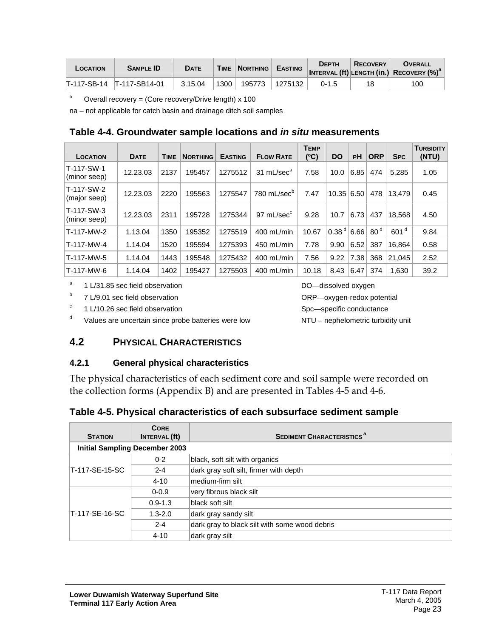| LOCATION | <b>SAMPLE ID</b>            | <b>DATE</b> |      | TIME   NORTHING | <b>EASTING</b> | <b>DEPTH</b> | <b>RECOVERY</b> | <b>OVERALL</b><br>INTERVAL (ft) LENGTH (in.) RECOVERY $(\%)^a$ |
|----------|-----------------------------|-------------|------|-----------------|----------------|--------------|-----------------|----------------------------------------------------------------|
|          | IT-117-SB-14 IT-117-SB14-01 | 3.15.04     | 1300 | 195773          | 1275132        | $0 - 1.5$    | 18              | 100                                                            |

 $b$  Overall recovery = (Core recovery/Drive length) x 100

na – not applicable for catch basin and drainage ditch soil samples

#### <span id="page-27-2"></span>**Table 4-4. Groundwater sample locations and** *in situ* **measurements**

| LOCATION                   | <b>DATE</b> | <b>TIME</b> | <b>NORTHING</b> | <b>EASTING</b> | <b>FLOW RATE</b>        | <b>TEMP</b><br>(C) | DO                | PH   | <b>ORP</b>      | <b>SPC</b>       | <b>TURBIDITY</b><br>(NTU) |
|----------------------------|-------------|-------------|-----------------|----------------|-------------------------|--------------------|-------------------|------|-----------------|------------------|---------------------------|
| T-117-SW-1<br>(minor seep) | 12.23.03    | 2137        | 195457          | 1275512        | 31 $mL/seca$            | 7.58               | 10.0              | 6.85 | 474             | 5,285            | 1.05                      |
| T-117-SW-2<br>(major seep) | 12.23.03    | 2220        | 195563          | 1275547        | 780 mL/sec <sup>b</sup> | 7.47               | 10.35             | 6.50 | 478             | 13.479           | 0.45                      |
| T-117-SW-3<br>(minor seep) | 12.23.03    | 2311        | 195728          | 1275344        | 97 mL/sec <sup>c</sup>  | 9.28               | 10.7              | 6.73 | 437             | 18.568           | 4.50                      |
| T-117-MW-2                 | 1.13.04     | 1350        | 195352          | 1275519        | 400 mL/min              | 10.67              | 0.38 <sup>d</sup> | 6.66 | 80 <sup>d</sup> | 601 <sup>d</sup> | 9.84                      |
| T-117-MW-4                 | 1.14.04     | 1520        | 195594          | 1275393        | 450 mL/min              | 7.78               | 9.90              | 6.52 | 387             | 16.864           | 0.58                      |
| T-117-MW-5                 | 1.14.04     | 1443        | 195548          | 1275432        | 400 mL/min              | 7.56               | 9.22              | 7.38 | 368             | 21.045           | 2.52                      |
| T-117-MW-6                 | 1.14.04     | 1402        | 195427          | 1275503        | 400 mL/min              | 10.18              | 8.43              | 6.47 | 374             | 1.630            | 39.2                      |

a 1 L/31.85 sec field observation DO—dissolved oxygen

b 7 L/9.01 sec field observation ORP—oxygen-redox potential

c 1 L/10.26 sec field observation Spc—specific conductance

d Values are uncertain since probe batteries were low NTU – nephelometric turbidity unit

#### <span id="page-27-0"></span>**4.2 PHYSICAL CHARACTERISTICS**

#### <span id="page-27-1"></span>**4.2.1 General physical characteristics**

The physical characteristics of each sediment core and soil sample were recorded on the collection forms (Appendix B) and are presented in Tables 4-5 and 4-6.

#### <span id="page-27-3"></span>**Table 4-5. Physical characteristics of each subsurface sediment sample**

| <b>STATION</b> | <b>CORE</b><br><b>INTERVAL (ft)</b>   | <b>SEDIMENT CHARACTERISTICS<sup>a</sup></b>   |
|----------------|---------------------------------------|-----------------------------------------------|
|                | <b>Initial Sampling December 2003</b> |                                               |
|                | $0 - 2$                               | black, soft silt with organics                |
| T-117-SE-15-SC | $2 - 4$                               | dark gray soft silt, firmer with depth        |
|                | $4 - 10$                              | medium-firm silt                              |
|                | $0 - 0.9$                             | very fibrous black silt                       |
|                | $0.9 - 1.3$                           | black soft silt                               |
| T-117-SE-16-SC | $1.3 - 2.0$                           | dark gray sandy silt                          |
|                | $2 - 4$                               | dark gray to black silt with some wood debris |
|                | $4 - 10$                              | dark gray silt                                |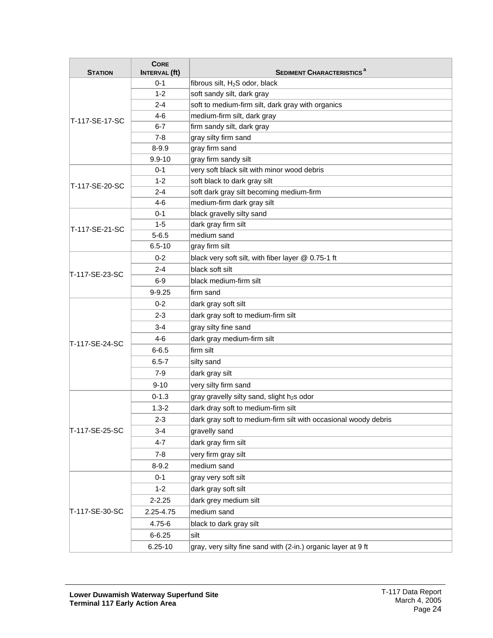| <b>STATION</b>  | <b>CORE</b><br><b>INTERVAL (ft)</b> | <b>SEDIMENT CHARACTERISTICS<sup>a</sup></b>                     |
|-----------------|-------------------------------------|-----------------------------------------------------------------|
|                 | $0 - 1$                             | fibrous silt, H <sub>2</sub> S odor, black                      |
|                 | $1 - 2$                             | soft sandy silt, dark gray                                      |
|                 | $2 - 4$                             | soft to medium-firm silt, dark gray with organics               |
| T-117-SE-17-SC  | 4-6                                 | medium-firm silt, dark gray                                     |
|                 | $6 - 7$                             | firm sandy silt, dark gray                                      |
|                 | 7-8                                 | gray silty firm sand                                            |
|                 | $8 - 9.9$                           | gray firm sand                                                  |
|                 | $9.9 - 10$                          | gray firm sandy silt                                            |
|                 | $0 - 1$                             | very soft black silt with minor wood debris                     |
| T-117-SE-20-SC  | $1 - 2$                             | soft black to dark gray silt                                    |
|                 | 2-4                                 | soft dark gray silt becoming medium-firm                        |
|                 | 4-6                                 | medium-firm dark gray silt                                      |
|                 | $0 - 1$                             | black gravelly silty sand                                       |
| T-117-SE-21-SC  | 1-5                                 | dark gray firm silt                                             |
|                 | $5 - 6.5$                           | medium sand                                                     |
|                 | $6.5 - 10$                          | gray firm silt                                                  |
|                 | $0 - 2$                             | black very soft silt, with fiber layer @ 0.75-1 ft              |
| T-117-SE-23-SC  | $2 - 4$                             | black soft silt                                                 |
|                 | $6-9$                               | black medium-firm silt                                          |
|                 | $9 - 9.25$                          | firm sand                                                       |
|                 | $0 - 2$                             | dark gray soft silt                                             |
|                 | $2 - 3$                             | dark gray soft to medium-firm silt                              |
|                 | 3-4                                 | gray silty fine sand                                            |
| IT-117-SE-24-SC | 4-6                                 | dark gray medium-firm silt                                      |
|                 | $6 - 6.5$                           | firm silt                                                       |
|                 | $6.5 - 7$                           | silty sand                                                      |
|                 | $7-9$                               | dark gray silt                                                  |
|                 | $9 - 10$                            | very silty firm sand                                            |
|                 | $0 - 1.3$                           | gray gravelly silty sand, slight h2s odor                       |
|                 | $1.3 - 2$                           | dark dray soft to medium-firm silt                              |
|                 | $2 - 3$                             | dark gray soft to medium-firm silt with occasional woody debris |
| T-117-SE-25-SC  | 3-4                                 | gravelly sand                                                   |
|                 | $4 - 7$                             | dark gray firm silt                                             |
|                 | $7 - 8$                             | very firm gray silt                                             |
|                 | $8 - 9.2$                           | medium sand                                                     |
|                 | $0 - 1$                             | gray very soft silt                                             |
|                 | $1 - 2$                             | dark gray soft silt                                             |
|                 | $2 - 2.25$                          | dark grey medium silt                                           |
| T-117-SE-30-SC  | 2.25-4.75                           | medium sand                                                     |
|                 | 4.75-6                              | black to dark gray silt                                         |
|                 | $6 - 6.25$                          | silt                                                            |
|                 |                                     |                                                                 |
|                 | $6.25 - 10$                         | gray, very silty fine sand with (2-in.) organic layer at 9 ft   |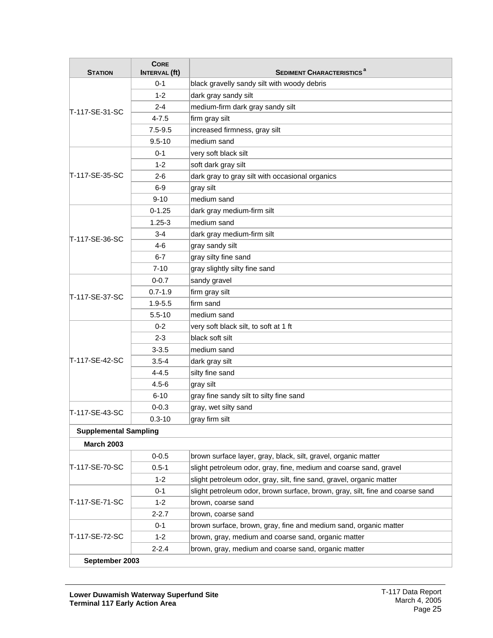| Station                      | <b>CORE</b><br><b>INTERVAL (ft)</b> | <b>SEDIMENT CHARACTERISTICS<sup>a</sup></b>                                   |  |  |  |
|------------------------------|-------------------------------------|-------------------------------------------------------------------------------|--|--|--|
|                              | $0 - 1$                             | black gravelly sandy silt with woody debris                                   |  |  |  |
|                              | $1 - 2$                             | dark gray sandy silt                                                          |  |  |  |
|                              | $2 - 4$                             | medium-firm dark gray sandy silt                                              |  |  |  |
| T-117-SE-31-SC               | $4 - 7.5$                           | firm gray silt                                                                |  |  |  |
|                              | $7.5 - 9.5$                         | increased firmness, gray silt                                                 |  |  |  |
|                              | $9.5 - 10$                          | medium sand                                                                   |  |  |  |
|                              | $0 - 1$                             | very soft black silt                                                          |  |  |  |
|                              | $1 - 2$                             | soft dark gray silt                                                           |  |  |  |
| T-117-SE-35-SC               | $2 - 6$                             | dark gray to gray silt with occasional organics                               |  |  |  |
|                              | $6-9$                               | gray silt                                                                     |  |  |  |
|                              | $9 - 10$                            | medium sand                                                                   |  |  |  |
|                              | $0 - 1.25$                          | dark gray medium-firm silt                                                    |  |  |  |
|                              | $1.25 - 3$                          | medium sand                                                                   |  |  |  |
| T-117-SE-36-SC               | $3 - 4$                             | dark gray medium-firm silt                                                    |  |  |  |
|                              | 4-6                                 | gray sandy silt                                                               |  |  |  |
|                              | $6 - 7$                             | gray silty fine sand                                                          |  |  |  |
|                              | $7 - 10$                            | gray slightly silty fine sand                                                 |  |  |  |
|                              | $0 - 0.7$                           | sandy gravel                                                                  |  |  |  |
|                              | $0.7 - 1.9$                         | firm gray silt                                                                |  |  |  |
| T-117-SE-37-SC               | $1.9 - 5.5$                         | firm sand                                                                     |  |  |  |
|                              | $5.5 - 10$                          | medium sand                                                                   |  |  |  |
|                              | $0 - 2$                             | very soft black silt, to soft at 1 ft                                         |  |  |  |
|                              | $2 - 3$                             | black soft silt                                                               |  |  |  |
|                              | $3 - 3.5$                           | medium sand                                                                   |  |  |  |
| T-117-SE-42-SC               | $3.5 - 4$                           | dark gray silt                                                                |  |  |  |
|                              | $4 - 4.5$                           | silty fine sand                                                               |  |  |  |
|                              | $4.5 - 6$                           | gray silt                                                                     |  |  |  |
|                              | $6 - 10$                            | gray fine sandy silt to silty fine sand                                       |  |  |  |
| T-117-SE-43-SC               | $0 - 0.3$                           | gray, wet silty sand                                                          |  |  |  |
|                              | $0.3 - 10$                          | gray firm silt                                                                |  |  |  |
| <b>Supplemental Sampling</b> |                                     |                                                                               |  |  |  |
| <b>March 2003</b>            |                                     |                                                                               |  |  |  |
|                              | $0 - 0.5$                           | brown surface layer, gray, black, silt, gravel, organic matter                |  |  |  |
| T-117-SE-70-SC               | $0.5 - 1$                           | slight petroleum odor, gray, fine, medium and coarse sand, gravel             |  |  |  |
|                              | $1 - 2$                             | slight petroleum odor, gray, silt, fine sand, gravel, organic matter          |  |  |  |
|                              | $0 - 1$                             | slight petroleum odor, brown surface, brown, gray, silt, fine and coarse sand |  |  |  |
| T-117-SE-71-SC               | $1 - 2$                             | brown, coarse sand                                                            |  |  |  |
|                              | $2 - 2.7$                           | brown, coarse sand                                                            |  |  |  |
|                              | $0 - 1$                             | brown surface, brown, gray, fine and medium sand, organic matter              |  |  |  |
| T-117-SE-72-SC               | $1 - 2$                             | brown, gray, medium and coarse sand, organic matter                           |  |  |  |
|                              | $2 - 2.4$                           | brown, gray, medium and coarse sand, organic matter                           |  |  |  |
| September 2003               |                                     |                                                                               |  |  |  |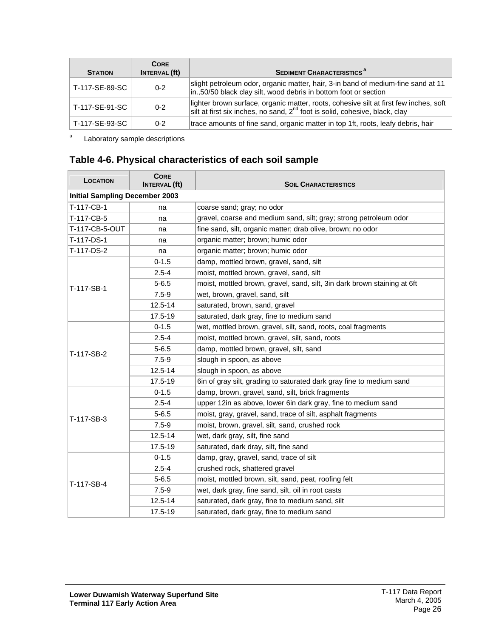| <b>STATION</b> | <b>CORE</b><br><b>INTERVAL (ft)</b> | <b>SEDIMENT CHARACTERISTICS<sup>a</sup></b>                                                                                                                               |
|----------------|-------------------------------------|---------------------------------------------------------------------------------------------------------------------------------------------------------------------------|
| T-117-SE-89-SC | $0 - 2$                             | slight petroleum odor, organic matter, hair, 3-in band of medium-fine sand at 11<br>in.,50/50 black clay silt, wood debris in bottom foot or section                      |
| T-117-SE-91-SC | $0 - 2$                             | lighter brown surface, organic matter, roots, cohesive silt at first few inches, soft<br>silt at first six inches, no sand, $2^{nd}$ foot is solid, cohesive, black, clay |
| T-117-SE-93-SC | $0 - 2$                             | trace amounts of fine sand, organic matter in top 1ft, roots, leafy debris, hair                                                                                          |

a Laboratory sample descriptions

#### <span id="page-30-0"></span>**Table 4-6. Physical characteristics of each soil sample**

| <b>LOCATION</b>                       | <b>CORE</b><br><b>INTERVAL</b> (ft) | <b>SOIL CHARACTERISTICS</b>                                              |  |  |  |  |  |
|---------------------------------------|-------------------------------------|--------------------------------------------------------------------------|--|--|--|--|--|
| <b>Initial Sampling December 2003</b> |                                     |                                                                          |  |  |  |  |  |
| T-117-CB-1                            | na                                  | coarse sand; gray; no odor                                               |  |  |  |  |  |
| T-117-CB-5                            | na                                  | gravel, coarse and medium sand, silt; gray; strong petroleum odor        |  |  |  |  |  |
| T-117-CB-5-OUT                        | na                                  | fine sand, silt, organic matter; drab olive, brown; no odor              |  |  |  |  |  |
| T-117-DS-1                            | na                                  | organic matter; brown; humic odor                                        |  |  |  |  |  |
| T-117-DS-2                            | na                                  | organic matter; brown; humic odor                                        |  |  |  |  |  |
|                                       | $0 - 1.5$                           | damp, mottled brown, gravel, sand, silt                                  |  |  |  |  |  |
|                                       | $2.5 - 4$                           | moist, mottled brown, gravel, sand, silt                                 |  |  |  |  |  |
| T-117-SB-1                            | $5 - 6.5$                           | moist, mottled brown, gravel, sand, silt, 3in dark brown staining at 6ft |  |  |  |  |  |
|                                       | $7.5 - 9$                           | wet, brown, gravel, sand, silt                                           |  |  |  |  |  |
|                                       | 12.5-14                             | saturated, brown, sand, gravel                                           |  |  |  |  |  |
|                                       | 17.5-19                             | saturated, dark gray, fine to medium sand                                |  |  |  |  |  |
|                                       | $0 - 1.5$                           | wet, mottled brown, gravel, silt, sand, roots, coal fragments            |  |  |  |  |  |
|                                       | $2.5 - 4$                           | moist, mottled brown, gravel, silt, sand, roots                          |  |  |  |  |  |
| T-117-SB-2                            | $5 - 6.5$                           | damp, mottled brown, gravel, silt, sand                                  |  |  |  |  |  |
|                                       | $7.5 - 9$                           | slough in spoon, as above                                                |  |  |  |  |  |
|                                       | $12.5 - 14$                         | slough in spoon, as above                                                |  |  |  |  |  |
|                                       | 17.5-19                             | 6in of gray silt, grading to saturated dark gray fine to medium sand     |  |  |  |  |  |
|                                       | $0 - 1.5$                           | damp, brown, gravel, sand, silt, brick fragments                         |  |  |  |  |  |
|                                       | $2.5 - 4$                           | upper 12in as above, lower 6in dark gray, fine to medium sand            |  |  |  |  |  |
| T-117-SB-3                            | $5 - 6.5$                           | moist, gray, gravel, sand, trace of silt, asphalt fragments              |  |  |  |  |  |
|                                       | $7.5 - 9$                           | moist, brown, gravel, silt, sand, crushed rock                           |  |  |  |  |  |
|                                       | 12.5-14                             | wet, dark gray, silt, fine sand                                          |  |  |  |  |  |
|                                       | 17.5-19                             | saturated, dark dray, silt, fine sand                                    |  |  |  |  |  |
|                                       | $0 - 1.5$                           | damp, gray, gravel, sand, trace of silt                                  |  |  |  |  |  |
|                                       | $2.5 - 4$                           | crushed rock, shattered gravel                                           |  |  |  |  |  |
| T-117-SB-4                            | $5 - 6.5$                           | moist, mottled brown, silt, sand, peat, roofing felt                     |  |  |  |  |  |
|                                       | $7.5 - 9$                           | wet, dark gray, fine sand, silt, oil in root casts                       |  |  |  |  |  |
|                                       | $12.5 - 14$                         | saturated, dark gray, fine to medium sand, silt                          |  |  |  |  |  |
|                                       | 17.5-19                             | saturated, dark gray, fine to medium sand                                |  |  |  |  |  |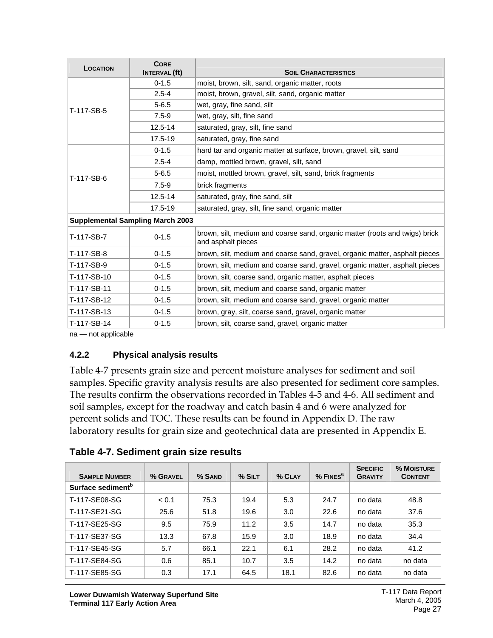| LOCATION    | <b>CORE</b><br><b>INTERVAL</b> (ft)     | <b>SOIL CHARACTERISTICS</b>                                                                       |
|-------------|-----------------------------------------|---------------------------------------------------------------------------------------------------|
|             | $0 - 1.5$                               | moist, brown, silt, sand, organic matter, roots                                                   |
|             | $2.5 - 4$                               | moist, brown, gravel, silt, sand, organic matter                                                  |
| T-117-SB-5  | $5 - 6.5$                               | wet, gray, fine sand, silt                                                                        |
|             | $7.5 - 9$                               | wet, gray, silt, fine sand                                                                        |
|             | $12.5 - 14$                             | saturated, gray, silt, fine sand                                                                  |
|             | 17.5-19                                 | saturated, gray, fine sand                                                                        |
|             | $0 - 1.5$                               | hard tar and organic matter at surface, brown, gravel, silt, sand                                 |
|             | $2.5 - 4$                               | damp, mottled brown, gravel, silt, sand                                                           |
| T-117-SB-6  | $5 - 6.5$                               | moist, mottled brown, gravel, silt, sand, brick fragments                                         |
|             | $7.5 - 9$                               | brick fragments                                                                                   |
|             | $12.5 - 14$                             | saturated, gray, fine sand, silt                                                                  |
|             | 17.5-19                                 | saturated, gray, silt, fine sand, organic matter                                                  |
|             | <b>Supplemental Sampling March 2003</b> |                                                                                                   |
| T-117-SB-7  | $0 - 1.5$                               | brown, silt, medium and coarse sand, organic matter (roots and twigs) brick<br>and asphalt pieces |
| T-117-SB-8  | $0 - 1.5$                               | brown, silt, medium and coarse sand, gravel, organic matter, asphalt pieces                       |
| T-117-SB-9  | $0 - 1.5$                               | brown, silt, medium and coarse sand, gravel, organic matter, asphalt pieces                       |
| T-117-SB-10 | $0 - 1.5$                               | brown, silt, coarse sand, organic matter, asphalt pieces                                          |
| T-117-SB-11 | $0 - 1.5$                               | brown, silt, medium and coarse sand, organic matter                                               |
| T-117-SB-12 | $0 - 1.5$                               | brown, silt, medium and coarse sand, gravel, organic matter                                       |
| T-117-SB-13 | $0 - 1.5$                               | brown, gray, silt, coarse sand, gravel, organic matter                                            |
| T-117-SB-14 | $0 - 1.5$                               | brown, silt, coarse sand, gravel, organic matter                                                  |

na — not applicable

#### <span id="page-31-0"></span>**4.2.2 Physical analysis results**

Table 4-7 presents grain size and percent moisture analyses for sediment and soil samples. Specific gravity analysis results are also presented for sediment core samples. The results confirm the observations recorded in Tables 4-5 and 4-6. All sediment and soil samples, except for the roadway and catch basin 4 and 6 were analyzed for percent solids and TOC. These results can be found in Appendix D. The raw laboratory results for grain size and geotechnical data are presented in Appendix E.

<span id="page-31-1"></span>

|  | Table 4-7. Sediment grain size results |  |  |  |
|--|----------------------------------------|--|--|--|
|--|----------------------------------------|--|--|--|

| <b>SAMPLE NUMBER</b>          | % GRAVEL | % SAND | $%$ SILT | % CLAY | $%$ FINES <sup>a</sup> | <b>SPECIFIC</b><br><b>GRAVITY</b> | % MOISTURE<br><b>CONTENT</b> |
|-------------------------------|----------|--------|----------|--------|------------------------|-----------------------------------|------------------------------|
| Surface sediment <sup>b</sup> |          |        |          |        |                        |                                   |                              |
| T-117-SE08-SG                 | < 0.1    | 75.3   | 19.4     | 5.3    | 24.7                   | no data                           | 48.8                         |
| T-117-SE21-SG                 | 25.6     | 51.8   | 19.6     | 3.0    | 22.6                   | no data                           | 37.6                         |
| T-117-SE25-SG                 | 9.5      | 75.9   | 11.2     | 3.5    | 14.7                   | no data                           | 35.3                         |
| T-117-SE37-SG                 | 13.3     | 67.8   | 15.9     | 3.0    | 18.9                   | no data                           | 34.4                         |
| T-117-SE45-SG                 | 5.7      | 66.1   | 22.1     | 6.1    | 28.2                   | no data                           | 41.2                         |
| T-117-SE84-SG                 | 0.6      | 85.1   | 10.7     | 3.5    | 14.2                   | no data                           | no data                      |
| T-117-SE85-SG                 | 0.3      | 17.1   | 64.5     | 18.1   | 82.6                   | no data                           | no data                      |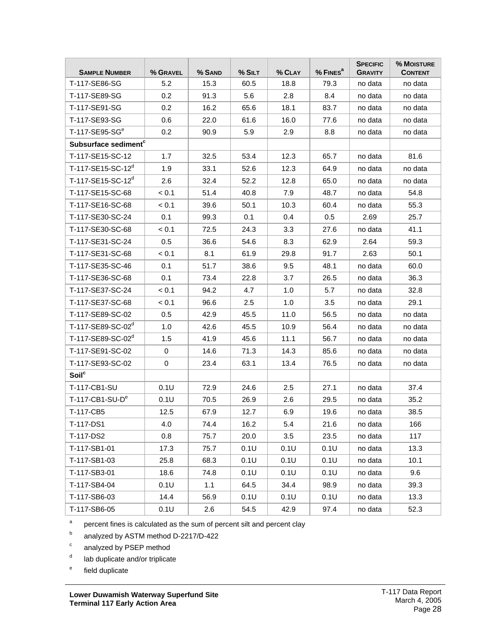| <b>SAMPLE NUMBER</b>             | % GRAVEL    | % SAND | % SILT | % CLAY  | % FINES <sup>a</sup> | <b>SPECIFIC</b><br><b>GRAVITY</b> | % MOISTURE<br><b>CONTENT</b> |
|----------------------------------|-------------|--------|--------|---------|----------------------|-----------------------------------|------------------------------|
| T-117-SE86-SG                    | 5.2         | 15.3   | 60.5   | 18.8    | 79.3                 | no data                           | no data                      |
| T-117-SE89-SG                    | 0.2         | 91.3   | 5.6    | 2.8     | 8.4                  | no data                           | no data                      |
| T-117-SE91-SG                    | 0.2         | 16.2   | 65.6   | 18.1    | 83.7                 | no data                           | no data                      |
| T-117-SE93-SG                    | 0.6         | 22.0   | 61.6   | 16.0    | 77.6                 | no data                           | no data                      |
| T-117-SE95-SG <sup>e</sup>       | 0.2         | 90.9   | 5.9    | 2.9     | 8.8                  | no data                           | no data                      |
| Subsurface sediment <sup>c</sup> |             |        |        |         |                      |                                   |                              |
| T-117-SE15-SC-12                 | 1.7         | 32.5   | 53.4   | 12.3    | 65.7                 | no data                           | 81.6                         |
| T-117-SE15-SC-12 <sup>d</sup>    | 1.9         | 33.1   | 52.6   | 12.3    | 64.9                 | no data                           | no data                      |
| T-117-SE15-SC-12 <sup>d</sup>    | 2.6         | 32.4   | 52.2   | 12.8    | 65.0                 | no data                           | no data                      |
| T-117-SE15-SC-68                 | < 0.1       | 51.4   | 40.8   | 7.9     | 48.7                 | no data                           | 54.8                         |
| T-117-SE16-SC-68                 | < 0.1       | 39.6   | 50.1   | 10.3    | 60.4                 | no data                           | 55.3                         |
| T-117-SE30-SC-24                 | 0.1         | 99.3   | 0.1    | 0.4     | 0.5                  | 2.69                              | 25.7                         |
| T-117-SE30-SC-68                 | < 0.1       | 72.5   | 24.3   | 3.3     | 27.6                 | no data                           | 41.1                         |
| T-117-SE31-SC-24                 | 0.5         | 36.6   | 54.6   | 8.3     | 62.9                 | 2.64                              | 59.3                         |
| T-117-SE31-SC-68                 | < 0.1       | 8.1    | 61.9   | 29.8    | 91.7                 | 2.63                              | 50.1                         |
| T-117-SE35-SC-46                 | 0.1         | 51.7   | 38.6   | 9.5     | 48.1                 | no data                           | 60.0                         |
| T-117-SE36-SC-68                 | 0.1         | 73.4   | 22.8   | 3.7     | 26.5                 | no data                           | 36.3                         |
| T-117-SE37-SC-24                 | < 0.1       | 94.2   | 4.7    | 1.0     | 5.7                  | no data                           | 32.8                         |
| T-117-SE37-SC-68                 | < 0.1       | 96.6   | 2.5    | 1.0     | 3.5                  | no data                           | 29.1                         |
| T-117-SE89-SC-02                 | 0.5         | 42.9   | 45.5   | 11.0    | 56.5                 | no data                           | no data                      |
| T-117-SE89-SC-02 <sup>d</sup>    | 1.0         | 42.6   | 45.5   | 10.9    | 56.4                 | no data                           | no data                      |
| T-117-SE89-SC-02 <sup>d</sup>    | 1.5         | 41.9   | 45.6   | 11.1    | 56.7                 | no data                           | no data                      |
| T-117-SE91-SC-02                 | $\mathbf 0$ | 14.6   | 71.3   | 14.3    | 85.6                 | no data                           | no data                      |
| T-117-SE93-SC-02                 | 0           | 23.4   | 63.1   | 13.4    | 76.5                 | no data                           | no data                      |
| Soil <sup>c</sup>                |             |        |        |         |                      |                                   |                              |
| T-117-CB1-SU                     | 0.1U        | 72.9   | 24.6   | 2.5     | 27.1                 | no data                           | 37.4                         |
| $T-117$ -CB1-SU-D $^{\circ}$     | 0.1U        | 70.5   | 26.9   | 2.6     | 29.5                 | no data                           | 35.2                         |
| T-117-CB5                        | 12.5        | 67.9   | 12.7   | 6.9     | 19.6                 | no data                           | 38.5                         |
| T-117-DS1                        | 4.0         | 74.4   | 16.2   | 5.4     | 21.6                 | no data                           | 166                          |
| T-117-DS2                        | 0.8         | 75.7   | 20.0   | 3.5     | 23.5                 | no data                           | 117                          |
| T-117-SB1-01                     | 17.3        | 75.7   | 0.1U   | $0.1$ U | 0.1U                 | no data                           | 13.3                         |
| T-117-SB1-03                     | 25.8        | 68.3   | 0.1U   | 0.1U    | 0.1U                 | no data                           | 10.1                         |
| T-117-SB3-01                     | 18.6        | 74.8   | 0.1U   | $0.1$ U | 0.1U                 | no data                           | 9.6                          |
| T-117-SB4-04                     | 0.1U        | 1.1    | 64.5   | 34.4    | 98.9                 | no data                           | 39.3                         |
| T-117-SB6-03                     | 14.4        | 56.9   | 0.1U   | 0.1U    | 0.1U                 | no data                           | 13.3                         |
| T-117-SB6-05                     | 0.1U        | 2.6    | 54.5   | 42.9    | 97.4                 | no data                           | 52.3                         |

 $a$  percent fines is calculated as the sum of percent silt and percent clay

**b** analyzed by ASTM method D-2217/D-422

- c analyzed by PSEP method
- d lab duplicate and/or triplicate
- e field duplicate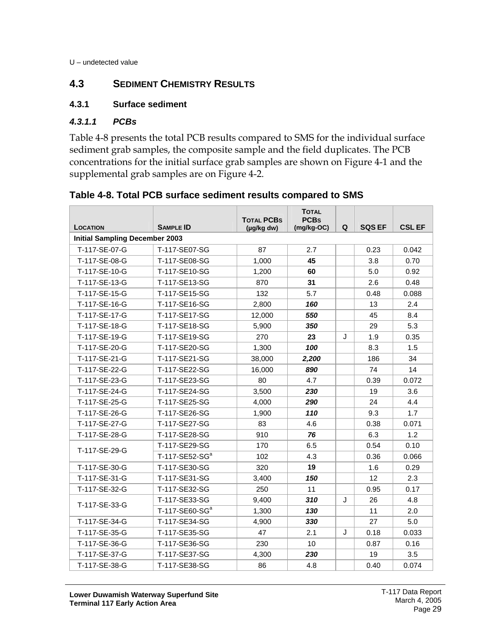U – undetected value

#### <span id="page-33-0"></span>**4.3 SEDIMENT CHEMISTRY RESULTS**

#### <span id="page-33-1"></span>**4.3.1 Surface sediment**

#### *4.3.1.1 PCBs*

Table 4-8 presents the total PCB results compared to SMS for the individual surface sediment grab samples, the composite sample and the field duplicates. The PCB concentrations for the initial surface grab samples are shown on Figure 4-1 and the supplemental grab samples are on Figure 4-2.

|                                       |                            | <b>TOTAL PCBS</b> | <b>TOTAL</b><br><b>PCBs</b> |      |               |               |  |       |
|---------------------------------------|----------------------------|-------------------|-----------------------------|------|---------------|---------------|--|-------|
| LOCATION                              | <b>SAMPLE ID</b>           | $(\mu g/kg dw)$   | $(mg/kg-OC)$                | Q    | <b>SQS EF</b> | <b>CSL EF</b> |  |       |
| <b>Initial Sampling December 2003</b> |                            |                   |                             |      |               |               |  |       |
| T-117-SE-07-G                         | T-117-SE07-SG              | 87                | 2.7                         | 0.23 |               |               |  | 0.042 |
| T-117-SE-08-G                         | T-117-SE08-SG              | 1,000             | 45                          |      | 3.8           | 0.70          |  |       |
| T-117-SE-10-G                         | T-117-SE10-SG              | 1,200             | 60                          |      | 5.0           | 0.92          |  |       |
| T-117-SE-13-G                         | T-117-SE13-SG              | 870               | 31                          |      | 2.6           | 0.48          |  |       |
| T-117-SE-15-G                         | T-117-SE15-SG              | 132               | 5.7                         |      | 0.48          | 0.088         |  |       |
| T-117-SE-16-G                         | T-117-SE16-SG              | 2,800             | 160                         |      | 13            | 2.4           |  |       |
| T-117-SE-17-G                         | T-117-SE17-SG              | 12,000            | 550                         |      | 45            | 8.4           |  |       |
| T-117-SE-18-G                         | T-117-SE18-SG              | 5,900             | 350                         |      | 29            | 5.3           |  |       |
| T-117-SE-19-G                         | T-117-SE19-SG              | 270               | 23                          | J    | 1.9           | 0.35          |  |       |
| T-117-SE-20-G                         | T-117-SE20-SG              | 1,300             | 100                         |      | 8.3           | 1.5           |  |       |
| T-117-SE-21-G                         | T-117-SE21-SG              | 38,000            | 2,200                       |      | 186           | 34            |  |       |
| T-117-SE-22-G                         | T-117-SE22-SG              | 16,000            | 890                         |      | 74            | 14            |  |       |
| T-117-SE-23-G                         | T-117-SE23-SG              | 80                | 4.7                         |      | 0.39          | 0.072         |  |       |
| T-117-SE-24-G                         | T-117-SE24-SG              | 3,500             | 230                         |      | 19            | 3.6           |  |       |
| T-117-SE-25-G                         | T-117-SE25-SG              | 4,000             | 290                         |      | 24            | 4.4           |  |       |
| T-117-SE-26-G                         | T-117-SE26-SG              | 1,900             | 110                         |      | 9.3           | 1.7           |  |       |
| T-117-SE-27-G                         | T-117-SE27-SG              | 83                | 4.6                         |      | 0.38          | 0.071         |  |       |
| T-117-SE-28-G                         | T-117-SE28-SG              | 910               | 76                          |      | 6.3           | 1.2           |  |       |
| T-117-SE-29-G                         | T-117-SE29-SG              | 170               | 6.5                         |      | 0.54          | 0.10          |  |       |
|                                       | T-117-SE52-SG <sup>a</sup> | 102               | 4.3                         |      | 0.36          | 0.066         |  |       |
| T-117-SE-30-G                         | T-117-SE30-SG              | 320               | 19                          |      | 1.6           | 0.29          |  |       |
| T-117-SE-31-G                         | T-117-SE31-SG              | 3,400             | 150                         |      | 12            | 2.3           |  |       |
| T-117-SE-32-G                         | T-117-SE32-SG              | 250               | 11                          |      | 0.95          | 0.17          |  |       |
| T-117-SE-33-G                         | T-117-SE33-SG              | 9,400             | 310                         | J    | 26            | 4.8           |  |       |
|                                       | T-117-SE60-SG <sup>a</sup> | 1,300             | 130                         |      | 11            | 2.0           |  |       |
| T-117-SE-34-G                         | T-117-SE34-SG              | 4,900             | 330                         |      | 27            | 5.0           |  |       |
| T-117-SE-35-G                         | T-117-SE35-SG              | 47                | 2.1                         | J    | 0.18          | 0.033         |  |       |
| T-117-SE-36-G                         | T-117-SE36-SG              | 230               | 10                          |      | 0.87          | 0.16          |  |       |
| T-117-SE-37-G                         | T-117-SE37-SG              | 4,300             | 230                         |      | 19            | 3.5           |  |       |
| T-117-SE-38-G                         | T-117-SE38-SG              | 86                | 4.8                         |      | 0.40          | 0.074         |  |       |

<span id="page-33-2"></span>**Table 4-8. Total PCB surface sediment results compared to SMS**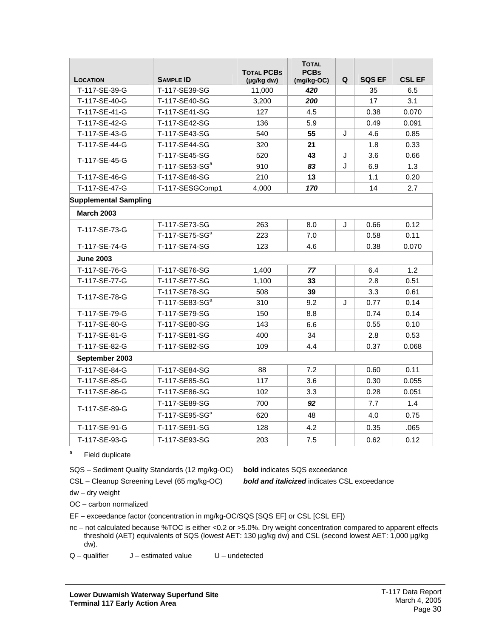|                              |                            | <b>TOTAL PCBS</b> | <b>TOTAL</b><br><b>PCBs</b> |   |               |               |
|------------------------------|----------------------------|-------------------|-----------------------------|---|---------------|---------------|
| <b>LOCATION</b>              | <b>SAMPLE ID</b>           | (µg/kg dw)        | (mg/kg-OC)                  | Q | <b>SQS EF</b> | <b>CSL EF</b> |
| T-117-SE-39-G                | T-117-SE39-SG              | 11,000            | 420                         |   | 35            | 6.5           |
| T-117-SE-40-G                | T-117-SE40-SG              | 3,200             | 200                         |   | 17            | 3.1           |
| T-117-SE-41-G                | T-117-SE41-SG              | 127               | 4.5                         |   | 0.38          | 0.070         |
| T-117-SE-42-G                | T-117-SE42-SG              | 136               | 5.9                         |   | 0.49          | 0.091         |
| T-117-SE-43-G                | T-117-SE43-SG              | 540               | 55                          | J | 4.6           | 0.85          |
| T-117-SE-44-G                | T-117-SE44-SG              | 320               | 21                          |   | 1.8           | 0.33          |
| T-117-SE-45-G                | T-117-SE45-SG              | 520               | 43                          | J | 3.6           | 0.66          |
|                              | T-117-SE53-SG <sup>a</sup> | 910               | 83                          | J | 6.9           | 1.3           |
| T-117-SE-46-G                | T-117-SE46-SG              | 210               | 13                          |   | 1.1           | 0.20          |
| T-117-SE-47-G                | T-117-SESGComp1            | 4,000             | 170                         |   | 14            | 2.7           |
| <b>Supplemental Sampling</b> |                            |                   |                             |   |               |               |
| <b>March 2003</b>            |                            |                   |                             |   |               |               |
| T-117-SE-73-G                | T-117-SE73-SG              | 263               | 8.0                         | J | 0.66          | 0.12          |
|                              | T-117-SE75-SG <sup>a</sup> | 223               | 7.0                         |   | 0.58          | 0.11          |
| T-117-SE-74-G                | T-117-SE74-SG              | 123               | 4.6                         |   | 0.38          | 0.070         |
| <b>June 2003</b>             |                            |                   |                             |   |               |               |
| T-117-SE-76-G                | T-117-SE76-SG              | 1,400             | 77                          |   | 6.4           | 1.2           |
| T-117-SE-77-G                | T-117-SE77-SG              | 1,100             | 33                          |   | 2.8           | 0.51          |
| T-117-SE-78-G                | T-117-SE78-SG              | 508               | 39                          |   | 3.3           | 0.61          |
|                              | T-117-SE83-SG <sup>a</sup> | 310               | 9.2                         | J | 0.77          | 0.14          |
| T-117-SE-79-G                | T-117-SE79-SG              | 150               | 8.8                         |   | 0.74          | 0.14          |
| T-117-SE-80-G                | T-117-SE80-SG              | 143               | 6.6                         |   | 0.55          | 0.10          |
| T-117-SE-81-G                | T-117-SE81-SG              | 400               | 34                          |   | 2.8           | 0.53          |
| T-117-SE-82-G                | T-117-SE82-SG              | 109               | 4.4                         |   | 0.37          | 0.068         |
| September 2003               |                            |                   |                             |   |               |               |
| T-117-SE-84-G                | T-117-SE84-SG              | 88                | 7.2                         |   | 0.60          | 0.11          |
| T-117-SE-85-G                | T-117-SE85-SG              | 117               | 3.6                         |   | 0.30          | 0.055         |
| T-117-SE-86-G                | T-117-SE86-SG              | 102               | 3.3                         |   | 0.28          | 0.051         |
| T-117-SE-89-G                | T-117-SE89-SG              | 700               | 92                          |   | 7.7           | 1.4           |
|                              | T-117-SE95-SG <sup>a</sup> | 620               | 48                          |   | 4.0           | 0.75          |
| T-117-SE-91-G                | T-117-SE91-SG              | 128               | 4.2                         |   | 0.35          | .065          |
| T-117-SE-93-G                | T-117-SE93-SG              | 203               | 7.5                         |   | 0.62          | 0.12          |

<sup>a</sup> Field duplicate

SQS – Sediment Quality Standards (12 mg/kg-OC) **bold** indicates SQS exceedance

CSL – Cleanup Screening Level (65 mg/kg-OC) *bold and italicized* indicates CSL exceedance

dw – dry weight

OC – carbon normalized

EF – exceedance factor (concentration in mg/kg-OC/SQS [SQS EF] or CSL [CSL EF])

nc – not calculated because %TOC is either  $\leq 0.2$  or  $\geq 5.0$ %. Dry weight concentration compared to apparent effects threshold (AET) equivalents of SQS (lowest AET: 130 µg/kg dw) and CSL (second lowest AET: 1,000 µg/kg dw).

 $Q$  – qualifier  $J$  – estimated value  $U$  – undetected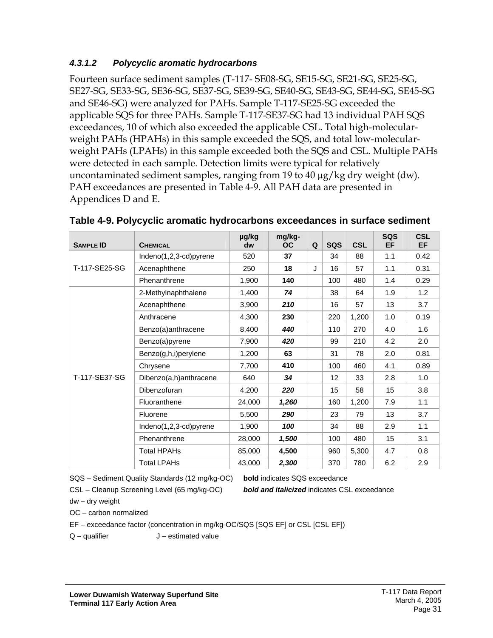#### *4.3.1.2 Polycyclic aromatic hydrocarbons*

Fourteen surface sediment samples (T-117- SE08-SG, SE15-SG, SE21-SG, SE25-SG, SE27-SG, SE33-SG, SE36-SG, SE37-SG, SE39-SG, SE40-SG, SE43-SG, SE44-SG, SE45-SG and SE46-SG) were analyzed for PAHs. Sample T-117-SE25-SG exceeded the applicable SQS for three PAHs. Sample T-117-SE37-SG had 13 individual PAH SQS exceedances, 10 of which also exceeded the applicable CSL. Total high-molecularweight PAHs (HPAHs) in this sample exceeded the SQS, and total low-molecularweight PAHs (LPAHs) in this sample exceeded both the SQS and CSL. Multiple PAHs were detected in each sample. Detection limits were typical for relatively uncontaminated sediment samples, ranging from 19 to 40 µg/kg dry weight (dw). PAH exceedances are presented in Table 4-9. All PAH data are presented in Appendices D and E.

| <b>SAMPLE ID</b> | <b>CHEMICAL</b>        | µg/kg<br>dw | mg/kg-<br><b>OC</b> | Q | <b>SQS</b> | <b>CSL</b> | <b>SQS</b><br><b>EF</b> | <b>CSL</b><br><b>EF</b> |
|------------------|------------------------|-------------|---------------------|---|------------|------------|-------------------------|-------------------------|
|                  | Indeno(1,2,3-cd)pyrene | 520         | 37                  |   | 34         | 88         | 1.1                     | 0.42                    |
| T-117-SE25-SG    | Acenaphthene           | 250         | 18                  | J | 16         | 57         | 1.1                     | 0.31                    |
|                  | Phenanthrene           | 1,900       | 140                 |   | 100        | 480        | 1.4                     | 0.29                    |
|                  | 2-Methylnaphthalene    | 1,400       | 74                  |   | 38         | 64         | 1.9                     | 1.2                     |
|                  | Acenaphthene           | 3,900       | 210                 |   | 16         | 57         | 13                      | 3.7                     |
|                  | Anthracene             | 4,300       | 230                 |   | 220        | 1,200      | 1.0                     | 0.19                    |
|                  | Benzo(a)anthracene     | 8,400       | 440                 |   | 110        | 270        | 4.0                     | 1.6                     |
|                  | Benzo(a)pyrene         | 7,900       | 420                 |   | 99         | 210        | 4.2                     | 2.0                     |
|                  | Benzo(g,h,i)perylene   | 1,200       | 63                  |   | 31         | 78         | 2.0                     | 0.81                    |
|                  | Chrysene               | 7,700       | 410                 |   | 100        | 460        | 4.1                     | 0.89                    |
| T-117-SE37-SG    | Dibenzo(a,h)anthracene | 640         | 34                  |   | 12         | 33         | 2.8                     | 1.0                     |
|                  | Dibenzofuran           | 4,200       | 220                 |   | 15         | 58         | 15                      | 3.8                     |
|                  | Fluoranthene           | 24,000      | 1,260               |   | 160        | 1,200      | 7.9                     | 1.1                     |
|                  | Fluorene               | 5,500       | 290                 |   | 23         | 79         | 13                      | 3.7                     |
|                  | Indeno(1,2,3-cd)pyrene | 1,900       | 100                 |   | 34         | 88         | 2.9                     | 1.1                     |
|                  | Phenanthrene           | 28,000      | 1,500               |   | 100        | 480        | 15                      | 3.1                     |
|                  | <b>Total HPAHs</b>     | 85,000      | 4,500               |   | 960        | 5,300      | 4.7                     | 0.8                     |
|                  | <b>Total LPAHs</b>     | 43,000      | 2,300               |   | 370        | 780        | 6.2                     | 2.9                     |

#### <span id="page-35-0"></span>**Table 4-9. Polycyclic aromatic hydrocarbons exceedances in surface sediment**

SQS – Sediment Quality Standards (12 mg/kg-OC) **bold** indicates SQS exceedance

CSL – Cleanup Screening Level (65 mg/kg-OC) *bold and italicized* indicates CSL exceedance

dw – dry weight

OC – carbon normalized

EF – exceedance factor (concentration in mg/kg-OC/SQS [SQS EF] or CSL [CSL EF])

 $Q$  – qualifier  $J$  – estimated value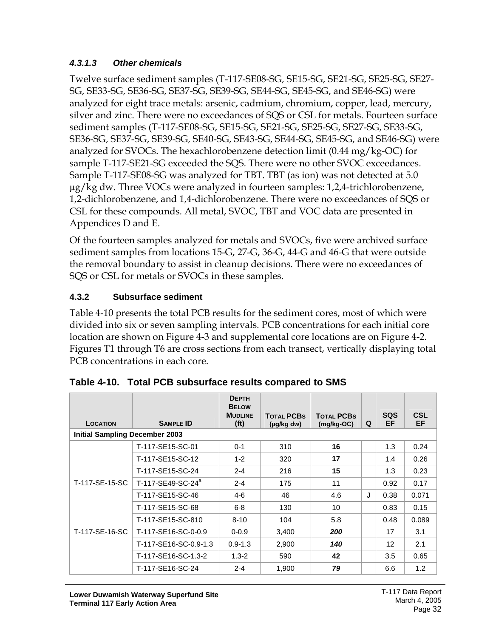#### *4.3.1.3 Other chemicals*

Twelve surface sediment samples (T-117-SE08-SG, SE15-SG, SE21-SG, SE25-SG, SE27- SG, SE33-SG, SE36-SG, SE37-SG, SE39-SG, SE44-SG, SE45-SG, and SE46-SG) were analyzed for eight trace metals: arsenic, cadmium, chromium, copper, lead, mercury, silver and zinc. There were no exceedances of SQS or CSL for metals. Fourteen surface sediment samples (T-117-SE08-SG, SE15-SG, SE21-SG, SE25-SG, SE27-SG, SE33-SG, SE36-SG, SE37-SG, SE39-SG, SE40-SG, SE43-SG, SE44-SG, SE45-SG, and SE46-SG) were analyzed for SVOCs. The hexachlorobenzene detection limit (0.44 mg/kg-OC) for sample T-117-SE21-SG exceeded the SQS. There were no other SVOC exceedances. Sample T-117-SE08-SG was analyzed for TBT. TBT (as ion) was not detected at 5.0 µg/kg dw. Three VOCs were analyzed in fourteen samples: 1,2,4-trichlorobenzene, 1,2-dichlorobenzene, and 1,4-dichlorobenzene. There were no exceedances of SQS or CSL for these compounds. All metal, SVOC, TBT and VOC data are presented in Appendices D and E.

Of the fourteen samples analyzed for metals and SVOCs, five were archived surface sediment samples from locations 15-G, 27-G, 36-G, 44-G and 46-G that were outside the removal boundary to assist in cleanup decisions. There were no exceedances of SQS or CSL for metals or SVOCs in these samples.

#### <span id="page-36-0"></span>**4.3.2 Subsurface sediment**

Table 4-10 presents the total PCB results for the sediment cores, most of which were divided into six or seven sampling intervals. PCB concentrations for each initial core location are shown on Figure 4-3 and supplemental core locations are on Figure 4-2. Figures T1 through T6 are cross sections from each transect, vertically displaying total PCB concentrations in each core.

| LOCATION                              | <b>SAMPLE ID</b>              | <b>DEPTH</b><br><b>BELOW</b><br><b>MUDLINE</b><br>(f <sub>t</sub> ) | <b>TOTAL PCBS</b><br>$(\mu g/kg dw)$ | <b>TOTAL PCBS</b><br>$(mg/kg-OC)$ | Q | <b>SQS</b><br>EF | <b>CSL</b><br><b>EF</b> |
|---------------------------------------|-------------------------------|---------------------------------------------------------------------|--------------------------------------|-----------------------------------|---|------------------|-------------------------|
| <b>Initial Sampling December 2003</b> |                               |                                                                     |                                      |                                   |   |                  |                         |
|                                       | T-117-SE15-SC-01              | $0 - 1$                                                             | 310                                  | 16                                |   | 1.3              | 0.24                    |
|                                       | T-117-SE15-SC-12              | $1 - 2$                                                             | 320                                  | 17                                |   | 1.4              | 0.26                    |
|                                       | T-117-SE15-SC-24              | $2 - 4$                                                             | 216                                  | 15                                |   | 1.3              | 0.23                    |
| T-117-SE-15-SC                        | T-117-SE49-SC-24 <sup>a</sup> | $2 - 4$                                                             | 175                                  | 11                                |   | 0.92             | 0.17                    |
|                                       | T-117-SE15-SC-46              | 4-6                                                                 | 46                                   | 4.6                               | J | 0.38             | 0.071                   |
|                                       | T-117-SE15-SC-68              | $6 - 8$                                                             | 130                                  | 10                                |   | 0.83             | 0.15                    |
|                                       | T-117-SE15-SC-810             | $8 - 10$                                                            | 104                                  | 5.8                               |   | 0.48             | 0.089                   |
| T-117-SE-16-SC                        | T-117-SE16-SC-0-0.9           | $0 - 0.9$                                                           | 3,400                                | 200                               |   | 17               | 3.1                     |
|                                       | T-117-SE16-SC-0.9-1.3         | $0.9 - 1.3$                                                         | 2,900                                | 140                               |   | 12               | 2.1                     |
|                                       | T-117-SE16-SC-1.3-2           | $1.3 - 2$                                                           | 590                                  | 42                                |   | 3.5              | 0.65                    |
|                                       | T-117-SE16-SC-24              | $2 - 4$                                                             | 1,900                                | 79                                |   | 6.6              | $1.2^{\circ}$           |

<span id="page-36-1"></span>

|  | Table 4-10. Total PCB subsurface results compared to SMS |
|--|----------------------------------------------------------|
|--|----------------------------------------------------------|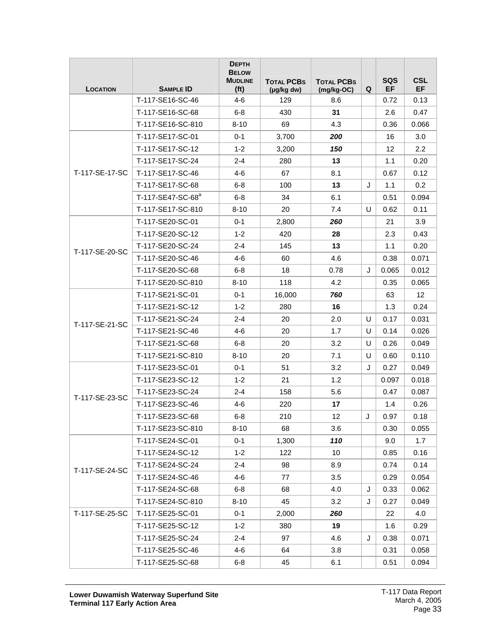|                                                                                                           | <b>SAMPLE ID</b>              | <b>DEPTH</b><br><b>BELOW</b><br><b>MUDLINE</b><br>(f <sub>t</sub> ) | <b>TOTAL PCBS</b><br>(µg/kg dw) | <b>TOTAL PCBS</b><br>$(mg/kg-OC)$ | Q | <b>SQS</b><br>EF | <b>CSL</b><br><b>EF</b> |
|-----------------------------------------------------------------------------------------------------------|-------------------------------|---------------------------------------------------------------------|---------------------------------|-----------------------------------|---|------------------|-------------------------|
|                                                                                                           | T-117-SE16-SC-46              | $4-6$                                                               | 129                             | 8.6                               |   | 0.72             | 0.13                    |
|                                                                                                           | T-117-SE16-SC-68              | $6 - 8$                                                             | 430                             | 31                                |   | 2.6              | 0.47                    |
|                                                                                                           | T-117-SE16-SC-810             | $8 - 10$                                                            | 69                              | 4.3                               |   | 0.36             | 0.066                   |
|                                                                                                           | T-117-SE17-SC-01              | $0 - 1$                                                             | 3,700                           | 200                               |   | 16               | 3.0                     |
|                                                                                                           | T-117-SE17-SC-12              | $1 - 2$                                                             | 3,200                           | 150                               |   | 12               | 2.2                     |
|                                                                                                           | T-117-SE17-SC-24              | $2 - 4$                                                             | 280                             | 13                                |   | 1.1              | 0.20                    |
| T-117-SE-17-SC                                                                                            | T-117-SE17-SC-46              | $4 - 6$                                                             | 67                              | 8.1                               |   | 0.67             | 0.12                    |
|                                                                                                           | T-117-SE17-SC-68              | $6 - 8$                                                             | 100                             | 13                                | J | 1.1              | 0.2                     |
|                                                                                                           | T-117-SE47-SC-68 <sup>a</sup> | $6 - 8$                                                             | 34                              | 6.1                               |   | 0.51             | 0.094                   |
| <b>LOCATION</b><br>T-117-SE-20-SC<br>T-117-SE-21-SC<br>T-117-SE-23-SC<br>T-117-SE-24-SC<br>T-117-SE-25-SC | T-117-SE17-SC-810             | $8 - 10$                                                            | 20                              | 7.4                               | U | 0.62             | 0.11                    |
|                                                                                                           | T-117-SE20-SC-01              | $0 - 1$                                                             | 2,800                           | 260                               |   | 21               | 3.9                     |
|                                                                                                           | T-117-SE20-SC-12              | $1 - 2$                                                             | 420                             | 28                                |   | 2.3              | 0.43                    |
|                                                                                                           | T-117-SE20-SC-24              | 2-4                                                                 | 145                             | 13                                |   | 1.1              | 0.20                    |
|                                                                                                           | T-117-SE20-SC-46              | $4 - 6$                                                             | 60                              | 4.6                               |   | 0.38             | 0.071                   |
|                                                                                                           | T-117-SE20-SC-68              | $6 - 8$                                                             | 18                              | 0.78                              | J | 0.065            | 0.012                   |
|                                                                                                           | T-117-SE20-SC-810             | $8 - 10$                                                            | 118                             | 4.2                               |   | 0.35             | 0.065                   |
|                                                                                                           | T-117-SE21-SC-01              | 0-1                                                                 | 16,000                          | 760                               |   | 63               | 12 <sup>2</sup>         |
|                                                                                                           | T-117-SE21-SC-12              | $1 - 2$                                                             | 280                             | 16                                |   | 1.3              | 0.24                    |
|                                                                                                           | T-117-SE21-SC-24              | 2-4                                                                 | 20                              | 2.0                               | U | 0.17             | 0.031                   |
|                                                                                                           | T-117-SE21-SC-46              | 4-6                                                                 | 20                              | 1.7                               | U | 0.14             | 0.026                   |
|                                                                                                           | T-117-SE21-SC-68              | $6 - 8$                                                             | 20                              | 3.2                               | U | 0.26             | 0.049                   |
|                                                                                                           | T-117-SE21-SC-810             | $8 - 10$                                                            | 20                              | 7.1                               | U | 0.60             | 0.110                   |
|                                                                                                           | T-117-SE23-SC-01              | 0-1                                                                 | 51                              | 3.2                               | J | 0.27             | 0.049                   |
|                                                                                                           | T-117-SE23-SC-12              | $1 - 2$                                                             | 21                              | 1.2                               |   | 0.097            | 0.018                   |
|                                                                                                           | T-117-SE23-SC-24              | 2-4                                                                 | 158                             | 5.6                               |   | 0.47             | 0.087                   |
|                                                                                                           | T-117-SE23-SC-46              | $4 - 6$                                                             | 220                             | 17                                |   | 1.4              | 0.26                    |
|                                                                                                           | T-117-SE23-SC-68              | $6 - 8$                                                             | 210                             | 12                                | J | 0.97             | 0.18                    |
|                                                                                                           | T-117-SE23-SC-810             | $8 - 10$                                                            | 68                              | 3.6                               |   | 0.30             | 0.055                   |
|                                                                                                           | T-117-SE24-SC-01              | $0 - 1$                                                             | 1,300                           | 110                               |   | 9.0              | 1.7                     |
|                                                                                                           | T-117-SE24-SC-12              | $1 - 2$                                                             | 122                             | 10                                |   | 0.85             | 0.16                    |
|                                                                                                           | T-117-SE24-SC-24              | $2 - 4$                                                             | 98                              | 8.9                               |   | 0.74             | 0.14                    |
|                                                                                                           | T-117-SE24-SC-46              | 4-6                                                                 | 77                              | 3.5                               |   | 0.29             | 0.054                   |
|                                                                                                           | T-117-SE24-SC-68              | $6-8$                                                               | 68                              | 4.0                               | J | 0.33             | 0.062                   |
|                                                                                                           | T-117-SE24-SC-810             | $8 - 10$                                                            | 45                              | 3.2                               | J | 0.27             | 0.049                   |
|                                                                                                           | T-117-SE25-SC-01              | $0 - 1$                                                             | 2,000                           | 260                               |   | 22               | 4.0                     |
|                                                                                                           | T-117-SE25-SC-12              | $1 - 2$                                                             | 380                             | 19                                |   | 1.6              | 0.29                    |
|                                                                                                           | T-117-SE25-SC-24              | 2-4                                                                 | 97                              | 4.6                               | J | 0.38             | 0.071                   |
|                                                                                                           | T-117-SE25-SC-46              | $4 - 6$                                                             | 64                              | 3.8                               |   | 0.31             | 0.058                   |
|                                                                                                           | T-117-SE25-SC-68              | $6 - 8$                                                             | 45                              | 6.1                               |   | 0.51             | 0.094                   |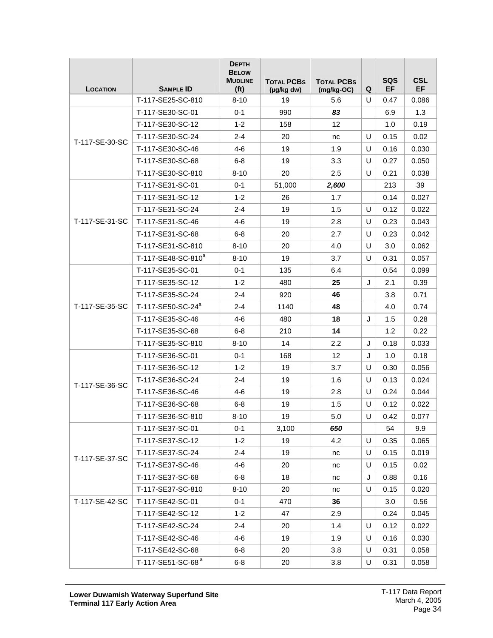|                                                                                                           | <b>SAMPLE ID</b>               | <b>DEPTH</b><br><b>BELOW</b><br><b>MUDLINE</b><br>(f <sub>t</sub> ) | <b>TOTAL PCBS</b><br>(µg/kg dw) | <b>TOTAL PCBS</b><br>$(mg/kg-OC)$ | Q | <b>SQS</b><br>EF | <b>CSL</b><br><b>EF</b> |
|-----------------------------------------------------------------------------------------------------------|--------------------------------|---------------------------------------------------------------------|---------------------------------|-----------------------------------|---|------------------|-------------------------|
|                                                                                                           | T-117-SE25-SC-810              | $8 - 10$                                                            | 19                              | 5.6                               | U | 0.47             | 0.086                   |
|                                                                                                           | T-117-SE30-SC-01               | $0 - 1$                                                             | 990                             | 83                                |   | 6.9              | 1.3                     |
|                                                                                                           | T-117-SE30-SC-12               | $1 - 2$                                                             | 158                             | 12                                |   | 1.0              | 0.19                    |
|                                                                                                           | T-117-SE30-SC-24               | 2-4                                                                 | 20                              | nc                                | U | 0.15             | 0.02                    |
|                                                                                                           | T-117-SE30-SC-46               | $4-6$                                                               | 19                              | 1.9                               | U | 0.16             | 0.030                   |
| <b>LOCATION</b><br>T-117-SE-30-SC<br>T-117-SE-31-SC<br>T-117-SE-35-SC<br>T-117-SE-36-SC<br>T-117-SE-37-SC | T-117-SE30-SC-68               | $6 - 8$                                                             | 19                              | 3.3                               | U | 0.27             | 0.050                   |
|                                                                                                           | T-117-SE30-SC-810              | $8 - 10$                                                            | 20                              | 2.5                               | U | 0.21             | 0.038                   |
|                                                                                                           | T-117-SE31-SC-01               | $0 - 1$                                                             | 51,000                          | 2,600                             |   | 213              | 39                      |
|                                                                                                           | T-117-SE31-SC-12               | $1 - 2$                                                             | 26                              | 1.7                               |   | 0.14             | 0.027                   |
|                                                                                                           | T-117-SE31-SC-24               | $2 - 4$                                                             | 19                              | 1.5                               | U | 0.12             | 0.022                   |
|                                                                                                           | T-117-SE31-SC-46               | $4 - 6$                                                             | 19                              | 2.8                               | U | 0.23             | 0.043                   |
|                                                                                                           | T-117-SE31-SC-68               | $6 - 8$                                                             | 20                              | 2.7                               | U | 0.23             | 0.042                   |
|                                                                                                           | T-117-SE31-SC-810              | $8 - 10$                                                            | 20                              | 4.0                               | U | 3.0              | 0.062                   |
|                                                                                                           | T-117-SE48-SC-810 <sup>a</sup> | $8 - 10$                                                            | 19                              | 3.7                               | U | 0.31             | 0.057                   |
|                                                                                                           | T-117-SE35-SC-01               | 0-1                                                                 | 135                             | 6.4                               |   | 0.54             | 0.099                   |
|                                                                                                           | T-117-SE35-SC-12               | $1 - 2$                                                             | 480                             | 25                                | J | 2.1              | 0.39                    |
|                                                                                                           | T-117-SE35-SC-24               | 2-4                                                                 | 920                             | 46                                |   | 3.8              | 0.71                    |
|                                                                                                           | T-117-SE50-SC-24 <sup>a</sup>  | 2-4                                                                 | 1140                            | 48                                |   | 4.0              | 0.74                    |
|                                                                                                           | T-117-SE35-SC-46               | 4-6                                                                 | 480                             | 18                                | J | 1.5              | 0.28                    |
|                                                                                                           | T-117-SE35-SC-68               | $6 - 8$                                                             | 210                             | 14                                |   | 1.2              | 0.22                    |
|                                                                                                           | T-117-SE35-SC-810              | $8 - 10$                                                            | 14                              | $2.2\phantom{0}$                  | J | 0.18             | 0.033                   |
|                                                                                                           | T-117-SE36-SC-01               | $0 - 1$                                                             | 168                             | 12                                | J | 1.0              | 0.18                    |
|                                                                                                           | T-117-SE36-SC-12               | $1 - 2$                                                             | 19                              | 3.7                               | U | 0.30             | 0.056                   |
|                                                                                                           | T-117-SE36-SC-24               | $2 - 4$                                                             | 19                              | 1.6                               | U | 0.13             | 0.024                   |
|                                                                                                           | T-117-SE36-SC-46               | 4-6                                                                 | 19                              | 2.8                               | U | 0.24             | 0.044                   |
|                                                                                                           | T-117-SE36-SC-68               | $6 - 8$                                                             | 19                              | 1.5                               | U | 0.12             | 0.022                   |
|                                                                                                           | T-117-SE36-SC-810              | $8 - 10$                                                            | 19                              | 5.0                               | U | 0.42             | 0.077                   |
|                                                                                                           | T-117-SE37-SC-01               | $0 - 1$                                                             | 3,100                           | 650                               |   | 54               | 9.9                     |
|                                                                                                           | T-117-SE37-SC-12               | $1 - 2$                                                             | 19                              | 4.2                               | U | 0.35             | 0.065                   |
|                                                                                                           | T-117-SE37-SC-24               | $2 - 4$                                                             | 19                              | nc                                | U | 0.15             | 0.019                   |
|                                                                                                           | T-117-SE37-SC-46               | $4-6$                                                               | 20                              | nc                                | U | 0.15             | 0.02                    |
|                                                                                                           | T-117-SE37-SC-68               | $6 - 8$                                                             | 18                              | nc                                | J | 0.88             | 0.16                    |
|                                                                                                           | T-117-SE37-SC-810              | $8 - 10$                                                            | 20                              | nc                                | U | 0.15             | 0.020                   |
| T-117-SE-42-SC                                                                                            | T-117-SE42-SC-01               | $0 - 1$                                                             | 470                             | 36                                |   | 3.0              | 0.56                    |
|                                                                                                           | T-117-SE42-SC-12               | $1 - 2$                                                             | 47                              | 2.9                               |   | 0.24             | 0.045                   |
|                                                                                                           | T-117-SE42-SC-24               | $2 - 4$                                                             | 20                              | 1.4                               | U | 0.12             | 0.022                   |
|                                                                                                           | T-117-SE42-SC-46               | 4-6                                                                 | 19                              | 1.9                               | U | 0.16             | 0.030                   |
|                                                                                                           | T-117-SE42-SC-68               | $6 - 8$                                                             | 20                              | 3.8                               | U | 0.31             | 0.058                   |
|                                                                                                           | T-117-SE51-SC-68 <sup>a</sup>  | $6 - 8$                                                             | 20                              | 3.8                               | U | 0.31             | 0.058                   |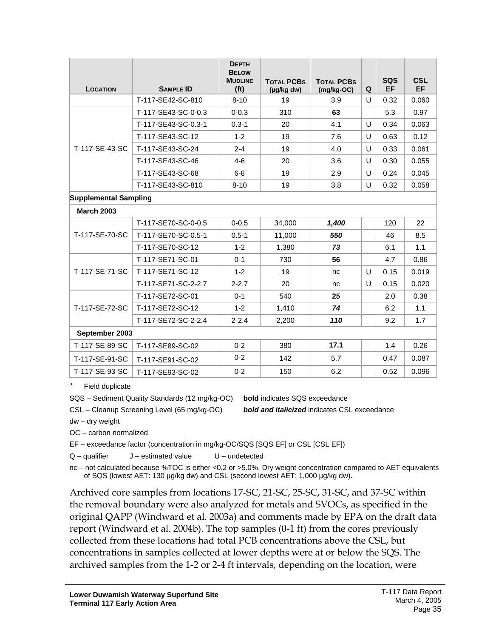| <b>LOCATION</b>              | <b>SAMPLE ID</b>    | <b>DEPTH</b><br><b>BELOW</b><br><b>MUDLINE</b><br>(f <sub>t</sub> ) | <b>TOTAL PCBS</b><br>$(\mu g/kg dw)$ | <b>TOTAL PCBS</b><br>$(mg/kg-OC)$ | Q      | <b>SQS</b><br><b>EF</b> | <b>CSL</b><br><b>EF</b> |  |  |  |
|------------------------------|---------------------|---------------------------------------------------------------------|--------------------------------------|-----------------------------------|--------|-------------------------|-------------------------|--|--|--|
|                              | T-117-SE42-SC-810   | $8 - 10$                                                            | 19                                   | 3.9                               | U      | 0.32                    | 0.060                   |  |  |  |
|                              | T-117-SE43-SC-0-0.3 | $0 - 0.3$                                                           | 310                                  | 63                                |        | 5.3                     | 0.97                    |  |  |  |
|                              | T-117-SE43-SC-0.3-1 | $0.3 - 1$                                                           | 20                                   | 4.1                               | U      | 0.34                    | 0.063                   |  |  |  |
|                              | T-117-SE43-SC-12    | $1 - 2$                                                             | 19                                   | 7.6                               | $\cup$ | 0.63                    | 0.12                    |  |  |  |
| T-117-SE-43-SC               | T-117-SE43-SC-24    | $2 - 4$                                                             | 19                                   | 4.0                               | U      | 0.33                    | 0.061                   |  |  |  |
|                              | T-117-SE43-SC-46    | $4 - 6$                                                             | 20                                   | 3.6                               | U      | 0.30                    | 0.055                   |  |  |  |
|                              | T-117-SE43-SC-68    | $6 - 8$                                                             | 19                                   | 2.9                               | $\cup$ | 0.24                    | 0.045                   |  |  |  |
|                              | T-117-SE43-SC-810   | $8 - 10$                                                            | 19                                   | 3.8                               | $\cup$ | 0.32                    | 0.058                   |  |  |  |
| <b>Supplemental Sampling</b> |                     |                                                                     |                                      |                                   |        |                         |                         |  |  |  |
| <b>March 2003</b>            |                     |                                                                     |                                      |                                   |        |                         |                         |  |  |  |
|                              | T-117-SE70-SC-0-0.5 | $0 - 0.5$                                                           | 34,000                               | 1,400                             |        | 120                     | 22                      |  |  |  |
| T-117-SE-70-SC               | T-117-SE70-SC-0.5-1 | $0.5 - 1$                                                           | 11,000                               | 550                               |        | 46                      | 8.5                     |  |  |  |
|                              | T-117-SE70-SC-12    | $1 - 2$                                                             | 1.380                                | 73                                |        | 6.1                     | 1.1                     |  |  |  |
|                              | T-117-SE71-SC-01    | $0 - 1$                                                             | 730                                  | 56                                |        | 4.7                     | 0.86                    |  |  |  |
| T-117-SE-71-SC               | T-117-SE71-SC-12    | $1 - 2$                                                             | 19                                   | nc                                | U      | 0.15                    | 0.019                   |  |  |  |
|                              | T-117-SE71-SC-2-2.7 | $2 - 2.7$                                                           | 20                                   | nc                                | U      | 0.15                    | 0.020                   |  |  |  |
|                              | T-117-SE72-SC-01    | $0 - 1$                                                             | 540                                  | 25                                |        | 2.0                     | 0.38                    |  |  |  |
| T-117-SE-72-SC               | T-117-SE72-SC-12    | $1 - 2$                                                             | 1,410                                | 74                                |        | 6.2                     | 1.1                     |  |  |  |
|                              | T-117-SE72-SC-2-2.4 | $2 - 2.4$                                                           | 2,200                                | 110                               |        | 9.2                     | 1.7                     |  |  |  |
| September 2003               |                     |                                                                     |                                      |                                   |        |                         |                         |  |  |  |
| T-117-SE-89-SC               | T-117-SE89-SC-02    | $0 - 2$                                                             | 380                                  | 17.1                              |        | 1.4                     | 0.26                    |  |  |  |
| T-117-SE-91-SC               | T-117-SE91-SC-02    | $0 - 2$                                                             | 142                                  | 5.7                               |        | 0.47                    | 0.087                   |  |  |  |
| T-117-SE-93-SC               | T-117-SE93-SC-02    | $0 - 2$                                                             | 150                                  | 6.2                               |        | 0.52                    | 0.096                   |  |  |  |

<sup>a</sup> Field duplicate

SQS – Sediment Quality Standards (12 mg/kg-OC) **bold** indicates SQS exceedance

CSL – Cleanup Screening Level (65 mg/kg-OC) *bold and italicized* indicates CSL exceedance

dw – dry weight

OC – carbon normalized

EF – exceedance factor (concentration in mg/kg-OC/SQS [SQS EF] or CSL [CSL EF])

 $Q$  – qualifier  $J$  – estimated value  $U$  – undetected

nc – not calculated because %TOC is either <0.2 or >5.0%. Dry weight concentration compared to AET equivalents of SQS (lowest AET: 130 µg/kg dw) and CSL (second lowest AET: 1,000 µg/kg dw).

Archived core samples from locations 17-SC, 21-SC, 25-SC, 31-SC, and 37-SC within the removal boundary were also analyzed for metals and SVOCs, as specified in the original QAPP (Windward et al. 2003a) and comments made by EPA on the draft data report (Windward et al. 2004b). The top samples (0-1 ft) from the cores previously collected from these locations had total PCB concentrations above the CSL, but concentrations in samples collected at lower depths were at or below the SQS. The archived samples from the 1-2 or 2-4 ft intervals, depending on the location, were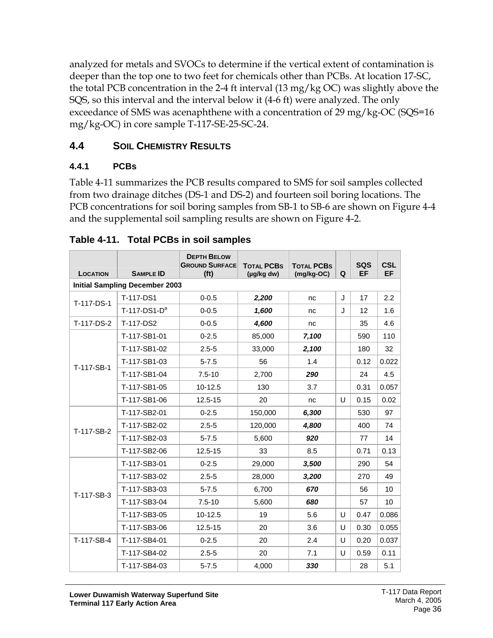analyzed for metals and SVOCs to determine if the vertical extent of contamination is deeper than the top one to two feet for chemicals other than PCBs. At location 17-SC, the total PCB concentration in the 2-4 ft interval (13 mg/kg OC) was slightly above the SQS, so this interval and the interval below it (4-6 ft) were analyzed. The only exceedance of SMS was acenaphthene with a concentration of 29 mg/kg-OC (SQS=16 mg/kg-OC) in core sample T-117-SE-25-SC-24.

# <span id="page-40-0"></span>**4.4 SOIL CHEMISTRY RESULTS**

## <span id="page-40-1"></span>**4.4.1 PCBs**

Table 4-11 summarizes the PCB results compared to SMS for soil samples collected from two drainage ditches (DS-1 and DS-2) and fourteen soil boring locations. The PCB concentrations for soil boring samples from SB-1 to SB-6 are shown on Figure 4-4 and the supplemental soil sampling results are shown on Figure 4-2.

| <b>LOCATION</b>                       | <b>SAMPLE ID</b> | <b>DEPTH BELOW</b><br><b>GROUND SURFACE</b><br>(f <sub>t</sub> ) | <b>TOTAL PCBS</b><br>$(\mu q/kg dw)$ | <b>TOTAL PCBS</b><br>$(mg/kg-OC)$ | Q | <b>SQS</b><br>EF | <b>CSL</b><br>EF |  |  |  |
|---------------------------------------|------------------|------------------------------------------------------------------|--------------------------------------|-----------------------------------|---|------------------|------------------|--|--|--|
| <b>Initial Sampling December 2003</b> |                  |                                                                  |                                      |                                   |   |                  |                  |  |  |  |
| T-117-DS-1                            | T-117-DS1        | $0 - 0.5$                                                        | 2,200                                | nc                                | J | 17               | 2.2              |  |  |  |
|                                       | $T-117-DS1-Da$   | $0 - 0.5$                                                        | 1,600                                | nc                                | J | 12               | 1.6              |  |  |  |
| T-117-DS-2                            | T-117-DS2        | $0 - 0.5$                                                        | 4,600                                | nc                                |   | 35               | 4.6              |  |  |  |
|                                       | T-117-SB1-01     | $0 - 2.5$                                                        | 85,000                               | 7,100                             |   | 590              | 110              |  |  |  |
|                                       | T-117-SB1-02     | $2.5 - 5$                                                        | 33,000                               | 2,100                             |   | 180              | 32               |  |  |  |
| T-117-SB-1                            | T-117-SB1-03     | $5 - 7.5$                                                        | 56                                   | 1.4                               |   | 0.12             | 0.022            |  |  |  |
|                                       | T-117-SB1-04     | $7.5 - 10$                                                       | 2,700                                | 290                               |   | 24               | 4.5              |  |  |  |
|                                       | T-117-SB1-05     | $10-12.5$                                                        | 130                                  | 3.7                               |   | 0.31             | 0.057            |  |  |  |
|                                       | T-117-SB1-06     | 12.5-15                                                          | 20                                   | nc                                | U | 0.15             | 0.02             |  |  |  |
|                                       | T-117-SB2-01     | $0 - 2.5$                                                        | 150,000                              | 6,300                             |   | 530              | 97               |  |  |  |
| T-117-SB-2                            | T-117-SB2-02     | $2.5 - 5$                                                        | 120,000                              | 4,800                             |   | 400              | 74               |  |  |  |
|                                       | T-117-SB2-03     | $5 - 7.5$                                                        | 5,600                                | 920                               |   | 77               | 14               |  |  |  |
|                                       | T-117-SB2-06     | $12.5 - 15$                                                      | 33                                   | 8.5                               |   | 0.71             | 0.13             |  |  |  |
|                                       | T-117-SB3-01     | $0 - 2.5$                                                        | 29,000                               | 3,500                             |   | 290              | 54               |  |  |  |
|                                       | T-117-SB3-02     | $2.5 - 5$                                                        | 28,000                               | 3,200                             |   | 270              | 49               |  |  |  |
| T-117-SB-3                            | T-117-SB3-03     | $5 - 7.5$                                                        | 6,700                                | 670                               |   | 56               | 10               |  |  |  |
|                                       | T-117-SB3-04     | $7.5 - 10$                                                       | 5,600                                | 680                               |   | 57               | 10               |  |  |  |
|                                       | T-117-SB3-05     | $10-12.5$                                                        | 19                                   | 5.6                               | U | 0.47             | 0.086            |  |  |  |
|                                       | T-117-SB3-06     | $12.5 - 15$                                                      | 20                                   | 3.6                               | U | 0.30             | 0.055            |  |  |  |
| T-117-SB-4                            | T-117-SB4-01     | $0 - 2.5$                                                        | 20                                   | 2.4                               | U | 0.20             | 0.037            |  |  |  |
|                                       | T-117-SB4-02     | $2.5 - 5$                                                        | 20                                   | 7.1                               | U | 0.59             | 0.11             |  |  |  |
|                                       | T-117-SB4-03     | $5 - 7.5$                                                        | 4,000                                | 330                               |   | 28               | 5.1              |  |  |  |

<span id="page-40-2"></span>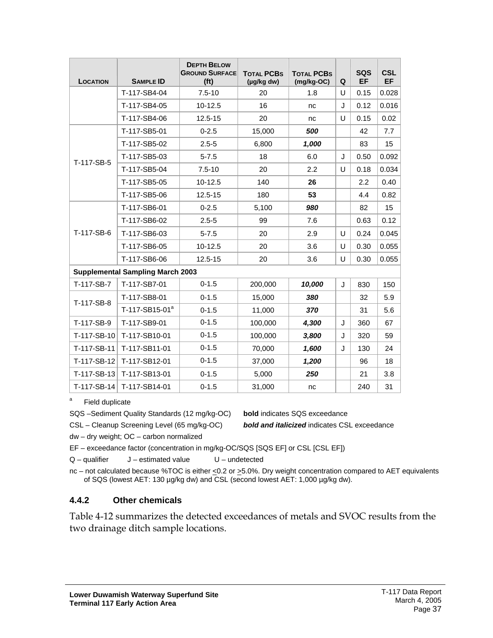| LOCATION                     | <b>SAMPLE ID</b>                        | <b>DEPTH BELOW</b><br><b>GROUND SURFACE</b><br>(f <sub>t</sub> ) | <b>TOTAL PCBS</b><br>(µg/kg dw) | <b>TOTAL PCBS</b><br>$(mg/kg-OC)$ | Q | <b>SQS</b><br><b>EF</b> | <b>CSL</b><br>EF |
|------------------------------|-----------------------------------------|------------------------------------------------------------------|---------------------------------|-----------------------------------|---|-------------------------|------------------|
|                              | T-117-SB4-04                            | $7.5 - 10$                                                       | 20                              | 1.8                               | U | 0.15                    | 0.028            |
|                              | T-117-SB4-05                            | 10-12.5                                                          | 16                              | nc                                | J | 0.12                    | 0.016            |
|                              | T-117-SB4-06                            | 12.5-15                                                          | 20                              | nc                                | U | 0.15                    | 0.02             |
|                              | T-117-SB5-01                            | $0 - 2.5$                                                        | 15,000                          | 500                               |   | 42                      | 7.7              |
|                              | T-117-SB5-02                            | $2.5 - 5$                                                        | 6,800                           | 1,000                             |   | 83                      | 15               |
| T-117-SB-5                   | T-117-SB5-03                            | $5 - 7.5$                                                        | 18                              | 6.0                               | J | 0.50                    | 0.092            |
|                              | T-117-SB5-04                            | $7.5 - 10$                                                       | 20                              | 2.2                               | U | 0.18                    | 0.034            |
|                              | T-117-SB5-05                            | 10-12.5                                                          | 140                             | 26                                |   | 2.2                     | 0.40             |
|                              | T-117-SB5-06                            | 12.5-15                                                          | 180                             | 53                                |   | 4.4                     | 0.82             |
|                              | T-117-SB6-01                            | $0 - 2.5$                                                        | 5,100                           | 980                               |   | 82                      | 15               |
|                              | T-117-SB6-02                            | $2.5 - 5$                                                        | 99                              | 7.6                               |   | 0.63                    | 0.12             |
| T-117-SB-6                   | T-117-SB6-03                            | $5 - 7.5$                                                        | 20                              | 2.9                               | U | 0.24                    | 0.045            |
|                              | T-117-SB6-05                            | $10-12.5$                                                        | 20                              | 3.6                               | U | 0.30                    | 0.055            |
|                              | T-117-SB6-06                            | 12.5-15                                                          | 20                              | 3.6                               | U | 0.30                    | 0.055            |
|                              | <b>Supplemental Sampling March 2003</b> |                                                                  |                                 |                                   |   |                         |                  |
| T-117-SB-7                   | T-117-SB7-01                            | $0 - 1.5$                                                        | 200,000                         | 10,000                            | J | 830                     | 150              |
| T-117-SB-8                   | T-117-SB8-01                            | $0 - 1.5$                                                        | 15,000                          | 380                               |   | 32                      | 5.9              |
|                              | $T-117-SB15-01^a$                       | $0 - 1.5$                                                        | 11,000                          | 370                               |   | 31                      | 5.6              |
| T-117-SB-9                   | T-117-SB9-01                            | $0 - 1.5$                                                        | 100,000                         | 4,300                             | J | 360                     | 67               |
| T-117-SB-10                  | T-117-SB10-01                           | $0 - 1.5$                                                        | 100,000                         | 3,800                             | J | 320                     | 59               |
| T-117-SB-11                  | T-117-SB11-01                           | $0 - 1.5$                                                        | 70,000                          | 1,600                             | J | 130                     | 24               |
| T-117-SB-12                  | T-117-SB12-01                           | $0 - 1.5$                                                        | 37,000                          | 1,200                             |   | 96                      | 18               |
| T-117-SB-13<br>T-117-SB13-01 |                                         | $0 - 1.5$                                                        | 5,000                           | 250                               |   | 21                      | 3.8              |
| T-117-SB-14                  | T-117-SB14-01                           | $0 - 1.5$                                                        | 31,000                          | nc                                |   | 240                     | 31               |

a Field duplicate

SQS –Sediment Quality Standards (12 mg/kg-OC) **bold** indicates SQS exceedance

CSL – Cleanup Screening Level (65 mg/kg-OC) *bold and italicized* indicates CSL exceedance

dw – dry weight; OC – carbon normalized

EF – exceedance factor (concentration in mg/kg-OC/SQS [SQS EF] or CSL [CSL EF])

 $Q$  – qualifier  $J$  – estimated value  $U$  – undetected

nc – not calculated because %TOC is either <0.2 or >5.0%. Dry weight concentration compared to AET equivalents of SQS (lowest AET: 130 µg/kg dw) and CSL (second lowest AET: 1,000 µg/kg dw).

#### <span id="page-41-0"></span>**4.4.2 Other chemicals**

Table 4-12 summarizes the detected exceedances of metals and SVOC results from the two drainage ditch sample locations.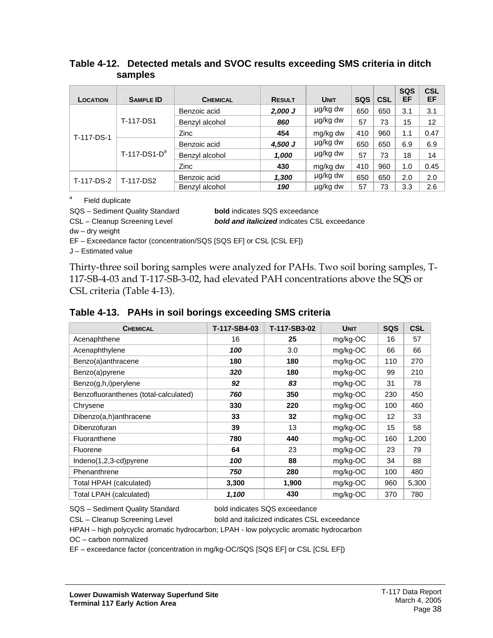| LOCATION   | <b>SAMPLE ID</b> | <b>CHEMICAL</b> | <b>RESULT</b> | <b>UNIT</b> | <b>SQS</b> | <b>CSL</b> | <b>SQS</b><br>EF | <b>CSL</b><br>EF |
|------------|------------------|-----------------|---------------|-------------|------------|------------|------------------|------------------|
|            | T-117-DS1        | Benzoic acid    | 2,000 J       | µg/kg dw    | 650        | 650        | 3.1              | 3.1              |
|            |                  | Benzyl alcohol  | 860           | µg/kg dw    | 57         | 73         | 15               | 12               |
| T-117-DS-1 |                  | Zinc            | 454           | mg/kg dw    | 410        | 960        | 1.1              | 0.47             |
|            | $T-117-DS1-Da$   | Benzoic acid    | 4,500 J       | µg/kg dw    | 650        | 650        | 6.9              | 6.9              |
|            |                  | Benzyl alcohol  | 1,000         | µg/kg dw    | 57         | 73         | 18               | 14               |
|            |                  | <b>Zinc</b>     | 430           | mg/kg dw    | 410        | 960        | 1.0              | 0.45             |
| T-117-DS-2 | T-117-DS2        | Benzoic acid    | 1,300         | µg/kg dw    | 650        | 650        | 2.0              | 2.0              |
|            |                  | Benzyl alcohol  | 190           | µg/kg dw    | 57         | 73         | 3.3              | 2.6              |

<span id="page-42-0"></span>**Table 4-12. Detected metals and SVOC results exceeding SMS criteria in ditch samples** 

a Field duplicate

SQS – Sediment Quality Standard **bold** indicates SQS exceedance

CSL – Cleanup Screening Level *bold and italicized* indicates CSL exceedance

dw – dry weight

EF – Exceedance factor (concentration/SQS [SQS EF] or CSL [CSL EF])

J – Estimated value

Thirty-three soil boring samples were analyzed for PAHs. Two soil boring samples, T-117-SB-4-03 and T-117-SB-3-02, had elevated PAH concentrations above the SQS or CSL criteria (Table 4-13).

| <b>CHEMICAL</b>                       | T-117-SB4-03 | T-117-SB3-02 | <b>UNIT</b> | <b>SQS</b> | <b>CSL</b> |
|---------------------------------------|--------------|--------------|-------------|------------|------------|
| Acenaphthene                          | 16           | 25           | mg/kg-OC    | 16         | 57         |
| Acenaphthylene                        | 100          | 3.0          | mg/kg-OC    | 66         | 66         |
| Benzo(a)anthracene                    | 180          | 180          | mg/kg-OC    | 110        | 270        |
| Benzo(a)pyrene                        | 320          | 180          | mg/kg-OC    | 99         | 210        |
| Benzo(g,h,i)perylene                  | 92           | 83           | mg/kg-OC    | 31         | 78         |
| Benzofluoranthenes (total-calculated) | 760          | 350          | mg/kg-OC    | 230        | 450        |
| Chrysene                              | 330          | 220          | mg/kg-OC    | 100        | 460        |
| Dibenzo(a,h)anthracene                | 33           | 32           | mg/kg-OC    | 12         | 33         |
| Dibenzofuran                          | 39           | 13           | mg/kg-OC    | 15         | 58         |
| Fluoranthene                          | 780          | 440          | mg/kg-OC    | 160        | 1,200      |
| Fluorene                              | 64           | 23           | mg/kg-OC    | 23         | 79         |
| Indeno(1,2,3-cd)pyrene                | 100          | 88           | mg/kg-OC    | 34         | 88         |
| Phenanthrene                          | 750          | 280          | mg/kg-OC    | 100        | 480        |
| Total HPAH (calculated)               | 3,300        | 1,900        | mg/kg-OC    | 960        | 5,300      |
| Total LPAH (calculated)               | 1,100        | 430          | mg/kg-OC    | 370        | 780        |

#### <span id="page-42-1"></span>**Table 4-13. PAHs in soil borings exceeding SMS criteria**

SQS – Sediment Quality Standard bold indicates SQS exceedance

CSL – Cleanup Screening Level bold and italicized indicates CSL exceedance

HPAH – high polycyclic aromatic hydrocarbon; LPAH - low polycyclic aromatic hydrocarbon

OC – carbon normalized

EF – exceedance factor (concentration in mg/kg-OC/SQS [SQS EF] or CSL [CSL EF])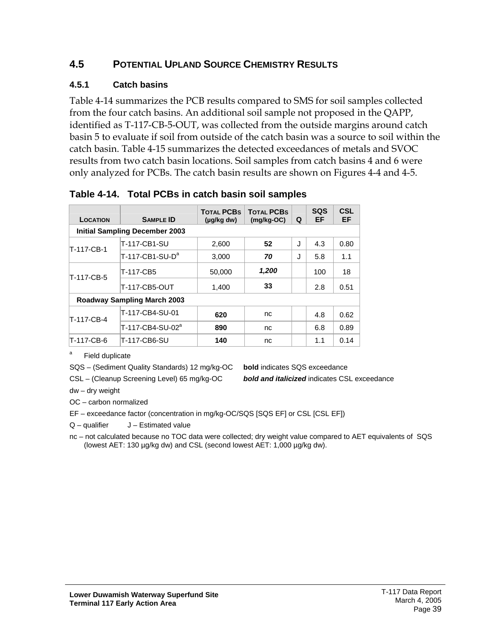### <span id="page-43-0"></span>**4.5 POTENTIAL UPLAND SOURCE CHEMISTRY RESULTS**

#### <span id="page-43-1"></span>**4.5.1 Catch basins**

Table 4-14 summarizes the PCB results compared to SMS for soil samples collected from the four catch basins. An additional soil sample not proposed in the QAPP, identified as T-117-CB-5-OUT, was collected from the outside margins around catch basin 5 to evaluate if soil from outside of the catch basin was a source to soil within the catch basin. Table 4-15 summarizes the detected exceedances of metals and SVOC results from two catch basin locations. Soil samples from catch basins 4 and 6 were only analyzed for PCBs. The catch basin results are shown on Figures 4-4 and 4-5.

| <b>LOCATION</b>                       | <b>SAMPLE ID</b>                   | <b>TOTAL PCBS</b><br>$(\mu g/kg dw)$ | <b>TOTAL PCBS</b><br>$(mg/kg-OC)$ | Q   | <b>SQS</b><br>EF | <b>CSL</b><br>EF |  |  |  |  |
|---------------------------------------|------------------------------------|--------------------------------------|-----------------------------------|-----|------------------|------------------|--|--|--|--|
| <b>Initial Sampling December 2003</b> |                                    |                                      |                                   |     |                  |                  |  |  |  |  |
| T-117-CB-1                            | T-117-CB1-SU                       | 2,600                                | 52                                | J   | 4.3              | 0.80             |  |  |  |  |
|                                       | $T-117$ -CB1-SU-D <sup>a</sup>     | 3.000                                | 70                                |     | 5.8              | 1.1              |  |  |  |  |
| T-117-CB-5                            | T-117-CB5                          | 50,000                               | 1,200                             |     | 100              | 18               |  |  |  |  |
|                                       | 33<br>T-117-CB5-OUT<br>1,400       |                                      |                                   | 2.8 | 0.51             |                  |  |  |  |  |
|                                       | <b>Roadway Sampling March 2003</b> |                                      |                                   |     |                  |                  |  |  |  |  |
| T-117-CB-4                            | T-117-CB4-SU-01                    | 620                                  | nc                                |     | 4.8              | 0.62             |  |  |  |  |
|                                       | T-117-CB4-SU-02 <sup>a</sup>       | 890                                  | nc                                |     | 6.8              | 0.89             |  |  |  |  |
| T-117-CB-6                            | T-117-CB6-SU                       | 140                                  | nc                                |     | 1.1              | 0.14             |  |  |  |  |

#### <span id="page-43-2"></span>**Table 4-14. Total PCBs in catch basin soil samples**

a Field duplicate

SQS – (Sediment Quality Standards) 12 mg/kg-OC **bold** indicates SQS exceedance

CSL – (Cleanup Screening Level) 65 mg/kg-OC *bold and italicized* indicates CSL exceedance

dw – dry weight

OC – carbon normalized

EF – exceedance factor (concentration in mg/kg-OC/SQS [SQS EF] or CSL [CSL EF])

 $Q$  – qualifier  $J$  – Estimated value

nc – not calculated because no TOC data were collected; dry weight value compared to AET equivalents of SQS (lowest AET: 130 µg/kg dw) and CSL (second lowest AET: 1,000 µg/kg dw).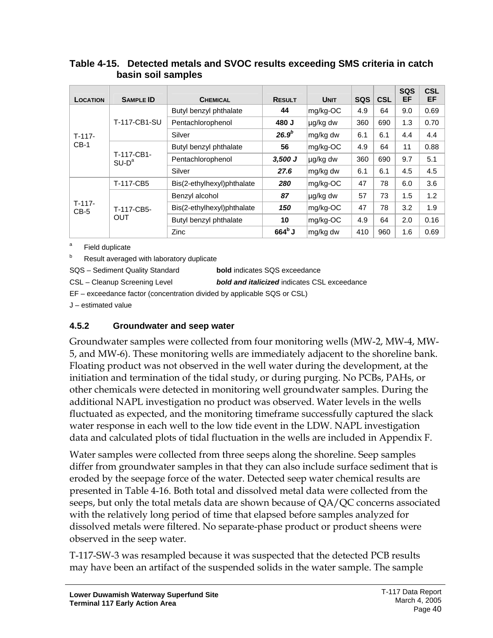|                    |                        |                            |                   |             |            |            | <b>SQS</b> | <b>CSL</b> |
|--------------------|------------------------|----------------------------|-------------------|-------------|------------|------------|------------|------------|
| <b>LOCATION</b>    | <b>SAMPLE ID</b>       | <b>CHEMICAL</b>            | <b>RESULT</b>     | <b>UNIT</b> | <b>SQS</b> | <b>CSL</b> | EF         | EF         |
|                    |                        | Butyl benzyl phthalate     | 44<br>mg/kg-OC    |             | 4.9        | 64         | 9.0        | 0.69       |
|                    | T-117-CB1-SU           | Pentachlorophenol          | 480 J             | µg/kg dw    | 360        | 690        | 1.3        | 0.70       |
| $T-117-$           |                        | Silver                     | 26.9 <sup>b</sup> | mg/kg dw    | 6.1        | 6.1        | 4.4        | 4.4        |
| $CB-1$             | T-117-CB1-<br>$SU-D^a$ | Butyl benzyl phthalate     | 56                | mg/kg-OC    | 4.9        | 64         | 11         | 0.88       |
|                    |                        | Pentachlorophenol          | $3,500$ J         | ∣µg/kg dw   | 360        | 690        | 9.7        | 5.1        |
|                    |                        | Silver                     | 27.6              | mg/kg dw    | 6.1        | 6.1        | 4.5        | 4.5        |
|                    | T-117-CB5              | Bis(2-ethylhexyl)phthalate | 280               | mg/kg-OC    | 47         | 78         | 6.0        | 3.6        |
|                    |                        | Benzyl alcohol             | 87                | µg/kg dw    | 57         | 73         | 1.5        | 1.2        |
| $T-117-$<br>$CB-5$ | T-117-CB5-             | Bis(2-ethylhexyl)phthalate | 150               | mg/kg-OC    | 47         | 78         | 3.2        | 1.9        |
|                    | <b>OUT</b>             | Butyl benzyl phthalate     | 10                | mg/kg-OC    | 4.9        | 64         | 2.0        | 0.16       |
|                    |                        | Zinc                       | $664^b$ J         | mg/kg dw    | 410        | 960        | 1.6        | 0.69       |

#### <span id="page-44-1"></span>**Table 4-15. Detected metals and SVOC results exceeding SMS criteria in catch basin soil samples**

a Field duplicate

b Result averaged with laboratory duplicate

SQS – Sediment Quality Standard **bold** indicates SQS exceedance

CSL – Cleanup Screening Level *bold and italicized* indicates CSL exceedance

EF – exceedance factor (concentration divided by applicable SQS or CSL)

J – estimated value

#### <span id="page-44-0"></span>**4.5.2 Groundwater and seep water**

Groundwater samples were collected from four monitoring wells (MW-2, MW-4, MW-5, and MW-6). These monitoring wells are immediately adjacent to the shoreline bank. Floating product was not observed in the well water during the development, at the initiation and termination of the tidal study, or during purging. No PCBs, PAHs, or other chemicals were detected in monitoring well groundwater samples. During the additional NAPL investigation no product was observed. Water levels in the wells fluctuated as expected, and the monitoring timeframe successfully captured the slack water response in each well to the low tide event in the LDW. NAPL investigation data and calculated plots of tidal fluctuation in the wells are included in Appendix F.

Water samples were collected from three seeps along the shoreline. Seep samples differ from groundwater samples in that they can also include surface sediment that is eroded by the seepage force of the water. Detected seep water chemical results are presented in Table 4-16. Both total and dissolved metal data were collected from the seeps, but only the total metals data are shown because of QA/QC concerns associated with the relatively long period of time that elapsed before samples analyzed for dissolved metals were filtered. No separate-phase product or product sheens were observed in the seep water.

T-117-SW-3 was resampled because it was suspected that the detected PCB results may have been an artifact of the suspended solids in the water sample. The sample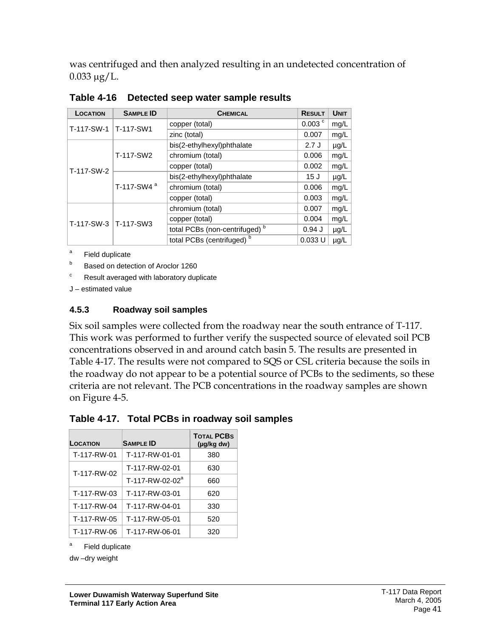was centrifuged and then analyzed resulting in an undetected concentration of  $0.033 \mu g/L$ .

| <b>LOCATION</b> | <b>SAMPLE ID</b>                           | <b>CHEMICAL</b>                           | <b>RESULT</b>     | <b>UNIT</b> |
|-----------------|--------------------------------------------|-------------------------------------------|-------------------|-------------|
| T-117-SW-1      | $T-117-SW1$                                | copper (total)                            | $0.003$ $\degree$ | mg/L        |
|                 |                                            | zinc (total)                              | 0.007             | mg/L        |
|                 |                                            | bis(2-ethylhexyl)phthalate                | 2.7J              | µg/L        |
|                 | T-117-SW2                                  | chromium (total)                          | 0.006             | mg/L        |
| T-117-SW-2      |                                            | copper (total)                            | 0.002             | mg/L        |
|                 |                                            | bis(2-ethylhexyl)phthalate                | 15J               | µg/L        |
|                 | T-117-SW4 <sup>a</sup>                     | chromium (total)                          | 0.006             | mg/L        |
|                 |                                            | copper (total)                            | 0.003             | mg/L        |
|                 |                                            | chromium (total)                          | 0.007             | mg/L        |
|                 | copper (total)<br>$T-117-SW-3$   T-117-SW3 |                                           | 0.004             | mg/L        |
|                 |                                            | total PCBs (non-centrifuged) <sup>b</sup> | $0.94$ J          | $\mu$ g/L   |
|                 |                                            | total PCBs (centrifuged) <sup>b</sup>     | 0.033 U           | µg/L        |

<span id="page-45-1"></span>**Table 4-16 Detected seep water sample results** 

a Field duplicate

**b** Based on detection of Aroclor 1260

c Result averaged with laboratory duplicate

J – estimated value

#### <span id="page-45-0"></span>**4.5.3 Roadway soil samples**

Six soil samples were collected from the roadway near the south entrance of T-117. This work was performed to further verify the suspected source of elevated soil PCB concentrations observed in and around catch basin 5. The results are presented in Table 4-17. The results were not compared to SQS or CSL criteria because the soils in the roadway do not appear to be a potential source of PCBs to the sediments, so these criteria are not relevant. The PCB concentrations in the roadway samples are shown on Figure 4-5.

<span id="page-45-2"></span>**Table 4-17. Total PCBs in roadway soil samples** 

| <b>LOCATION</b> | <b>SAMPLE ID</b>          | <b>TOTAL PCBS</b><br>$(\mu q/kg dw)$ |
|-----------------|---------------------------|--------------------------------------|
| T-117-RW-01     | T-117-RW-01-01            | 380                                  |
| T-117-RW-02     | T-117-RW-02-01            | 630                                  |
|                 | $T-117 - R W - 02 - 02^a$ | 660                                  |
| T-117-RW-03     | T-117-RW-03-01            | 620                                  |
| T-117-RW-04     | T-117-RW-04-01            | 330                                  |
| T-117-RW-05     | T-117-RW-05-01            | 520                                  |
| T-117-RW-06     | T-117-RW-06-01            | 320                                  |

a Field duplicate

dw –dry weight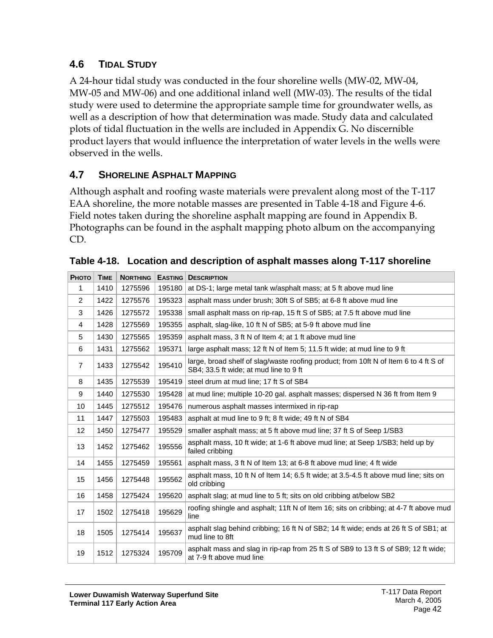### <span id="page-46-0"></span>**4.6 TIDAL STUDY**

A 24-hour tidal study was conducted in the four shoreline wells (MW-02, MW-04, MW-05 and MW-06) and one additional inland well (MW-03). The results of the tidal study were used to determine the appropriate sample time for groundwater wells, as well as a description of how that determination was made. Study data and calculated plots of tidal fluctuation in the wells are included in Appendix G. No discernible product layers that would influence the interpretation of water levels in the wells were observed in the wells.

### <span id="page-46-1"></span>**4.7 SHORELINE ASPHALT MAPPING**

Although asphalt and roofing waste materials were prevalent along most of the T-117 EAA shoreline, the more notable masses are presented in Table 4-18 and Figure 4-6. Field notes taken during the shoreline asphalt mapping are found in Appendix B. Photographs can be found in the asphalt mapping photo album on the accompanying CD.

| <b>Рното</b>   | <b>TIME</b> | <b>NORTHING</b> | <b>EASTING</b> | <b>DESCRIPTION</b>                                                                                                             |
|----------------|-------------|-----------------|----------------|--------------------------------------------------------------------------------------------------------------------------------|
| 1              | 1410        | 1275596         | 195180         | at DS-1; large metal tank w/asphalt mass; at 5 ft above mud line                                                               |
| 2              | 1422        | 1275576         | 195323         | asphalt mass under brush; 30ft S of SB5; at 6-8 ft above mud line                                                              |
| 3              | 1426        | 1275572         | 195338         | small asphalt mass on rip-rap, 15 ft S of SB5; at 7.5 ft above mud line                                                        |
| $\overline{4}$ | 1428        | 1275569         | 195355         | asphalt, slag-like, 10 ft N of SB5; at 5-9 ft above mud line                                                                   |
| 5              | 1430        | 1275565         | 195359         | asphalt mass, 3 ft N of Item 4; at 1 ft above mud line                                                                         |
| 6              | 1431        | 1275562         | 195371         | large asphalt mass; 12 ft N of Item 5; 11.5 ft wide; at mud line to 9 ft                                                       |
| $\overline{7}$ | 1433        | 1275542         | 195410         | large, broad shelf of slag/waste roofing product; from 10ft N of Item 6 to 4 ft S of<br>SB4; 33.5 ft wide; at mud line to 9 ft |
| 8              | 1435        | 1275539         | 195419         | steel drum at mud line; 17 ft S of SB4                                                                                         |
| 9              | 1440        | 1275530         | 195428         | at mud line; multiple 10-20 gal. asphalt masses; dispersed N 36 ft from Item 9                                                 |
| 10             | 1445        | 1275512         | 195476         | numerous asphalt masses intermixed in rip-rap                                                                                  |
| 11             | 1447        | 1275503         | 195483         | asphalt at mud line to 9 ft; 8 ft wide; 49 ft N of SB4                                                                         |
| 12             | 1450        | 1275477         | 195529         | smaller asphalt mass; at 5 ft above mud line; 37 ft S of Seep 1/SB3                                                            |
| 13             | 1452        | 1275462         | 195556         | asphalt mass, 10 ft wide; at 1-6 ft above mud line; at Seep 1/SB3; held up by<br>failed cribbing                               |
| 14             | 1455        | 1275459         | 195561         | asphalt mass, 3 ft N of Item 13; at 6-8 ft above mud line; 4 ft wide                                                           |
| 15             | 1456        | 1275448         | 195562         | asphalt mass, 10 ft N of Item 14; 6.5 ft wide; at 3.5-4.5 ft above mud line; sits on<br>old cribbing                           |
| 16             | 1458        | 1275424         | 195620         | asphalt slag; at mud line to 5 ft; sits on old cribbing at/below SB2                                                           |
| 17             | 1502        | 1275418         | 195629         | roofing shingle and asphalt; 11ft N of Item 16; sits on cribbing; at 4-7 ft above mud<br>line                                  |
| 18             | 1505        | 1275414         | 195637         | asphalt slag behind cribbing; 16 ft N of SB2; 14 ft wide; ends at 26 ft S of SB1; at<br>mud line to 8ft                        |
| 19             | 1512        | 1275324         | 195709         | asphalt mass and slag in rip-rap from 25 ft S of SB9 to 13 ft S of SB9; 12 ft wide;<br>at 7-9 ft above mud line                |

<span id="page-46-2"></span>

| Table 4-18. Location and description of asphalt masses along T-117 shoreline |  |  |
|------------------------------------------------------------------------------|--|--|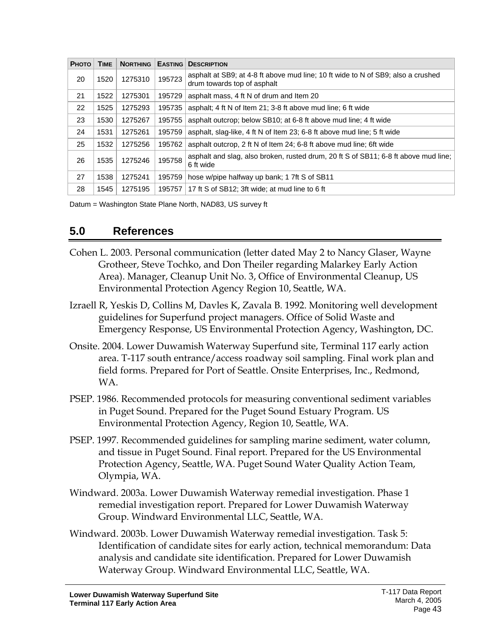| <b>Рното</b> | <b>TIME</b> | <b>NORTHING</b> | <b>EASTING</b> | <b>DESCRIPTION</b>                                                                                              |
|--------------|-------------|-----------------|----------------|-----------------------------------------------------------------------------------------------------------------|
| 20           | 1520        | 1275310         | 195723         | asphalt at SB9; at 4-8 ft above mud line; 10 ft wide to N of SB9; also a crushed<br>drum towards top of asphalt |
| 21           | 1522        | 1275301         | 195729         | asphalt mass, 4 ft N of drum and Item 20                                                                        |
| 22           | 1525        | 1275293         | 195735         | asphalt; 4 ft N of Item 21; 3-8 ft above mud line; 6 ft wide                                                    |
| 23           | 1530        | 1275267         | 195755         | asphalt outcrop; below SB10; at 6-8 ft above mud line; 4 ft wide                                                |
| 24           | 1531        | 1275261         | 195759         | asphalt, slag-like, 4 ft N of Item 23; 6-8 ft above mud line; 5 ft wide                                         |
| 25           | 1532        | 1275256         | 195762         | asphalt outcrop, 2 ft N of Item 24; 6-8 ft above mud line; 6ft wide                                             |
| 26           | 1535        | 1275246         | 195758         | asphalt and slag, also broken, rusted drum, 20 ft S of SB11; 6-8 ft above mud line;<br>6 ft wide                |
| 27           | 1538        | 1275241         | 195759         | hose w/pipe halfway up bank; 17ft S of SB11                                                                     |
| 28           | 1545        | 1275195         | 195757         | 17 ft S of SB12; 3ft wide; at mud line to 6 ft                                                                  |

Datum = Washington State Plane North, NAD83, US survey ft

## <span id="page-47-0"></span>**5.0 References**

- Cohen L. 2003. Personal communication (letter dated May 2 to Nancy Glaser, Wayne Grotheer, Steve Tochko, and Don Theiler regarding Malarkey Early Action Area). Manager, Cleanup Unit No. 3, Office of Environmental Cleanup, US Environmental Protection Agency Region 10, Seattle, WA.
- Izraell R, Yeskis D, Collins M, Davles K, Zavala B. 1992. Monitoring well development guidelines for Superfund project managers. Office of Solid Waste and Emergency Response, US Environmental Protection Agency, Washington, DC.
- Onsite. 2004. Lower Duwamish Waterway Superfund site, Terminal 117 early action area. T-117 south entrance/access roadway soil sampling. Final work plan and field forms. Prepared for Port of Seattle. Onsite Enterprises, Inc., Redmond, WA.
- PSEP. 1986. Recommended protocols for measuring conventional sediment variables in Puget Sound. Prepared for the Puget Sound Estuary Program. US Environmental Protection Agency, Region 10, Seattle, WA.
- PSEP. 1997. Recommended guidelines for sampling marine sediment, water column, and tissue in Puget Sound. Final report. Prepared for the US Environmental Protection Agency, Seattle, WA. Puget Sound Water Quality Action Team, Olympia, WA.
- Windward. 2003a. Lower Duwamish Waterway remedial investigation. Phase 1 remedial investigation report. Prepared for Lower Duwamish Waterway Group. Windward Environmental LLC, Seattle, WA.
- Windward. 2003b. Lower Duwamish Waterway remedial investigation. Task 5: Identification of candidate sites for early action, technical memorandum: Data analysis and candidate site identification. Prepared for Lower Duwamish Waterway Group. Windward Environmental LLC, Seattle, WA.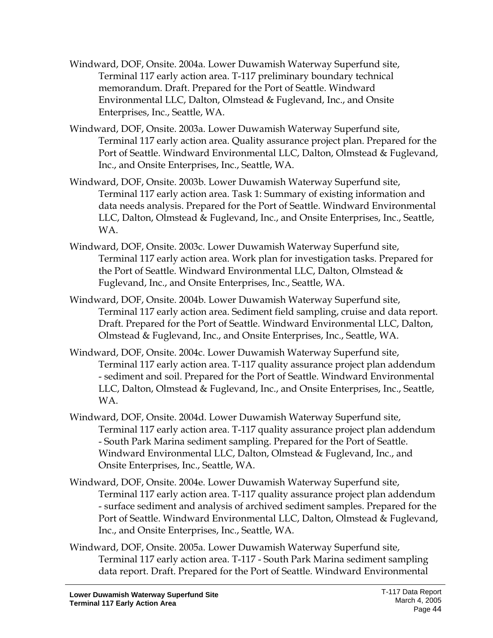- Windward, DOF, Onsite. 2004a. Lower Duwamish Waterway Superfund site, Terminal 117 early action area. T-117 preliminary boundary technical memorandum. Draft. Prepared for the Port of Seattle. Windward Environmental LLC, Dalton, Olmstead & Fuglevand, Inc., and Onsite Enterprises, Inc., Seattle, WA.
- Windward, DOF, Onsite. 2003a. Lower Duwamish Waterway Superfund site, Terminal 117 early action area. Quality assurance project plan. Prepared for the Port of Seattle. Windward Environmental LLC, Dalton, Olmstead & Fuglevand, Inc., and Onsite Enterprises, Inc., Seattle, WA.
- Windward, DOF, Onsite. 2003b. Lower Duwamish Waterway Superfund site, Terminal 117 early action area. Task 1: Summary of existing information and data needs analysis. Prepared for the Port of Seattle. Windward Environmental LLC, Dalton, Olmstead & Fuglevand, Inc., and Onsite Enterprises, Inc., Seattle, WA.
- Windward, DOF, Onsite. 2003c. Lower Duwamish Waterway Superfund site, Terminal 117 early action area. Work plan for investigation tasks. Prepared for the Port of Seattle. Windward Environmental LLC, Dalton, Olmstead & Fuglevand, Inc., and Onsite Enterprises, Inc., Seattle, WA.
- Windward, DOF, Onsite. 2004b. Lower Duwamish Waterway Superfund site, Terminal 117 early action area. Sediment field sampling, cruise and data report. Draft. Prepared for the Port of Seattle. Windward Environmental LLC, Dalton, Olmstead & Fuglevand, Inc., and Onsite Enterprises, Inc., Seattle, WA.
- Windward, DOF, Onsite. 2004c. Lower Duwamish Waterway Superfund site, Terminal 117 early action area. T-117 quality assurance project plan addendum - sediment and soil. Prepared for the Port of Seattle. Windward Environmental LLC, Dalton, Olmstead & Fuglevand, Inc., and Onsite Enterprises, Inc., Seattle, WA.
- Windward, DOF, Onsite. 2004d. Lower Duwamish Waterway Superfund site, Terminal 117 early action area. T-117 quality assurance project plan addendum - South Park Marina sediment sampling. Prepared for the Port of Seattle. Windward Environmental LLC, Dalton, Olmstead & Fuglevand, Inc., and Onsite Enterprises, Inc., Seattle, WA.
- Windward, DOF, Onsite. 2004e. Lower Duwamish Waterway Superfund site, Terminal 117 early action area. T-117 quality assurance project plan addendum - surface sediment and analysis of archived sediment samples. Prepared for the Port of Seattle. Windward Environmental LLC, Dalton, Olmstead & Fuglevand, Inc., and Onsite Enterprises, Inc., Seattle, WA.
- Windward, DOF, Onsite. 2005a. Lower Duwamish Waterway Superfund site, Terminal 117 early action area. T-117 - South Park Marina sediment sampling data report. Draft. Prepared for the Port of Seattle. Windward Environmental